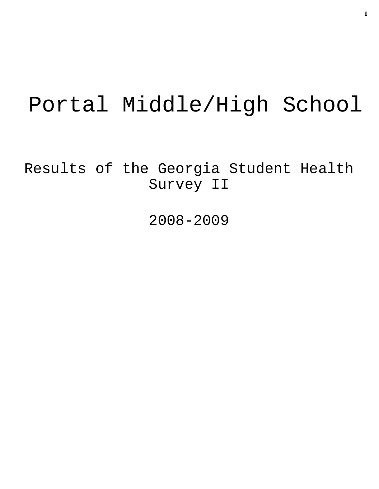# Portal Middle/High School

Results of the Georgia Student Health Survey II

2008-2009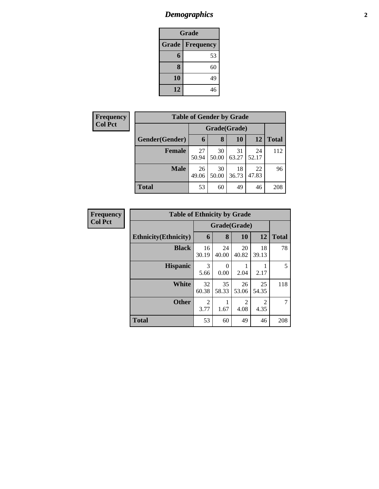# *Demographics* **2**

| Grade                     |    |  |  |  |  |
|---------------------------|----|--|--|--|--|
| Grade<br><b>Frequency</b> |    |  |  |  |  |
| $6\phantom{.}6$           | 53 |  |  |  |  |
| 8                         | 60 |  |  |  |  |
| 10                        | 49 |  |  |  |  |
| 12                        | 46 |  |  |  |  |

| <b>Frequency</b> | <b>Table of Gender by Grade</b> |              |             |             |             |              |  |  |
|------------------|---------------------------------|--------------|-------------|-------------|-------------|--------------|--|--|
| <b>Col Pct</b>   |                                 | Grade(Grade) |             |             |             |              |  |  |
|                  | Gender(Gender)                  | 6            | 8           | 10          | 12          | <b>Total</b> |  |  |
|                  | <b>Female</b>                   | 27<br>50.94  | 30<br>50.00 | 31<br>63.27 | 24<br>52.17 | 112          |  |  |
|                  | <b>Male</b>                     | 26<br>49.06  | 30<br>50.00 | 18<br>36.73 | 22<br>47.83 | 96           |  |  |
|                  | <b>Total</b>                    | 53           | 60          | 49          | 46          | 208          |  |  |

| <b>Frequency</b> | <b>Table of Ethnicity by Grade</b> |              |             |                        |                        |              |
|------------------|------------------------------------|--------------|-------------|------------------------|------------------------|--------------|
| <b>Col Pct</b>   |                                    | Grade(Grade) |             |                        |                        |              |
|                  | <b>Ethnicity</b> (Ethnicity)       | 6            | 8           | 10                     | 12                     | <b>Total</b> |
|                  | <b>Black</b>                       | 16<br>30.19  | 24<br>40.00 | 20<br>40.82            | 18<br>39.13            | 78           |
|                  | <b>Hispanic</b>                    | 3<br>5.66    | 0<br>0.00   | 2.04                   | 2.17                   | 5            |
|                  | <b>White</b>                       | 32<br>60.38  | 35<br>58.33 | 26<br>53.06            | 25<br>54.35            | 118          |
|                  | <b>Other</b>                       | 2<br>3.77    | 1.67        | $\overline{c}$<br>4.08 | $\overline{2}$<br>4.35 | 7            |
|                  | <b>Total</b>                       | 53           | 60          | 49                     | 46                     | 208          |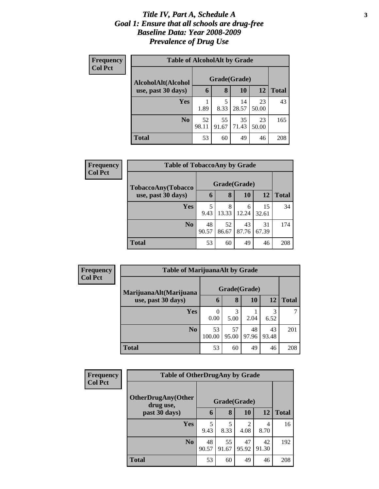### *Title IV, Part A, Schedule A* **3** *Goal 1: Ensure that all schools are drug-free Baseline Data: Year 2008-2009 Prevalence of Drug Use*

| Frequency<br><b>Col Pct</b> | <b>Table of AlcoholAlt by Grade</b> |              |             |             |             |              |  |  |  |
|-----------------------------|-------------------------------------|--------------|-------------|-------------|-------------|--------------|--|--|--|
|                             | AlcoholAlt(Alcohol                  | Grade(Grade) |             |             |             |              |  |  |  |
|                             | use, past 30 days)                  | 6            | 8           | 10          | 12          | <b>Total</b> |  |  |  |
|                             | <b>Yes</b>                          | 1.89         | 5<br>8.33   | 14<br>28.57 | 23<br>50.00 | 43           |  |  |  |
|                             | N <sub>0</sub>                      | 52<br>98.11  | 55<br>91.67 | 35<br>71.43 | 23<br>50.00 | 165          |  |  |  |
|                             | <b>Total</b>                        | 53           | 60          | 49          | 46          | 208          |  |  |  |

| Frequency      | <b>Table of TobaccoAny by Grade</b> |             |              |             |             |              |  |  |
|----------------|-------------------------------------|-------------|--------------|-------------|-------------|--------------|--|--|
| <b>Col Pct</b> | TobaccoAny(Tobacco                  |             | Grade(Grade) |             |             |              |  |  |
|                | use, past 30 days)                  | 6           | 8            | 10          | 12          | <b>Total</b> |  |  |
|                | <b>Yes</b>                          | 5<br>9.43   | 8<br>13.33   | 6<br>12.24  | 15<br>32.61 | 34           |  |  |
|                | N <sub>0</sub>                      | 48<br>90.57 | 52<br>86.67  | 43<br>87.76 | 31<br>67.39 | 174          |  |  |
|                | <b>Total</b>                        | 53          | 60           | 49          | 46          | 208          |  |  |

| Frequency      | <b>Table of MarijuanaAlt by Grade</b> |              |             |             |             |              |
|----------------|---------------------------------------|--------------|-------------|-------------|-------------|--------------|
| <b>Col Pct</b> | MarijuanaAlt(Marijuana                | Grade(Grade) |             |             |             |              |
|                | use, past 30 days)                    | $\mathbf b$  | 8           | 10          | 12          | <b>Total</b> |
|                | <b>Yes</b>                            | 0<br>0.00    | 3<br>5.00   | 2.04        | 3<br>6.52   |              |
|                | N <sub>0</sub>                        | 53<br>100.00 | 57<br>95.00 | 48<br>97.96 | 43<br>93.48 | 201          |
|                | <b>Total</b>                          | 53           | 60          | 49          | 46          | 208          |

| <b>Frequency</b> | <b>Table of OtherDrugAny by Grade</b>  |             |              |             |             |              |  |
|------------------|----------------------------------------|-------------|--------------|-------------|-------------|--------------|--|
| <b>Col Pct</b>   | <b>OtherDrugAny(Other</b><br>drug use, |             | Grade(Grade) |             |             |              |  |
|                  | past 30 days)                          | 6           | 8            | 10          | 12          | <b>Total</b> |  |
|                  | <b>Yes</b>                             | 5<br>9.43   | 5<br>8.33    | 2<br>4.08   | 4<br>8.70   | 16           |  |
|                  | N <sub>0</sub>                         | 48<br>90.57 | 55<br>91.67  | 47<br>95.92 | 42<br>91.30 | 192          |  |
|                  | <b>Total</b>                           | 53          | 60           | 49          | 46          | 208          |  |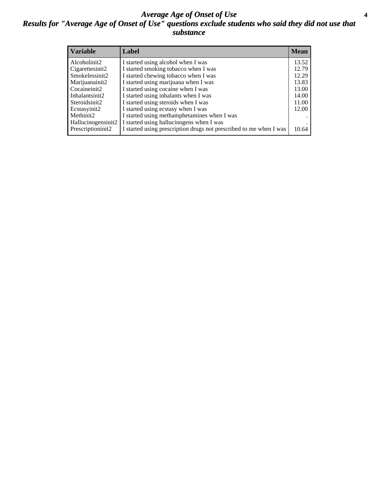### *Average Age of Onset of Use* **4** *Results for "Average Age of Onset of Use" questions exclude students who said they did not use that substance*

| <b>Variable</b>    | Label                                                              | <b>Mean</b> |
|--------------------|--------------------------------------------------------------------|-------------|
| Alcoholinit2       | I started using alcohol when I was                                 | 13.52       |
| Cigarettesinit2    | I started smoking tobacco when I was                               | 12.79       |
| Smokelessinit2     | I started chewing tobacco when I was                               | 12.29       |
| Marijuanainit2     | I started using marijuana when I was                               | 13.83       |
| Cocaineinit2       | I started using cocaine when I was                                 | 13.00       |
| Inhalantsinit2     | I started using inhalants when I was                               | 14.00       |
| Steroidsinit2      | I started using steroids when I was                                | 11.00       |
| Ecstasyinit2       | I started using ecstasy when I was                                 | 12.00       |
| Methinit2          | I started using methamphetamines when I was                        |             |
| Hallucinogensinit2 | I started using hallucinogens when I was                           |             |
| Prescriptioninit2  | I started using prescription drugs not prescribed to me when I was | 10.64       |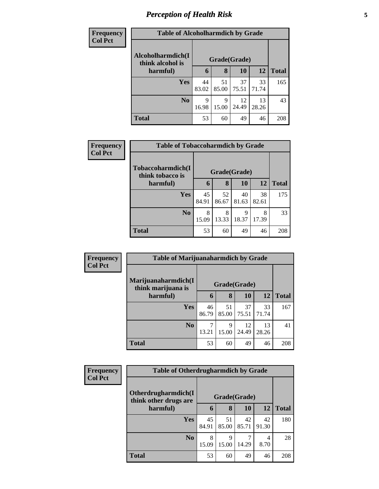# *Perception of Health Risk* **5**

| <b>Frequency</b> | <b>Table of Alcoholharmdich by Grade</b> |             |              |             |             |              |  |  |
|------------------|------------------------------------------|-------------|--------------|-------------|-------------|--------------|--|--|
| <b>Col Pct</b>   | Alcoholharmdich(I<br>think alcohol is    |             | Grade(Grade) |             |             |              |  |  |
|                  | harmful)                                 | 6           | 8            | <b>10</b>   | 12          | <b>Total</b> |  |  |
|                  | <b>Yes</b>                               | 44<br>83.02 | 51<br>85.00  | 37<br>75.51 | 33<br>71.74 | 165          |  |  |
|                  | N <sub>o</sub>                           | 9<br>16.98  | 9<br>15.00   | 12<br>24.49 | 13<br>28.26 | 43           |  |  |
|                  | <b>Total</b>                             | 53          | 60           | 49          | 46          | 208          |  |  |

| Frequency      | <b>Table of Tobaccoharmdich by Grade</b> |              |             |             |             |              |  |  |
|----------------|------------------------------------------|--------------|-------------|-------------|-------------|--------------|--|--|
| <b>Col Pct</b> | Tobaccoharmdich(I<br>think tobacco is    | Grade(Grade) |             |             |             |              |  |  |
|                | harmful)                                 | 6            | 8           | 10          | 12          | <b>Total</b> |  |  |
|                | Yes                                      | 45<br>84.91  | 52<br>86.67 | 40<br>81.63 | 38<br>82.61 | 175          |  |  |
|                | N <sub>0</sub>                           | 8<br>15.09   | 8<br>13.33  | 9<br>18.37  | 8<br>17.39  | 33           |  |  |
|                | <b>Total</b>                             | 53           | 60          | 49          | 46          | 208          |  |  |

| Frequency      | <b>Table of Marijuanaharmdich by Grade</b> |             |             |              |             |              |
|----------------|--------------------------------------------|-------------|-------------|--------------|-------------|--------------|
| <b>Col Pct</b> | Marijuanaharmdich(I<br>think marijuana is  |             |             | Grade(Grade) |             |              |
|                | harmful)                                   | 6           | 8           | 10           | 12          | <b>Total</b> |
|                | <b>Yes</b>                                 | 46<br>86.79 | 51<br>85.00 | 37<br>75.51  | 33<br>71.74 | 167          |
|                | N <sub>0</sub>                             | 13.21       | 9<br>15.00  | 12<br>24.49  | 13<br>28.26 | 41           |
|                | <b>Total</b>                               | 53          | 60          | 49           | 46          | 208          |

| Frequency      | <b>Table of Otherdrugharmdich by Grade</b>   |             |              |             |             |              |
|----------------|----------------------------------------------|-------------|--------------|-------------|-------------|--------------|
| <b>Col Pct</b> | Otherdrugharmdich(I<br>think other drugs are |             | Grade(Grade) |             |             |              |
|                | harmful)                                     | 6           | 8            | 10          | <b>12</b>   | <b>Total</b> |
|                | <b>Yes</b>                                   | 45<br>84.91 | 51<br>85.00  | 42<br>85.71 | 42<br>91.30 | 180          |
|                | N <sub>o</sub>                               | 8<br>15.09  | 9<br>15.00   | 14.29       | 4<br>8.70   | 28           |
|                | <b>Total</b>                                 | 53          | 60           | 49          | 46          | 208          |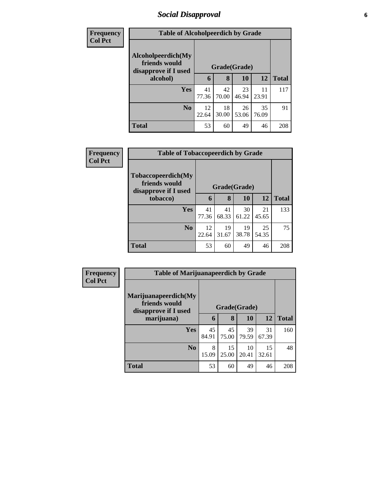### *Social Disapproval* **6**

| <b>Frequency</b> | <b>Table of Alcoholpeerdich by Grade</b>                    |             |             |              |             |              |
|------------------|-------------------------------------------------------------|-------------|-------------|--------------|-------------|--------------|
| <b>Col Pct</b>   |                                                             |             |             |              |             |              |
|                  | Alcoholpeerdich(My<br>friends would<br>disapprove if I used |             |             | Grade(Grade) |             |              |
|                  | alcohol)                                                    | 6           | 8           | <b>10</b>    | 12          | <b>Total</b> |
|                  | Yes                                                         | 41<br>77.36 | 42<br>70.00 | 23<br>46.94  | 11<br>23.91 | 117          |
|                  | N <sub>0</sub>                                              | 12<br>22.64 | 18<br>30.00 | 26<br>53.06  | 35<br>76.09 | 91           |
|                  | <b>Total</b>                                                | 53          | 60          | 49           | 46          | 208          |

| <b>Frequency</b> |                                                             | <b>Table of Tobaccopeerdich by Grade</b> |              |             |             |              |  |
|------------------|-------------------------------------------------------------|------------------------------------------|--------------|-------------|-------------|--------------|--|
| <b>Col Pct</b>   | Tobaccopeerdich(My<br>friends would<br>disapprove if I used |                                          | Grade(Grade) |             |             |              |  |
|                  | tobacco)                                                    | 6                                        | 8            | 10          | 12          | <b>Total</b> |  |
|                  | <b>Yes</b>                                                  | 41<br>77.36                              | 41<br>68.33  | 30<br>61.22 | 21<br>45.65 | 133          |  |
|                  | No                                                          | 12<br>22.64                              | 19<br>31.67  | 19<br>38.78 | 25<br>54.35 | 75           |  |
|                  | <b>Total</b>                                                | 53                                       | 60           | 49          | 46          | 208          |  |

| <b>Frequency</b> | <b>Table of Marijuanapeerdich by Grade</b>                    |              |             |             |             |              |
|------------------|---------------------------------------------------------------|--------------|-------------|-------------|-------------|--------------|
| <b>Col Pct</b>   | Marijuanapeerdich(My<br>friends would<br>disapprove if I used | Grade(Grade) |             |             |             |              |
|                  | marijuana)                                                    | 6            | 8           | 10          | <b>12</b>   | <b>Total</b> |
|                  | <b>Yes</b>                                                    | 45<br>84.91  | 45<br>75.00 | 39<br>79.59 | 31<br>67.39 | 160          |
|                  | N <sub>o</sub>                                                | 8<br>15.09   | 15<br>25.00 | 10<br>20.41 | 15<br>32.61 | 48           |
|                  | <b>Total</b>                                                  | 53           | 60          | 49          | 46          | 208          |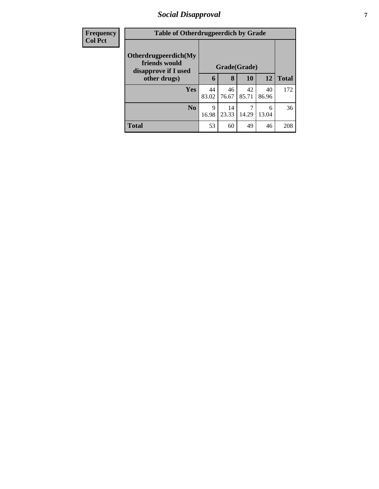### *Social Disapproval* **7**

| <b>Frequency</b> | <b>Table of Otherdrugpeerdich by Grade</b>                    |              |             |             |             |              |
|------------------|---------------------------------------------------------------|--------------|-------------|-------------|-------------|--------------|
| <b>Col Pct</b>   | Otherdrugpeerdich(My<br>friends would<br>disapprove if I used | Grade(Grade) |             |             |             |              |
|                  | other drugs)                                                  | 6            | 8           | <b>10</b>   | <b>12</b>   | <b>Total</b> |
|                  | Yes                                                           | 44<br>83.02  | 46<br>76.67 | 42<br>85.71 | 40<br>86.96 | 172          |
|                  | N <sub>0</sub>                                                | 9<br>16.98   | 14<br>23.33 | 14.29       | 6<br>13.04  | 36           |
|                  | <b>Total</b>                                                  | 53           | 60          | 49          | 46          | 208          |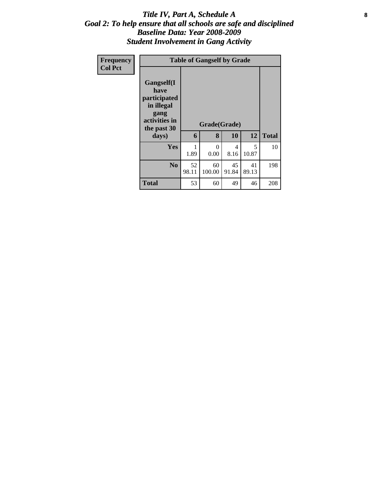### Title IV, Part A, Schedule A **8** *Goal 2: To help ensure that all schools are safe and disciplined Baseline Data: Year 2008-2009 Student Involvement in Gang Activity*

| Frequency<br><b>Col Pct</b> |                                                                                                   | <b>Table of Gangself by Grade</b> |                   |             |             |              |  |  |  |
|-----------------------------|---------------------------------------------------------------------------------------------------|-----------------------------------|-------------------|-------------|-------------|--------------|--|--|--|
|                             | Gangself(I<br>have<br>participated<br>in illegal<br>gang<br>activities in<br>the past 30<br>days) | 6                                 | Grade(Grade)<br>8 | 10          | 12          | <b>Total</b> |  |  |  |
|                             | Yes                                                                                               | 1.89                              | $\theta$<br>0.00  | 4<br>8.16   | 5<br>10.87  | 10           |  |  |  |
|                             | N <sub>0</sub>                                                                                    | 52<br>98.11                       | 60<br>100.00      | 45<br>91.84 | 41<br>89.13 | 198          |  |  |  |
|                             | <b>Total</b>                                                                                      | 53                                | 60                | 49          | 46          | 208          |  |  |  |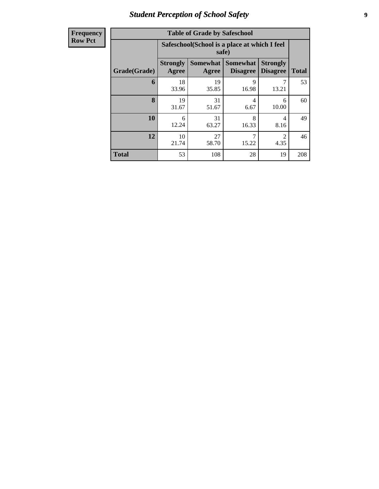# *Student Perception of School Safety* **9**

| <b>Frequency</b> |
|------------------|
| <b>Row Pct</b>   |

| <b>Table of Grade by Safeschool</b> |                          |                                                        |                                    |                                    |              |  |  |  |  |  |
|-------------------------------------|--------------------------|--------------------------------------------------------|------------------------------------|------------------------------------|--------------|--|--|--|--|--|
|                                     |                          | Safeschool (School is a place at which I feel<br>safe) |                                    |                                    |              |  |  |  |  |  |
| Grade(Grade)                        | <b>Strongly</b><br>Agree | <b>Somewhat</b><br>Agree                               | <b>Somewhat</b><br><b>Disagree</b> | <b>Strongly</b><br><b>Disagree</b> | <b>Total</b> |  |  |  |  |  |
| 6                                   | 18<br>33.96              | 19<br>35.85                                            | 9<br>16.98                         | 13.21                              | 53           |  |  |  |  |  |
| 8                                   | 19<br>31.67              | 31<br>51.67                                            | 4<br>6.67                          | 6<br>10.00                         | 60           |  |  |  |  |  |
| 10                                  | 6<br>12.24               | 31<br>63.27                                            | 8<br>16.33                         | 4<br>8.16                          | 49           |  |  |  |  |  |
| 12                                  | 10<br>21.74              | 7<br>27<br>$\mathfrak{D}$<br>58.70<br>15.22<br>4.35    |                                    |                                    |              |  |  |  |  |  |
| <b>Total</b>                        | 53                       | 108                                                    | 28                                 | 19                                 | 208          |  |  |  |  |  |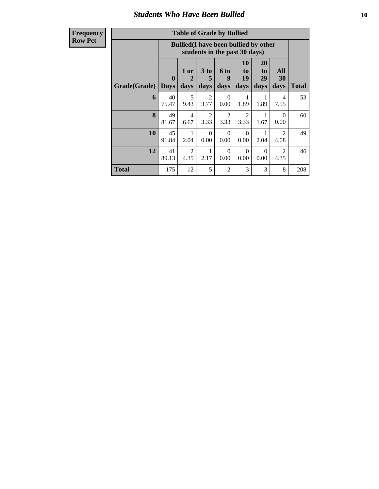### *Students Who Have Been Bullied* **10**

**Frequency Row Pct**

| <b>Table of Grade by Bullied</b> |                             |                                                                               |                              |                        |                        |                        |                        |              |  |
|----------------------------------|-----------------------------|-------------------------------------------------------------------------------|------------------------------|------------------------|------------------------|------------------------|------------------------|--------------|--|
|                                  |                             | <b>Bullied</b> (I have been bullied by other<br>students in the past 30 days) |                              |                        |                        |                        |                        |              |  |
| Grade(Grade)                     | $\mathbf{0}$<br><b>Days</b> | 1 or<br>$\mathbf{2}$<br>days                                                  | 3 <sub>to</sub><br>5<br>days | 6 to<br>9<br>days      | 10<br>to<br>19<br>days | 20<br>to<br>29<br>days | All<br>30<br>days      | <b>Total</b> |  |
| 6                                | 40<br>75.47                 | 5<br>9.43                                                                     | $\overline{2}$<br>3.77       | $\Omega$<br>0.00       | 1<br>1.89              | 1<br>1.89              | 4<br>7.55              | 53           |  |
| 8                                | 49<br>81.67                 | 4<br>6.67                                                                     | $\overline{2}$<br>3.33       | $\overline{2}$<br>3.33 | 2<br>3.33              | 1<br>1.67              | 0<br>0.00              | 60           |  |
| 10                               | 45<br>91.84                 | 1<br>2.04                                                                     | $\Omega$<br>0.00             | $\Omega$<br>0.00       | $\Omega$<br>0.00       | 1<br>2.04              | $\mathfrak{D}$<br>4.08 | 49           |  |
| 12                               | 41<br>89.13                 | $\mathfrak{D}$<br>4.35                                                        | 1<br>2.17                    | $\Omega$<br>0.00       | $\Omega$<br>0.00       | $\Omega$<br>0.00       | $\mathfrak{D}$<br>4.35 | 46           |  |
| Total                            | 175                         | 12                                                                            | 5                            | $\overline{c}$         | 3                      | 3                      | 8                      | 208          |  |

 $\blacksquare$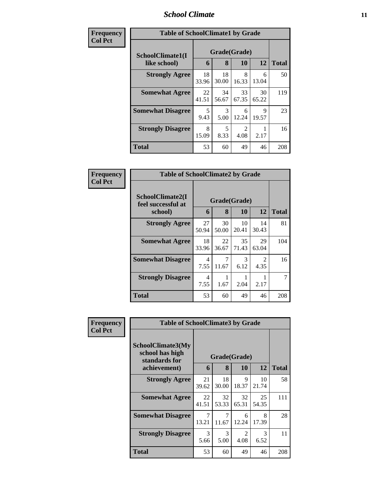### *School Climate* **11**

| Frequency      | <b>Table of SchoolClimate1 by Grade</b> |             |                   |                  |                  |     |  |
|----------------|-----------------------------------------|-------------|-------------------|------------------|------------------|-----|--|
| <b>Col Pct</b> | SchoolClimate1(I<br>like school)        | 6           | Grade(Grade)<br>8 | <b>Total</b>     |                  |     |  |
|                | <b>Strongly Agree</b>                   | 18<br>33.96 | 18<br>30.00       | 10<br>8<br>16.33 | 12<br>6<br>13.04 | 50  |  |
|                | <b>Somewhat Agree</b>                   | 22<br>41.51 | 34<br>56.67       | 33<br>67.35      | 30<br>65.22      | 119 |  |
|                | <b>Somewhat Disagree</b>                | 5<br>9.43   | 3<br>5.00         | 6<br>12.24       | 9<br>19.57       | 23  |  |
|                | <b>Strongly Disagree</b>                | 8<br>15.09  | 5<br>8.33         | 4.08             | 2.17             | 16  |  |
|                | <b>Total</b>                            | 53          | 60                | 49               | 46               | 208 |  |

| Frequency      | <b>Table of SchoolClimate2 by Grade</b>           |             |                   |             |                                     |              |
|----------------|---------------------------------------------------|-------------|-------------------|-------------|-------------------------------------|--------------|
| <b>Col Pct</b> | SchoolClimate2(I<br>feel successful at<br>school) | 6           | Grade(Grade)<br>8 | 10          | 12                                  | <b>Total</b> |
|                | <b>Strongly Agree</b>                             | 27<br>50.94 | 30<br>50.00       | 10<br>20.41 | 14<br>30.43                         | 81           |
|                | <b>Somewhat Agree</b>                             | 18<br>33.96 | 22<br>36.67       | 35<br>71.43 | 29<br>63.04                         | 104          |
|                | <b>Somewhat Disagree</b>                          | 4<br>7.55   | 7<br>11.67        | 3<br>6.12   | $\mathcal{D}_{\mathcal{L}}$<br>4.35 | 16           |
|                | <b>Strongly Disagree</b>                          | 4<br>7.55   | 1.67              | 2.04        | 2.17                                |              |
|                | Total                                             | 53          | 60                | 49          | 46                                  | 208          |

| Frequency      | <b>Table of SchoolClimate3 by Grade</b>                               |             |                       |             |             |              |  |
|----------------|-----------------------------------------------------------------------|-------------|-----------------------|-------------|-------------|--------------|--|
| <b>Col Pct</b> | SchoolClimate3(My<br>school has high<br>standards for<br>achievement) | 6           | Grade(Grade)<br>8     | 10          | 12          | <b>Total</b> |  |
|                |                                                                       |             |                       |             |             |              |  |
|                | <b>Strongly Agree</b>                                                 | 21<br>39.62 | 18<br>30.00           | 9<br>18.37  | 10<br>21.74 | 58           |  |
|                | <b>Somewhat Agree</b>                                                 | 22<br>41.51 | 32<br>53.33           | 32<br>65.31 | 25<br>54.35 | 111          |  |
|                | <b>Somewhat Disagree</b>                                              | 7<br>13.21  | 7<br>11.67            | 6<br>12.24  | 8<br>17.39  | 28           |  |
|                | <b>Strongly Disagree</b>                                              | 3<br>5.66   | $\mathcal{R}$<br>5.00 | 2<br>4.08   | 3<br>6.52   | 11           |  |
|                | <b>Total</b>                                                          | 53          | 60                    | 49          | 46          | 208          |  |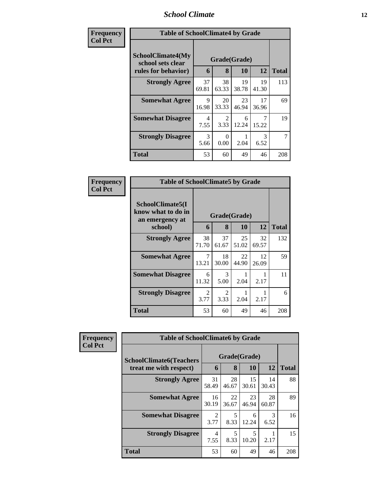### *School Climate* **12**

| Frequency      | <b>Table of SchoolClimate4 by Grade</b>                              |             |                       |             |             |              |
|----------------|----------------------------------------------------------------------|-------------|-----------------------|-------------|-------------|--------------|
| <b>Col Pct</b> | <b>SchoolClimate4(My</b><br>school sets clear<br>rules for behavior) | 6           | Grade(Grade)<br>8     | <b>10</b>   | 12          | <b>Total</b> |
|                | <b>Strongly Agree</b>                                                | 37<br>69.81 | 38<br>63.33           | 19<br>38.78 | 19<br>41.30 | 113          |
|                | <b>Somewhat Agree</b>                                                | 9<br>16.98  | 20<br>33.33           | 23<br>46.94 | 17<br>36.96 | 69           |
|                | <b>Somewhat Disagree</b>                                             | 4<br>7.55   | $\mathcal{D}$<br>3.33 | 6<br>12.24  | 7<br>15.22  | 19           |
|                | <b>Strongly Disagree</b>                                             | 3<br>5.66   | $\Omega$<br>0.00      | 2.04        | 3<br>6.52   | 7            |
|                | <b>Total</b>                                                         | 53          | 60                    | 49          | 46          | 208          |

| Frequency      | <b>Table of SchoolClimate5 by Grade</b>                   |             |             |              |             |              |  |  |
|----------------|-----------------------------------------------------------|-------------|-------------|--------------|-------------|--------------|--|--|
| <b>Col Pct</b> | SchoolClimate5(I<br>know what to do in<br>an emergency at |             |             | Grade(Grade) |             |              |  |  |
|                | school)                                                   | 6           | 8           | 10           | 12          | <b>Total</b> |  |  |
|                | <b>Strongly Agree</b>                                     | 38<br>71.70 | 37<br>61.67 | 25<br>51.02  | 32<br>69.57 | 132          |  |  |
|                | <b>Somewhat Agree</b>                                     | 7<br>13.21  | 18<br>30.00 | 22<br>44.90  | 12<br>26.09 | 59           |  |  |
|                | <b>Somewhat Disagree</b>                                  | 6<br>11.32  | 3<br>5.00   | 2.04         | 2.17        | 11           |  |  |
|                | <b>Strongly Disagree</b>                                  | 2<br>3.77   | 2<br>3.33   | 2.04         | 2.17        | 6            |  |  |
|                | Total                                                     | 53          | 60          | 49           | 46          | 208          |  |  |

| Frequency      | <b>Table of SchoolClimate6 by Grade</b>                  |                        |                                                  |             |             |              |  |
|----------------|----------------------------------------------------------|------------------------|--------------------------------------------------|-------------|-------------|--------------|--|
| <b>Col Pct</b> | <b>SchoolClimate6(Teachers</b><br>treat me with respect) |                        | Grade(Grade)<br><b>12</b><br>8<br><b>10</b><br>6 |             |             | <b>Total</b> |  |
|                | <b>Strongly Agree</b>                                    | 31<br>58.49            | 28<br>46.67                                      | 15<br>30.61 | 14<br>30.43 | 88           |  |
|                | <b>Somewhat Agree</b>                                    | 16<br>30.19            | 22<br>36.67                                      | 23<br>46.94 | 28<br>60.87 | 89           |  |
|                | <b>Somewhat Disagree</b>                                 | $\overline{2}$<br>3.77 | 5<br>8.33                                        | 6<br>12.24  | 3<br>6.52   | 16           |  |
|                | <b>Strongly Disagree</b>                                 | 4<br>7.55              | 5<br>8.33                                        | 5<br>10.20  | 2.17        | 15           |  |
|                | <b>Total</b>                                             | 53                     | 60                                               | 49          | 46          | 208          |  |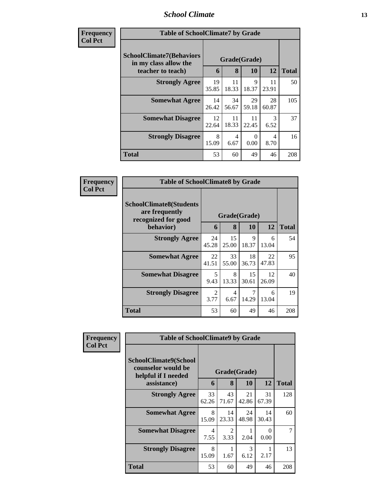### *School Climate* **13**

| Frequency<br>Col Pet |
|----------------------|
|----------------------|

×

| ncv | <b>Table of SchoolClimate7 by Grade</b>                                       |                   |              |                  |                       |     |  |  |  |
|-----|-------------------------------------------------------------------------------|-------------------|--------------|------------------|-----------------------|-----|--|--|--|
|     | <b>SchoolClimate7(Behaviors</b><br>in my class allow the<br>teacher to teach) | Grade(Grade)<br>6 | <b>Total</b> |                  |                       |     |  |  |  |
|     | <b>Strongly Agree</b>                                                         | 19<br>35.85       | 11<br>18.33  | 10<br>9<br>18.37 | 12<br>11<br>23.91     | 50  |  |  |  |
|     | <b>Somewhat Agree</b>                                                         | 14<br>26.42       | 34<br>56.67  | 29<br>59.18      | 28<br>60.87           | 105 |  |  |  |
|     | <b>Somewhat Disagree</b>                                                      | 12<br>22.64       | 11<br>18.33  | 11<br>22.45      | $\mathcal{R}$<br>6.52 | 37  |  |  |  |
|     | <b>Strongly Disagree</b>                                                      | 8<br>15.09        | 4<br>6.67    | $\Omega$<br>0.00 | 4<br>8.70             | 16  |  |  |  |
|     | <b>Total</b>                                                                  | 53                | 60           | 49               | 46                    | 208 |  |  |  |

| Frequency      | <b>Table of SchoolClimate8 by Grade</b>                                 |             |                        |             |             |              |  |  |
|----------------|-------------------------------------------------------------------------|-------------|------------------------|-------------|-------------|--------------|--|--|
| <b>Col Pct</b> | <b>SchoolClimate8(Students</b><br>are frequently<br>recognized for good |             | Grade(Grade)           |             |             |              |  |  |
|                | behavior)                                                               | 6           | 8                      | <b>10</b>   | <b>12</b>   | <b>Total</b> |  |  |
|                | <b>Strongly Agree</b>                                                   | 24<br>45.28 | 15<br>25.00            | 9<br>18.37  | 6<br>13.04  | 54           |  |  |
|                | <b>Somewhat Agree</b>                                                   | 22<br>41.51 | 33<br>55.00            | 18<br>36.73 | 22<br>47.83 | 95           |  |  |
|                | <b>Somewhat Disagree</b>                                                | 5<br>9.43   | 8<br>13.33             | 15<br>30.61 | 12<br>26.09 | 40           |  |  |
|                | <b>Strongly Disagree</b>                                                | 2<br>3.77   | $\overline{4}$<br>6.67 | 7<br>14.29  | 6<br>13.04  | 19           |  |  |
|                | <b>Total</b>                                                            | 53          | 60                     | 49          | 46          | 208          |  |  |

| Frequency      | <b>Table of SchoolClimate9 by Grade</b>                            |              |                        |                       |                  |              |  |  |
|----------------|--------------------------------------------------------------------|--------------|------------------------|-----------------------|------------------|--------------|--|--|
| <b>Col Pct</b> | SchoolClimate9(School<br>counselor would be<br>helpful if I needed | Grade(Grade) |                        |                       |                  |              |  |  |
|                | assistance)                                                        | 6            | 8                      | 10                    | 12               | <b>Total</b> |  |  |
|                | <b>Strongly Agree</b>                                              | 33<br>62.26  | 43<br>71.67            | 21<br>42.86           | 31<br>67.39      | 128          |  |  |
|                | <b>Somewhat Agree</b>                                              | 8<br>15.09   | 14<br>23.33            | 24<br>48.98           | 14<br>30.43      | 60           |  |  |
|                | <b>Somewhat Disagree</b>                                           | 4<br>7.55    | $\mathfrak{D}$<br>3.33 | 2.04                  | $\Omega$<br>0.00 | 7            |  |  |
|                | <b>Strongly Disagree</b>                                           | 8<br>15.09   | 1.67                   | $\mathcal{R}$<br>6.12 | 2.17             | 13           |  |  |
|                | <b>Total</b>                                                       | 53           | 60                     | 49                    | 46               | 208          |  |  |

-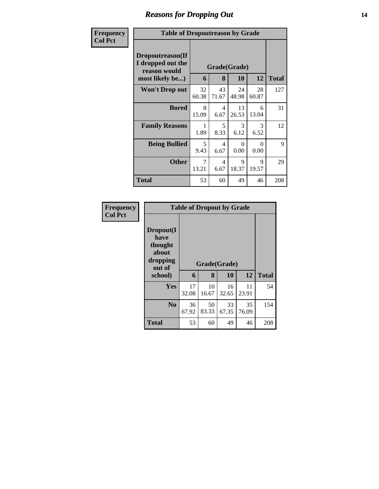# *Reasons for Dropping Out* **14**

| Frequency      | <b>Table of Dropoutreason by Grade</b>                                   |             |             |                    |             |              |  |  |  |
|----------------|--------------------------------------------------------------------------|-------------|-------------|--------------------|-------------|--------------|--|--|--|
| <b>Col Pct</b> | Dropoutreason(If<br>I dropped out the<br>reason would<br>most likely be) | 6           | 8           | Grade(Grade)<br>10 | 12          | <b>Total</b> |  |  |  |
|                | <b>Won't Drop out</b>                                                    | 32<br>60.38 | 43<br>71.67 | 24<br>48.98        | 28<br>60.87 | 127          |  |  |  |
|                | <b>Bored</b>                                                             | 8<br>15.09  | 4<br>6.67   | 13<br>26.53        | 6<br>13.04  | 31           |  |  |  |
|                | <b>Family Reasons</b>                                                    | 1<br>1.89   | 5<br>8.33   | 3<br>6.12          | 3<br>6.52   | 12           |  |  |  |
|                | <b>Being Bullied</b>                                                     | 5<br>9.43   | 4<br>6.67   | 0<br>0.00          | 0<br>0.00   | 9            |  |  |  |
|                | <b>Other</b>                                                             | 7<br>13.21  | 4<br>6.67   | 9<br>18.37         | 9<br>19.57  | 29           |  |  |  |
|                | <b>Total</b>                                                             | 53          | 60          | 49                 | 46          | 208          |  |  |  |

| Frequency<br><b>Col Pct</b> |                                                             | <b>Table of Dropout by Grade</b> |              |             |             |              |  |  |  |
|-----------------------------|-------------------------------------------------------------|----------------------------------|--------------|-------------|-------------|--------------|--|--|--|
|                             | Dropout(I<br>have<br>thought<br>about<br>dropping<br>out of |                                  | Grade(Grade) |             |             |              |  |  |  |
|                             | school)                                                     | 6                                | 8            | 10          | 12          | <b>Total</b> |  |  |  |
|                             | Yes                                                         | 17<br>32.08                      | 10<br>16.67  | 16<br>32.65 | 11<br>23.91 | 54           |  |  |  |
|                             | N <sub>0</sub>                                              | 36<br>67.92                      | 50<br>83.33  | 33<br>67.35 | 35<br>76.09 | 154          |  |  |  |
|                             | <b>Total</b>                                                | 53                               | 60           | 49          | 46          | 208          |  |  |  |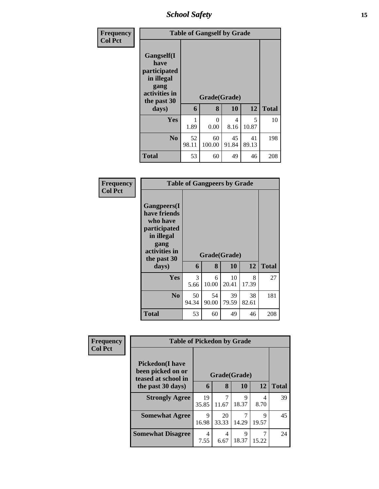*School Safety* **15**

| Frequency<br><b>Col Pct</b> | <b>Table of Gangself by Grade</b>                                                        |             |                  |                        |             |              |  |  |
|-----------------------------|------------------------------------------------------------------------------------------|-------------|------------------|------------------------|-------------|--------------|--|--|
|                             | Gangself(I<br>have<br>participated<br>in illegal<br>gang<br>activities in<br>the past 30 |             | Grade(Grade)     |                        |             |              |  |  |
|                             | days)                                                                                    | 6           | 8                | 10                     | 12          | <b>Total</b> |  |  |
|                             | Yes                                                                                      | 1.89        | $\Omega$<br>0.00 | $\overline{4}$<br>8.16 | 5<br>10.87  | 10           |  |  |
|                             | N <sub>0</sub>                                                                           | 52<br>98.11 | 60<br>100.00     | 45<br>91.84            | 41<br>89.13 | 198          |  |  |
|                             | <b>Total</b>                                                                             | 53          | 60               | 49                     | 46          | 208          |  |  |

| Frequency |
|-----------|
| Col Pct   |

| <b>Table of Gangpeers by Grade</b>                                                                                    |             |             |              |             |              |  |  |  |  |
|-----------------------------------------------------------------------------------------------------------------------|-------------|-------------|--------------|-------------|--------------|--|--|--|--|
| <b>Gangpeers</b> (I<br>have friends<br>who have<br>participated<br>in illegal<br>gang<br>activities in<br>the past 30 |             |             | Grade(Grade) |             |              |  |  |  |  |
| days)                                                                                                                 | 6           | 8           | 10           | 12          | <b>Total</b> |  |  |  |  |
| Yes                                                                                                                   | 3<br>5.66   | 6<br>10.00  | 10<br>20.41  | 8<br>17.39  | 27           |  |  |  |  |
| No                                                                                                                    | 50<br>94.34 | 54<br>90.00 | 39<br>79.59  | 38<br>82.61 | 181          |  |  |  |  |
| Total                                                                                                                 | 53          | 60          | 49           | 46          | 208          |  |  |  |  |

| Frequency      | <b>Table of Pickedon by Grade</b>                                   |              |             |            |            |              |  |
|----------------|---------------------------------------------------------------------|--------------|-------------|------------|------------|--------------|--|
| <b>Col Pct</b> | <b>Pickedon</b> (I have<br>been picked on or<br>teased at school in | Grade(Grade) |             |            |            |              |  |
|                | the past 30 days)                                                   | 6            | 8           | 10         | 12         | <b>Total</b> |  |
|                | <b>Strongly Agree</b>                                               | 19<br>35.85  | 11.67       | 9<br>18.37 | 4<br>8.70  | 39           |  |
|                | <b>Somewhat Agree</b>                                               | 9<br>16.98   | 20<br>33.33 | 14.29      | 9<br>19.57 | 45           |  |
|                | <b>Somewhat Disagree</b>                                            | 4<br>7.55    | 4<br>6.67   | 9<br>18.37 | 15.22      | 24           |  |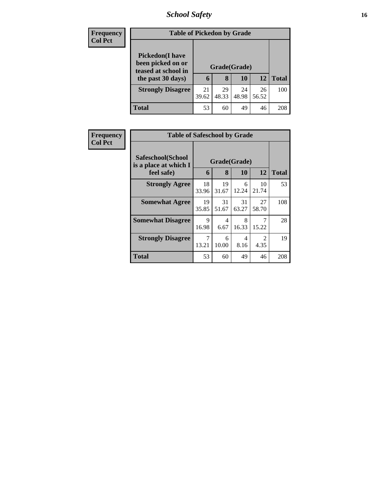# *School Safety* **16**

| <b>Frequency</b> | <b>Table of Pickedon by Grade</b>                                                        |             |                   |             |             |              |  |  |
|------------------|------------------------------------------------------------------------------------------|-------------|-------------------|-------------|-------------|--------------|--|--|
| <b>Col Pct</b>   | <b>Pickedon</b> (I have<br>been picked on or<br>teased at school in<br>the past 30 days) | 6           | Grade(Grade)<br>8 | 10          | 12          | <b>Total</b> |  |  |
|                  | <b>Strongly Disagree</b>                                                                 | 21<br>39.62 | 29<br>48.33       | 24<br>48.98 | 26<br>56.52 | 100          |  |  |
|                  | Total                                                                                    | 53          | 60                | 49          | 46          | 208          |  |  |

| Frequency      | <b>Table of Safeschool by Grade</b>                      |                   |                                  |              |                        |     |
|----------------|----------------------------------------------------------|-------------------|----------------------------------|--------------|------------------------|-----|
| <b>Col Pct</b> | Safeschool(School<br>is a place at which I<br>feel safe) | Grade(Grade)<br>6 | 12                               | <b>Total</b> |                        |     |
|                | <b>Strongly Agree</b>                                    | 18                | 8<br>19                          | 10<br>6      | 10                     | 53  |
|                |                                                          | 33.96             | 31.67                            | 12.24        | 21.74                  |     |
|                | <b>Somewhat Agree</b>                                    | 19<br>35.85       | 31<br>51.67                      | 31<br>63.27  | 27<br>58.70            | 108 |
|                | <b>Somewhat Disagree</b>                                 | 9<br>16.98        | $\overline{\mathcal{A}}$<br>6.67 | 8<br>16.33   | 15.22                  | 28  |
|                | <b>Strongly Disagree</b>                                 | 7<br>13.21        | 6<br>10.00                       | 4<br>8.16    | $\overline{2}$<br>4.35 | 19  |
|                | Total                                                    | 53                | 60                               | 49           | 46                     | 208 |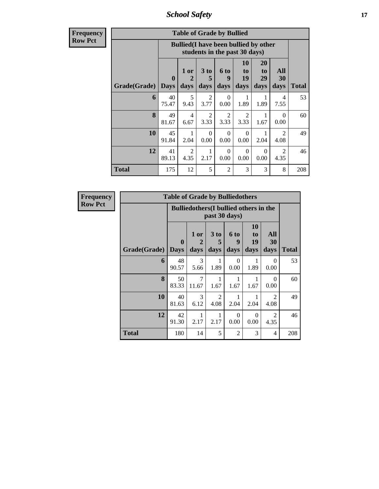*School Safety* **17**

**Frequency Row Pct**

| <b>Table of Grade by Bullied</b>                                                                                                                                                                                   |                                                                                                                        |                                                                               |                        |                        |                  |      |                        |       |  |
|--------------------------------------------------------------------------------------------------------------------------------------------------------------------------------------------------------------------|------------------------------------------------------------------------------------------------------------------------|-------------------------------------------------------------------------------|------------------------|------------------------|------------------|------|------------------------|-------|--|
|                                                                                                                                                                                                                    |                                                                                                                        | <b>Bullied</b> (I have been bullied by other<br>students in the past 30 days) |                        |                        |                  |      |                        |       |  |
| 10<br>20<br>All<br>1 or<br>3 <sub>to</sub><br><b>6 to</b><br>to<br>to<br>19<br>$\mathbf{0}$<br>$\overline{2}$<br>29<br>30<br>5<br>9<br>Grade(Grade)<br>days<br><b>Days</b><br>days<br>days<br>days<br>days<br>days |                                                                                                                        |                                                                               |                        |                        |                  |      |                        | Total |  |
| 6                                                                                                                                                                                                                  | 40<br>75.47                                                                                                            | 5<br>9.43                                                                     | 2<br>3.77              | 0<br>0.00              | 1<br>1.89        | 1.89 | 4<br>7.55              | 53    |  |
| 8                                                                                                                                                                                                                  | 49<br>81.67                                                                                                            | $\overline{4}$<br>6.67                                                        | $\overline{2}$<br>3.33 | $\mathfrak{D}$<br>3.33 | 2<br>3.33        | 1.67 | $\Omega$<br>0.00       | 60    |  |
| 10                                                                                                                                                                                                                 | 45<br>91.84                                                                                                            | 1<br>2.04                                                                     | $\Omega$<br>0.00       | $\Omega$<br>0.00       | $\Omega$<br>0.00 | 2.04 | $\mathfrak{D}$<br>4.08 | 49    |  |
| 12                                                                                                                                                                                                                 | 41<br>2<br>$\mathfrak{D}$<br>$\Omega$<br>$\Omega$<br>$\Omega$<br>4.35<br>2.17<br>0.00<br>0.00<br>4.35<br>89.13<br>0.00 |                                                                               |                        |                        |                  |      |                        |       |  |
| <b>Total</b>                                                                                                                                                                                                       | 175                                                                                                                    | 12                                                                            | 5                      | $\overline{2}$         | 3                | 3    | 8                      | 208   |  |

| <b>Frequency</b> |              | <b>Table of Grade by Bulliedothers</b> |                                                                |                         |                   |                               |                        |              |  |  |  |
|------------------|--------------|----------------------------------------|----------------------------------------------------------------|-------------------------|-------------------|-------------------------------|------------------------|--------------|--|--|--|
| <b>Row Pct</b>   |              |                                        | <b>Bulliedothers</b> (I bullied others in the<br>past 30 days) |                         |                   |                               |                        |              |  |  |  |
|                  | Grade(Grade) | $\mathbf 0$<br><b>Days</b>             | 1 or<br>2<br>days                                              | 3 <sub>to</sub><br>days | 6 to<br>9<br>days | <b>10</b><br>to<br>19<br>days | All<br>30<br>days      | <b>Total</b> |  |  |  |
|                  | 6            | 48<br>90.57                            | 3<br>5.66                                                      | 1.89                    | $\Omega$<br>0.00  | 1.89                          | 0<br>0.00              | 53           |  |  |  |
|                  | 8            | 50<br>83.33                            | $\overline{7}$<br>11.67                                        | 1.67                    | 1.67              | 1.67                          | $\Omega$<br>0.00       | 60           |  |  |  |
|                  | 10           | 40<br>81.63                            | 3<br>6.12                                                      | $\overline{c}$<br>4.08  | 2.04              | 2.04                          | $\overline{2}$<br>4.08 | 49           |  |  |  |
|                  | 12           | 42<br>91.30                            | 2.17                                                           | 2.17                    | $\Omega$<br>0.00  | $\Omega$<br>0.00              | $\overline{2}$<br>4.35 | 46           |  |  |  |
|                  | <b>Total</b> | 180                                    | 14                                                             | 5                       | $\overline{c}$    | 3                             | 4                      | 208          |  |  |  |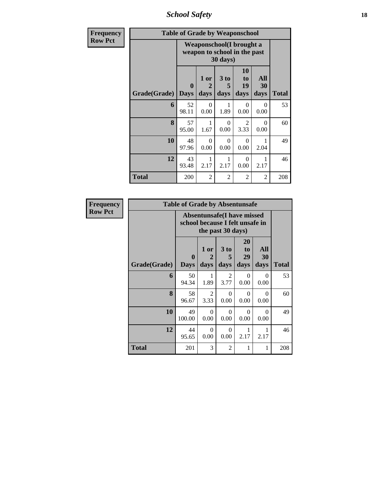*School Safety* **18**

| <b>Frequency</b> |              | <b>Table of Grade by Weaponschool</b>                                         |                                |                   |                        |                   |              |  |  |
|------------------|--------------|-------------------------------------------------------------------------------|--------------------------------|-------------------|------------------------|-------------------|--------------|--|--|
| <b>Row Pct</b>   |              | Weaponschool(I brought a<br>weapon to school in the past<br>$30 \text{ days}$ |                                |                   |                        |                   |              |  |  |
|                  | Grade(Grade) | $\mathbf{0}$<br><b>Days</b>                                                   | 1 or<br>$\overline{2}$<br>days | 3 to<br>5<br>days | 10<br>to<br>19<br>days | All<br>30<br>days | <b>Total</b> |  |  |
|                  | 6            | 52<br>98.11                                                                   | $\Omega$<br>0.00               | 1.89              | $\Omega$<br>0.00       | $\Omega$<br>0.00  | 53           |  |  |
|                  | 8            | 57<br>95.00                                                                   | 1<br>1.67                      | 0<br>0.00         | 2<br>3.33              | $\Omega$<br>0.00  | 60           |  |  |
|                  | 10           | 48<br>97.96                                                                   | $\Omega$<br>0.00               | $\theta$<br>0.00  | $\Omega$<br>0.00       | 1<br>2.04         | 49           |  |  |
|                  | 12           | 43<br>93.48                                                                   | 1<br>2.17                      | 2.17              | $\Omega$<br>0.00       | 2.17              | 46           |  |  |
|                  | <b>Total</b> | 200                                                                           | 2                              | $\overline{c}$    | $\overline{2}$         | $\overline{2}$    | 208          |  |  |

| <b>Frequency</b> |              | <b>Table of Grade by Absentunsafe</b> |                                                                                           |                              |                        |                   |              |  |  |  |
|------------------|--------------|---------------------------------------|-------------------------------------------------------------------------------------------|------------------------------|------------------------|-------------------|--------------|--|--|--|
| <b>Row Pct</b>   |              |                                       | <b>Absentunsafe(I have missed</b><br>school because I felt unsafe in<br>the past 30 days) |                              |                        |                   |              |  |  |  |
|                  | Grade(Grade) | $\mathbf{0}$<br><b>Days</b>           | 1 or<br>$\mathbf 2$<br>days                                                               | 3 <sub>to</sub><br>5<br>days | 20<br>to<br>29<br>days | All<br>30<br>days | <b>Total</b> |  |  |  |
|                  | 6            | 50<br>94.34                           | 1.89                                                                                      | 2<br>3.77                    | $\Omega$<br>0.00       | $\Omega$<br>0.00  | 53           |  |  |  |
|                  | 8            | 58<br>96.67                           | 2<br>3.33                                                                                 | 0<br>0.00                    | $\Omega$<br>0.00       | $\Omega$<br>0.00  | 60           |  |  |  |
|                  | 10           | 49<br>100.00                          | $\Omega$<br>0.00                                                                          | $\theta$<br>0.00             | $\Omega$<br>0.00       | $\Omega$<br>0.00  | 49           |  |  |  |
|                  | 12           | 44<br>95.65                           | $\Omega$<br>0.00                                                                          | $\Omega$<br>0.00             | 2.17                   | 1<br>2.17         | 46           |  |  |  |
|                  | Total        | 201                                   | 3                                                                                         | 2                            | 1                      | 1                 | 208          |  |  |  |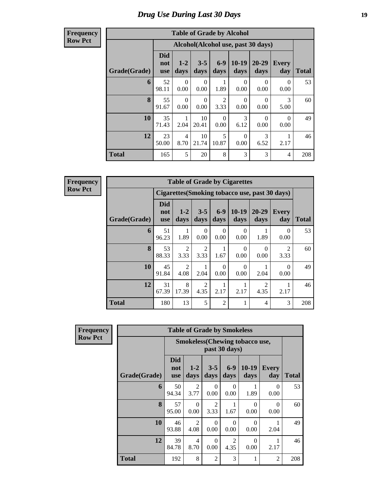### *Drug Use During Last 30 Days* **19**

**Frequency Row Pct**

| <b>Table of Grade by Alcohol</b> |                                 |                                                                                              |                 |                        |                 |                   |                  |              |  |  |  |
|----------------------------------|---------------------------------|----------------------------------------------------------------------------------------------|-----------------|------------------------|-----------------|-------------------|------------------|--------------|--|--|--|
|                                  |                                 | Alcohol(Alcohol use, past 30 days)                                                           |                 |                        |                 |                   |                  |              |  |  |  |
| Grade(Grade)                     | <b>Did</b><br>not<br><b>use</b> | $1 - 2$<br>days                                                                              | $3 - 5$<br>days | $6-9$<br>days          | $10-19$<br>days | $20 - 29$<br>days | Every<br>day     | <b>Total</b> |  |  |  |
| 6                                | 52<br>98.11                     | $\Omega$<br>0.00                                                                             | 0<br>0.00       | 1.89                   | 0<br>0.00       | 0<br>0.00         | 0<br>0.00        | 53           |  |  |  |
| 8                                | 55<br>91.67                     | $\Omega$<br>0.00                                                                             | 0<br>0.00       | $\overline{2}$<br>3.33 | 0<br>0.00       | 0<br>0.00         | 3<br>5.00        | 60           |  |  |  |
| 10                               | 35<br>71.43                     | 1<br>2.04                                                                                    | 10<br>20.41     | $\Omega$<br>0.00       | 3<br>6.12       | $\Omega$<br>0.00  | $\Omega$<br>0.00 | 49           |  |  |  |
| 12                               | 23<br>50.00                     | 10<br>5<br>3<br>$\overline{4}$<br>$\Omega$<br>21.74<br>10.87<br>8.70<br>0.00<br>6.52<br>2.17 |                 |                        |                 |                   |                  |              |  |  |  |
| <b>Total</b>                     | 165                             | 5                                                                                            | 20              | 8                      | 3               | 3                 | 4                | 208          |  |  |  |

**Frequency Row Pct**

| <b>Table of Grade by Cigarettes</b>                                                                         |                          |                                                                                                                           |                  |                  |                  |           |                        |     |  |  |  |
|-------------------------------------------------------------------------------------------------------------|--------------------------|---------------------------------------------------------------------------------------------------------------------------|------------------|------------------|------------------|-----------|------------------------|-----|--|--|--|
|                                                                                                             |                          | Cigarettes (Smoking tobacco use, past 30 days)                                                                            |                  |                  |                  |           |                        |     |  |  |  |
| Grade(Grade)                                                                                                | Did<br>not<br><b>use</b> | $6-9$<br>$10-19$<br>$20 - 29$<br>$1-2$<br>$3 - 5$<br>Every<br><b>Total</b><br>days<br>days<br>day<br>days<br>days<br>days |                  |                  |                  |           |                        |     |  |  |  |
| 6                                                                                                           | 51<br>96.23              | 1.89                                                                                                                      | $\theta$<br>0.00 | $\theta$<br>0.00 | 0<br>0.00        | 1.89      | 0<br>0.00              | 53  |  |  |  |
| 8                                                                                                           | 53<br>88.33              | 2<br>3.33                                                                                                                 | 2<br>3.33        | 1.67             | $\Omega$<br>0.00 | 0<br>0.00 | $\mathfrak{D}$<br>3.33 | 60  |  |  |  |
| 10                                                                                                          | 45<br>91.84              | 2<br>4.08                                                                                                                 | 2.04             | 0<br>0.00        | 0<br>0.00        | 2.04      | 0<br>0.00              | 49  |  |  |  |
| 12<br>31<br>8<br>$\overline{2}$<br>$\mathfrak{D}$<br>67.39<br>17.39<br>2.17<br>2.17<br>4.35<br>4.35<br>2.17 |                          |                                                                                                                           |                  |                  |                  |           |                        |     |  |  |  |
| <b>Total</b>                                                                                                | 180                      | 13                                                                                                                        | 5                | $\overline{2}$   | 1                | 4         | 3                      | 208 |  |  |  |

| Frequency      |              |                                 | <b>Table of Grade by Smokeless</b>                      |                        |                        |                  |                     |              |  |  |  |
|----------------|--------------|---------------------------------|---------------------------------------------------------|------------------------|------------------------|------------------|---------------------|--------------|--|--|--|
| <b>Row Pct</b> |              |                                 | <b>Smokeless</b> (Chewing tobacco use,<br>past 30 days) |                        |                        |                  |                     |              |  |  |  |
|                | Grade(Grade) | <b>Did</b><br>not<br><b>use</b> | $1 - 2$<br>days                                         | $3 - 5$<br>days        | $6 - 9$<br>days        | $10-19$<br>days  | <b>Every</b><br>day | <b>Total</b> |  |  |  |
|                | 6            | 50<br>94.34                     | $\mathfrak{D}$<br>3.77                                  | 0<br>0.00              | 0<br>0.00              | 1<br>1.89        | $\Omega$<br>0.00    | 53           |  |  |  |
|                | 8            | 57<br>95.00                     | $\Omega$<br>0.00                                        | $\overline{2}$<br>3.33 | 1.67                   | $\Omega$<br>0.00 | $\Omega$<br>0.00    | 60           |  |  |  |
|                | 10           | 46<br>93.88                     | $\overline{2}$<br>4.08                                  | $\Omega$<br>0.00       | $\Omega$<br>0.00       | $\Omega$<br>0.00 | 2.04                | 49           |  |  |  |
|                | 12           | 39<br>84.78                     | 4<br>8.70                                               | $\Omega$<br>0.00       | $\overline{2}$<br>4.35 | $\theta$<br>0.00 | 2.17                | 46           |  |  |  |
|                | <b>Total</b> | 192                             | 8                                                       | $\overline{2}$         | 3                      | 1                | $\overline{2}$      | 208          |  |  |  |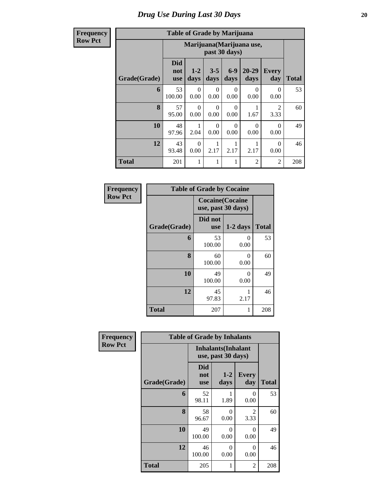**Frequency Row Pct**

# **Table of Grade by Marijuana**

| Table of Graue by Inarritania |                                 |                                                                                                               |                  |           |                  |                  |     |  |  |  |  |
|-------------------------------|---------------------------------|---------------------------------------------------------------------------------------------------------------|------------------|-----------|------------------|------------------|-----|--|--|--|--|
|                               |                                 | Marijuana (Marijuana use,<br>past 30 days)                                                                    |                  |           |                  |                  |     |  |  |  |  |
| Grade(Grade)                  | <b>Did</b><br>not<br><b>use</b> | $6-9$<br>$20 - 29$<br>$3 - 5$<br>$1-2$<br><b>Every</b><br>days<br>days<br>days<br>day<br><b>Total</b><br>days |                  |           |                  |                  |     |  |  |  |  |
| 6                             | 53<br>100.00                    | $\Omega$<br>0.00                                                                                              | $\Omega$<br>0.00 | 0<br>0.00 | $\Omega$<br>0.00 | $\Omega$<br>0.00 | 53  |  |  |  |  |
| 8                             | 57<br>95.00                     | $\Omega$<br>0.00                                                                                              | $\Omega$<br>0.00 | 0<br>0.00 | 1.67             | 2<br>3.33        | 60  |  |  |  |  |
| 10                            | 48<br>97.96                     | 2.04                                                                                                          | $\Omega$<br>0.00 | 0<br>0.00 | $\Omega$<br>0.00 | $\Omega$<br>0.00 | 49  |  |  |  |  |
| 12                            | 43<br>93.48                     | $\Omega$<br>$\Omega$<br>2.17<br>2.17<br>2.17<br>0.00<br>0.00                                                  |                  |           |                  |                  |     |  |  |  |  |
| <b>Total</b>                  | 201                             | 1                                                                                                             | 1                | 1         | 2                | $\overline{2}$   | 208 |  |  |  |  |

| Frequency      | <b>Table of Grade by Cocaine</b> |                                               |            |              |
|----------------|----------------------------------|-----------------------------------------------|------------|--------------|
| <b>Row Pct</b> |                                  | <b>Cocaine</b> (Cocaine<br>use, past 30 days) |            |              |
|                | Grade(Grade)                     | Did not<br><b>use</b>                         | $1-2$ days | <b>Total</b> |
|                | 6                                | 53<br>100.00                                  | 0<br>0.00  | 53           |
|                | 8                                | 60<br>100.00                                  | 0<br>0.00  | 60           |
|                | 10                               | 49<br>100.00                                  | 0<br>0.00  | 49           |
|                | 12                               | 45<br>97.83                                   | 2.17       | 46           |
|                | <b>Total</b>                     | 207                                           | 1          | 208          |

| Frequency      | <b>Table of Grade by Inhalants</b> |                                 |                                                  |                     |              |  |  |  |  |  |
|----------------|------------------------------------|---------------------------------|--------------------------------------------------|---------------------|--------------|--|--|--|--|--|
| <b>Row Pct</b> |                                    |                                 | <b>Inhalants</b> (Inhalant<br>use, past 30 days) |                     |              |  |  |  |  |  |
|                | Grade(Grade)                       | <b>Did</b><br>not<br><b>use</b> | $1-2$<br>days                                    | <b>Every</b><br>day | <b>Total</b> |  |  |  |  |  |
|                | 6                                  | 52<br>98.11                     | 1.89                                             | $\Omega$<br>0.00    | 53           |  |  |  |  |  |
|                | 8                                  | 58<br>96.67                     | 0<br>0.00                                        | 2<br>3.33           | 60           |  |  |  |  |  |
|                | 10                                 | 49<br>100.00                    | 0<br>0.00                                        | $\Omega$<br>0.00    | 49           |  |  |  |  |  |
|                | 12                                 | 46<br>100.00                    | 0<br>0.00                                        | $\Omega$<br>0.00    | 46           |  |  |  |  |  |
|                | <b>Total</b>                       | 205                             | 1                                                | 2                   | 208          |  |  |  |  |  |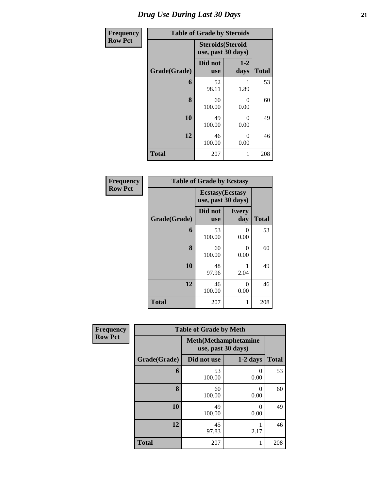| Frequency      | <b>Table of Grade by Steroids</b> |                                                |                  |              |  |  |
|----------------|-----------------------------------|------------------------------------------------|------------------|--------------|--|--|
| <b>Row Pct</b> |                                   | <b>Steroids</b> (Steroid<br>use, past 30 days) |                  |              |  |  |
|                | Grade(Grade)                      | Did not<br><b>use</b>                          | $1-2$<br>days    | <b>Total</b> |  |  |
|                | 6                                 | 52<br>98.11                                    | 1.89             | 53           |  |  |
|                | 8                                 | 60<br>100.00                                   | 0<br>0.00        | 60           |  |  |
|                | 10                                | 49<br>100.00                                   | $\theta$<br>0.00 | 49           |  |  |
|                | 12                                | 46<br>100.00                                   | 46               |              |  |  |
|                | <b>Total</b>                      | 207                                            | 1                | 208          |  |  |

| Frequency      |              | <b>Table of Grade by Ecstasy</b>              |                     |              |
|----------------|--------------|-----------------------------------------------|---------------------|--------------|
| <b>Row Pct</b> |              | <b>Ecstasy</b> (Ecstasy<br>use, past 30 days) |                     |              |
|                | Grade(Grade) | Did not<br><b>use</b>                         | <b>Every</b><br>day | <b>Total</b> |
|                | 6            | 53<br>100.00                                  | 0<br>0.00           | 53           |
|                | 8            | 60<br>100.00                                  | 0<br>0.00           | 60           |
|                | 10           | 48<br>97.96                                   | 2.04                | 49           |
|                | 12           | 46<br>100.00                                  | 0<br>0.00           | 46           |
|                | <b>Total</b> | 207                                           | 1                   | 208          |

| <b>Frequency</b> | <b>Table of Grade by Meth</b> |                                                    |                  |     |  |  |  |  |
|------------------|-------------------------------|----------------------------------------------------|------------------|-----|--|--|--|--|
| <b>Row Pct</b>   |                               | <b>Meth</b> (Methamphetamine<br>use, past 30 days) |                  |     |  |  |  |  |
|                  | Grade(Grade)                  | Did not use                                        | $1-2$ days       |     |  |  |  |  |
|                  | 6                             | 53<br>100.00                                       | 0<br>0.00        | 53  |  |  |  |  |
|                  | 8                             | 60<br>100.00                                       | $\Omega$<br>0.00 | 60  |  |  |  |  |
|                  | 10                            | 49<br>100.00                                       | $\Omega$<br>0.00 | 49  |  |  |  |  |
|                  | 12                            | 45<br>97.83                                        | 46               |     |  |  |  |  |
|                  | <b>Total</b>                  | 207                                                | 1                | 208 |  |  |  |  |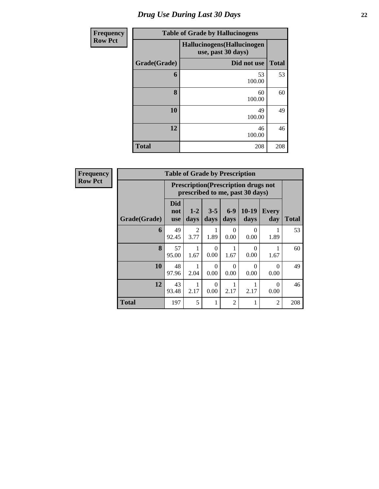# *Drug Use During Last 30 Days* **22**

| <b>Frequency</b> |              | <b>Table of Grade by Hallucinogens</b>            |              |  |  |  |  |
|------------------|--------------|---------------------------------------------------|--------------|--|--|--|--|
| <b>Row Pct</b>   |              | Hallucinogens (Hallucinogen<br>use, past 30 days) |              |  |  |  |  |
|                  | Grade(Grade) | Did not use                                       | <b>Total</b> |  |  |  |  |
|                  | 6            | 53<br>100.00                                      | 53           |  |  |  |  |
|                  | 8            | 60<br>100.00                                      | 60           |  |  |  |  |
|                  | 10           | 49<br>100.00                                      | 49           |  |  |  |  |
|                  | 12           | 46<br>100.00                                      | 46           |  |  |  |  |
|                  | <b>Total</b> | 208                                               | 208          |  |  |  |  |

| Frequency      |              | <b>Table of Grade by Prescription</b> |                        |                  |                  |                                                                                |                     |              |  |
|----------------|--------------|---------------------------------------|------------------------|------------------|------------------|--------------------------------------------------------------------------------|---------------------|--------------|--|
| <b>Row Pct</b> |              |                                       |                        |                  |                  | <b>Prescription</b> (Prescription drugs not<br>prescribed to me, past 30 days) |                     |              |  |
|                | Grade(Grade) | <b>Did</b><br>not<br><b>use</b>       | $1-2$<br>days          | $3 - 5$<br>days  | $6-9$<br>days    | $10-19$<br>days                                                                | <b>Every</b><br>day | <b>Total</b> |  |
|                | 6            | 49<br>92.45                           | $\mathfrak{D}$<br>3.77 | 1.89             | $\Omega$<br>0.00 | $\Omega$<br>0.00                                                               | 1.89                | 53           |  |
|                | 8            | 57<br>95.00                           | 1.67                   | 0<br>0.00        | 1.67             | $\Omega$<br>0.00                                                               | 1.67                | 60           |  |
|                | 10           | 48<br>97.96                           | 2.04                   | 0<br>0.00        | $\theta$<br>0.00 | $\Omega$<br>0.00                                                               | 0<br>0.00           | 49           |  |
|                | 12           | 43<br>93.48                           | 2.17                   | $\Omega$<br>0.00 | 2.17             | 2.17                                                                           | $\Omega$<br>0.00    | 46           |  |
|                | <b>Total</b> | 197                                   | 5                      |                  | $\mathfrak{D}$   | 1                                                                              | $\overline{c}$      | 208          |  |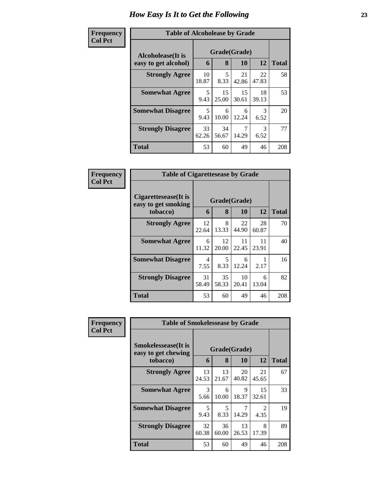#### **Frequency Col Pct**

| ncy | <b>Table of Alcoholease by Grade</b> |             |                                    |             |             |              |  |  |  |  |
|-----|--------------------------------------|-------------|------------------------------------|-------------|-------------|--------------|--|--|--|--|
|     | Alcoholease(It is                    |             | Grade(Grade)<br>8<br>12<br>10<br>6 |             |             |              |  |  |  |  |
|     | easy to get alcohol)                 |             |                                    |             |             | <b>Total</b> |  |  |  |  |
|     | <b>Strongly Agree</b>                | 10<br>18.87 | 5<br>8.33                          | 21<br>42.86 | 22<br>47.83 | 58           |  |  |  |  |
|     | <b>Somewhat Agree</b>                | 5<br>9.43   | 15<br>25.00                        | 15<br>30.61 | 18<br>39.13 | 53           |  |  |  |  |
|     | <b>Somewhat Disagree</b>             | 5<br>9.43   | 6<br>10.00                         | 6<br>12.24  | 3<br>6.52   | 20           |  |  |  |  |
|     | <b>Strongly Disagree</b>             | 33<br>62.26 | 34<br>56.67                        | 14.29       | 3<br>6.52   | 77           |  |  |  |  |
|     | <b>Total</b>                         | 53          | 60                                 | 49          | 46          | 208          |  |  |  |  |

| Frequency      | <b>Table of Cigarettesease by Grade</b>                 |             |                   |             |             |              |
|----------------|---------------------------------------------------------|-------------|-------------------|-------------|-------------|--------------|
| <b>Col Pct</b> | Cigarettesease(It is<br>easy to get smoking<br>tobacco) | 6           | Grade(Grade)<br>8 | 10          | 12          | <b>Total</b> |
|                | <b>Strongly Agree</b>                                   | 12<br>22.64 | 8<br>13.33        | 22<br>44.90 | 28<br>60.87 | 70           |
|                | <b>Somewhat Agree</b>                                   | 6<br>11.32  | 12<br>20.00       | 11<br>22.45 | 11<br>23.91 | 40           |
|                | <b>Somewhat Disagree</b>                                | 4<br>7.55   | 5<br>8.33         | 6<br>12.24  | 2.17        | 16           |
|                | <b>Strongly Disagree</b>                                | 31<br>58.49 | 35<br>58.33       | 10<br>20.41 | 6<br>13.04  | 82           |
|                | Total                                                   | 53          | 60                | 49          | 46          | 208          |

| <b>Frequency</b> | <b>Table of Smokelessease by Grade</b>             |             |                                  |              |                                     |              |
|------------------|----------------------------------------------------|-------------|----------------------------------|--------------|-------------------------------------|--------------|
| <b>Col Pct</b>   | <b>Smokelessease</b> (It is<br>easy to get chewing |             |                                  | Grade(Grade) |                                     |              |
|                  | tobacco)                                           | 6           | 8                                | 10           | 12                                  | <b>Total</b> |
|                  | <b>Strongly Agree</b>                              | 13<br>24.53 | 13<br>21.67                      | 20<br>40.82  | 21<br>45.65                         | 67           |
|                  | <b>Somewhat Agree</b>                              | 3<br>5.66   | 6<br>10.00                       | 9<br>18.37   | 15<br>32.61                         | 33           |
|                  | <b>Somewhat Disagree</b>                           | 5<br>9.43   | $\overline{\mathcal{L}}$<br>8.33 | 7<br>14.29   | $\mathcal{D}_{\mathcal{L}}$<br>4.35 | 19           |
|                  | <b>Strongly Disagree</b>                           | 32<br>60.38 | 36<br>60.00                      | 13<br>26.53  | 8<br>17.39                          | 89           |
|                  | <b>Total</b>                                       | 53          | 60                               | 49           | 46                                  | 208          |

÷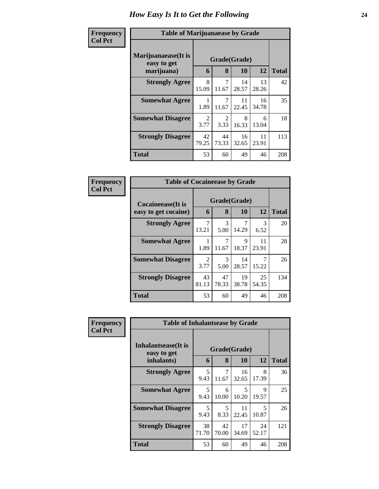| Frequency      | <b>Table of Marijuanaease by Grade</b>           |                        |                        |             |             |              |
|----------------|--------------------------------------------------|------------------------|------------------------|-------------|-------------|--------------|
| <b>Col Pct</b> | Marijuanaease(It is<br>easy to get<br>marijuana) | 6                      | Grade(Grade)<br>8      | <b>10</b>   | 12          | <b>Total</b> |
|                | <b>Strongly Agree</b>                            | 8<br>15.09             | 7<br>11.67             | 14<br>28.57 | 13<br>28.26 | 42           |
|                | <b>Somewhat Agree</b>                            | 1.89                   | 7<br>11.67             | 11<br>22.45 | 16<br>34.78 | 35           |
|                | <b>Somewhat Disagree</b>                         | $\mathfrak{D}$<br>3.77 | $\overline{2}$<br>3.33 | 8<br>16.33  | 6<br>13.04  | 18           |
|                | <b>Strongly Disagree</b>                         | 42<br>79.25            | 44<br>73.33            | 16<br>32.65 | 11<br>23.91 | 113          |
|                | <b>Total</b>                                     | 53                     | 60                     | 49          | 46          | 208          |

| Frequency      | <b>Table of Cocaineease by Grade</b>              |                        |             |                    |                       |              |
|----------------|---------------------------------------------------|------------------------|-------------|--------------------|-----------------------|--------------|
| <b>Col Pct</b> | <b>Cocaineease</b> (It is<br>easy to get cocaine) | 6                      | 8           | Grade(Grade)<br>10 | 12                    | <b>Total</b> |
|                | <b>Strongly Agree</b>                             | 7<br>13.21             | 3<br>5.00   | 14.29              | $\mathcal{R}$<br>6.52 | 20           |
|                | <b>Somewhat Agree</b>                             | 1.89                   | 7<br>11.67  | 9<br>18.37         | 11<br>23.91           | 28           |
|                | <b>Somewhat Disagree</b>                          | $\mathfrak{D}$<br>3.77 | 3<br>5.00   | 14<br>28.57        | 15.22                 | 26           |
|                | <b>Strongly Disagree</b>                          | 43<br>81.13            | 47<br>78.33 | 19<br>38.78        | 25<br>54.35           | 134          |
|                | <b>Total</b>                                      | 53                     | 60          | 49                 | 46                    | 208          |

| <b>Frequency</b> | <b>Table of Inhalantsease by Grade</b>           |             |             |                    |             |              |
|------------------|--------------------------------------------------|-------------|-------------|--------------------|-------------|--------------|
| <b>Col Pct</b>   | Inhalantsease(It is<br>easy to get<br>inhalants) | 6           | 8           | Grade(Grade)<br>10 | 12          | <b>Total</b> |
|                  | <b>Strongly Agree</b>                            | 5<br>9.43   | 7<br>11.67  | 16<br>32.65        | 8<br>17.39  | 36           |
|                  | <b>Somewhat Agree</b>                            | 5<br>9.43   | 6<br>10.00  | 5<br>10.20         | 9<br>19.57  | 25           |
|                  | <b>Somewhat Disagree</b>                         | 5<br>9.43   | 5<br>8.33   | 11<br>22.45        | 5<br>10.87  | 26           |
|                  | <b>Strongly Disagree</b>                         | 38<br>71.70 | 42<br>70.00 | 17<br>34.69        | 24<br>52.17 | 121          |
|                  | <b>Total</b>                                     | 53          | 60          | 49                 | 46          | 208          |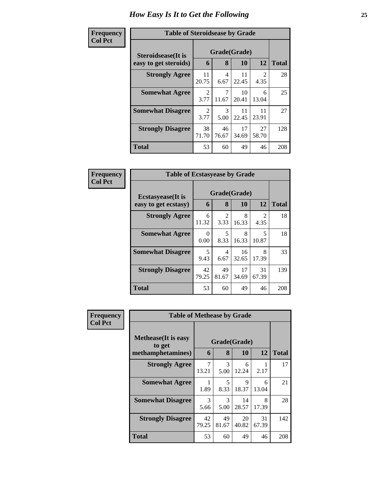| Frequency      | <b>Table of Steroidsease by Grade</b> |                        |             |              |                        |              |
|----------------|---------------------------------------|------------------------|-------------|--------------|------------------------|--------------|
| <b>Col Pct</b> | <b>Steroidsease</b> (It is            |                        |             | Grade(Grade) |                        |              |
|                | easy to get steroids)                 | 6                      | 8           | 10           | 12                     | <b>Total</b> |
|                | <b>Strongly Agree</b>                 | 11<br>20.75            | 4<br>6.67   | 11<br>22.45  | $\mathfrak{D}$<br>4.35 | 28           |
|                | <b>Somewhat Agree</b>                 | $\mathfrak{D}$<br>3.77 | 7<br>11.67  | 10<br>20.41  | 6<br>13.04             | 25           |
|                | <b>Somewhat Disagree</b>              | $\mathfrak{D}$<br>3.77 | 3<br>5.00   | 11<br>22.45  | 11<br>23.91            | 27           |
|                | <b>Strongly Disagree</b>              | 38<br>71.70            | 46<br>76.67 | 17<br>34.69  | 27<br>58.70            | 128          |
|                | <b>Total</b>                          | 53                     | 60          | 49           | 46                     | 208          |

| Frequency      | <b>Table of Ecstasyease by Grade</b>              |             |             |                    |                        |              |  |  |  |  |
|----------------|---------------------------------------------------|-------------|-------------|--------------------|------------------------|--------------|--|--|--|--|
| <b>Col Pct</b> | <b>Ecstasyease</b> (It is<br>easy to get ecstasy) | 6           | 8           | Grade(Grade)<br>10 | 12                     | <b>Total</b> |  |  |  |  |
|                | <b>Strongly Agree</b>                             | 6<br>11.32  | 2<br>3.33   | 8<br>16.33         | $\mathfrak{D}$<br>4.35 | 18           |  |  |  |  |
|                | <b>Somewhat Agree</b>                             | 0<br>0.00   | 5<br>8.33   | 8<br>16.33         | 5<br>10.87             | 18           |  |  |  |  |
|                | <b>Somewhat Disagree</b>                          | 5<br>9.43   | 4<br>6.67   | 16<br>32.65        | 8<br>17.39             | 33           |  |  |  |  |
|                | <b>Strongly Disagree</b>                          | 42<br>79.25 | 49<br>81.67 | 17<br>34.69        | 31<br>67.39            | 139          |  |  |  |  |
|                | Total                                             | 53          | 60          | 49                 | 46                     | 208          |  |  |  |  |

| Frequency      | <b>Table of Methease by Grade</b>                          |                         |             |                           |             |              |  |  |  |
|----------------|------------------------------------------------------------|-------------------------|-------------|---------------------------|-------------|--------------|--|--|--|
| <b>Col Pct</b> | <b>Methease</b> (It is easy<br>to get<br>methamphetamines) | 6                       | 8           | Grade(Grade)<br><b>10</b> | <b>12</b>   | <b>Total</b> |  |  |  |
|                | <b>Strongly Agree</b>                                      | $\overline{7}$<br>13.21 | 3<br>5.00   | 6<br>12.24                | 2.17        | 17           |  |  |  |
|                | <b>Somewhat Agree</b>                                      | 1.89                    | 5<br>8.33   | $\mathbf Q$<br>18.37      | 6<br>13.04  | 21           |  |  |  |
|                | <b>Somewhat Disagree</b>                                   | 3<br>5.66               | 3<br>5.00   | 14<br>28.57               | 8<br>17.39  | 28           |  |  |  |
|                | <b>Strongly Disagree</b>                                   | 42<br>79.25             | 49<br>81.67 | 20<br>40.82               | 31<br>67.39 | 142          |  |  |  |
|                | Total                                                      | 53                      | 60          | 49                        | 46          | 208          |  |  |  |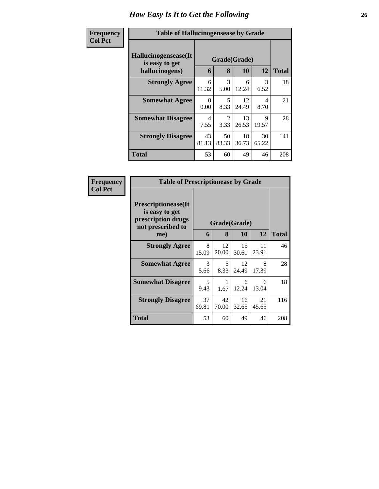| Frequency<br><b>Col Pct</b> | <b>Table of Hallucinogensease by Grade</b>               |                  |                        |             |             |              |
|-----------------------------|----------------------------------------------------------|------------------|------------------------|-------------|-------------|--------------|
|                             | Hallucinogensease(It<br>is easy to get<br>hallucinogens) | 6                | Grade(Grade)<br>8      | 10          | 12          | <b>Total</b> |
|                             | <b>Strongly Agree</b>                                    | 6<br>11.32       | 3<br>5.00              | 6<br>12.24  | 3<br>6.52   | 18           |
|                             | <b>Somewhat Agree</b>                                    | $\Omega$<br>0.00 | 5<br>8.33              | 12<br>24.49 | 4<br>8.70   | 21           |
|                             | <b>Somewhat Disagree</b>                                 | 4<br>7.55        | $\mathfrak{D}$<br>3.33 | 13<br>26.53 | 9<br>19.57  | 28           |
|                             | <b>Strongly Disagree</b>                                 | 43<br>81.13      | 50<br>83.33            | 18<br>36.73 | 30<br>65.22 | 141          |
|                             | <b>Total</b>                                             | 53               | 60                     | 49          | 46          | 208          |

| Frequency      | <b>Table of Prescriptionease by Grade</b>                                                |              |             |             |             |              |  |  |
|----------------|------------------------------------------------------------------------------------------|--------------|-------------|-------------|-------------|--------------|--|--|
| <b>Col Pct</b> | <b>Prescriptionease</b> (It<br>is easy to get<br>prescription drugs<br>not prescribed to | Grade(Grade) |             |             |             |              |  |  |
|                | me)                                                                                      | 6            | 8           | <b>10</b>   | 12          | <b>Total</b> |  |  |
|                | <b>Strongly Agree</b>                                                                    | 8<br>15.09   | 12<br>20.00 | 15<br>30.61 | 11<br>23.91 | 46           |  |  |
|                | <b>Somewhat Agree</b>                                                                    | 3<br>5.66    | 5<br>8.33   | 12<br>24.49 | 8<br>17.39  | 28           |  |  |
|                | <b>Somewhat Disagree</b>                                                                 | 5<br>9.43    | 1.67        | 6<br>12.24  | 6<br>13.04  | 18           |  |  |
|                | <b>Strongly Disagree</b>                                                                 | 37<br>69.81  | 42<br>70.00 | 16<br>32.65 | 21<br>45.65 | 116          |  |  |
|                | Total                                                                                    | 53           | 60          | 49          | 46          | 208          |  |  |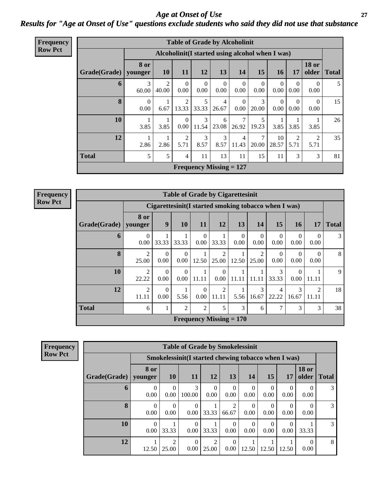*Age at Onset of Use* **27** *Results for "Age at Onset of Use" questions exclude students who said they did not use that substance*

| <b>Frequency</b> |  |
|------------------|--|
| <b>Row Pct</b>   |  |
|                  |  |

|              | <b>Table of Grade by Alcoholinit</b>                                                                                   |                                                  |                         |                        |                                |                  |                  |                  |                  |                  |    |  |
|--------------|------------------------------------------------------------------------------------------------------------------------|--------------------------------------------------|-------------------------|------------------------|--------------------------------|------------------|------------------|------------------|------------------|------------------|----|--|
|              |                                                                                                                        | Alcoholinit (I started using alcohol when I was) |                         |                        |                                |                  |                  |                  |                  |                  |    |  |
| Grade(Grade) | <b>18 or</b><br>8 or<br>15<br>11<br>12<br>13<br>14<br>older<br><b>10</b><br><b>16</b><br>17<br><b>Total</b><br>younger |                                                  |                         |                        |                                |                  |                  |                  |                  |                  |    |  |
| 6            | 3<br>60.00                                                                                                             | 2<br>40.00                                       | $\theta$<br>0.00        | $\overline{0}$<br>0.00 | $\Omega$<br>0.00               | $\Omega$<br>0.00 | $\theta$<br>0.00 | $\Omega$<br>0.00 | $\Omega$<br>0.00 | $\Omega$<br>0.00 | 5  |  |
| 8            | $\theta$<br>0.00                                                                                                       | 6.67                                             | $\overline{2}$<br>13.33 | 5<br>33.33             | 4<br>26.67                     | $\Omega$<br>0.00 | 3<br>20.00       | $\Omega$<br>0.00 | $\Omega$<br>0.00 | $\Omega$<br>0.00 | 15 |  |
| 10           | 1<br>3.85                                                                                                              | 3.85                                             | $\Omega$<br>0.00        | 3<br>11.54             | 6<br>23.08                     | 26.92            | 5<br>19.23       | 3.85             | 3.85             | 3.85             | 26 |  |
| 12           | 1<br>2.86                                                                                                              | 2.86                                             | $\overline{2}$<br>5.71  | 3<br>8.57              | 3<br>8.57                      | 4<br>11.43       | 7<br>20.00       | 10<br>28.57      | 2<br>5.71        | 2<br>5.71        | 35 |  |
| <b>Total</b> | 5                                                                                                                      | 5                                                | $\overline{4}$          | 11                     | 13                             | 11               | 15               | 11               | 3                | 3                | 81 |  |
|              |                                                                                                                        |                                                  |                         |                        | <b>Frequency Missing = 127</b> |                  |                  |                  |                  |                  |    |  |

**Frequency Row Pct**

|              |                                                                                                           |                                                       | <b>Table of Grade by Cigarettesinit</b> |                  |                           |                  |                         |                  |                  |                         |    |  |
|--------------|-----------------------------------------------------------------------------------------------------------|-------------------------------------------------------|-----------------------------------------|------------------|---------------------------|------------------|-------------------------|------------------|------------------|-------------------------|----|--|
|              |                                                                                                           | Cigarettesinit (I started smoking tobacco when I was) |                                         |                  |                           |                  |                         |                  |                  |                         |    |  |
| Grade(Grade) | 8 or<br>9<br>13<br><b>10</b><br><b>11</b><br>12<br>14<br>15<br><b>16</b><br>17<br><b>Total</b><br>younger |                                                       |                                         |                  |                           |                  |                         |                  |                  |                         |    |  |
| 6            | $\Omega$<br>0.00                                                                                          | 33.33                                                 | 33.33                                   | $\Omega$<br>0.00 | 33.33                     | $\Omega$<br>0.00 | $\Omega$<br>0.00        | $\Omega$<br>0.00 | $\Omega$<br>0.00 | $\Omega$<br>0.00        | 3  |  |
| $\mathbf{8}$ | $\overline{2}$<br>25.00                                                                                   | $\Omega$<br>0.00                                      | $\Omega$<br>0.00                        | 12.50            | $\mathfrak{D}$<br>25.00   | 12.50            | $\mathfrak{D}$<br>25.00 | $\Omega$<br>0.00 | $\Omega$<br>0.00 | $\Omega$<br>0.00        | 8  |  |
| 10           | $\overline{2}$<br>22.22                                                                                   | $\Omega$<br>0.00                                      | $\Omega$<br>0.00                        | 11.11            | $\Omega$<br>$0.00\,$      | 11.11            | 11.11                   | 3<br>33.33       | $\Omega$<br>0.00 | 11.11                   | 9  |  |
| 12           | $\overline{2}$<br>11.11                                                                                   | $\Omega$<br>0.00                                      | 5.56                                    | $\Omega$<br>0.00 | $\mathfrak{D}$<br>11.11   | 5.56             | 3<br>16.67              | 4<br>22.22       | 3<br>16.67       | $\mathfrak{D}$<br>11.11 | 18 |  |
| <b>Total</b> | $\mathfrak{H}$<br>$\mathfrak{D}$<br>$\mathfrak{D}$<br>3<br>7<br>3<br>3<br>38<br>6<br>6                    |                                                       |                                         |                  |                           |                  |                         |                  |                  |                         |    |  |
|              |                                                                                                           |                                                       |                                         |                  | Frequency Missing $= 170$ |                  |                         |                  |                  |                         |    |  |

**Frequency Row Pct**

|              | <b>Table of Grade by Smokelessinit</b> |                         |                                                     |                         |                         |                  |                  |       |                       |              |
|--------------|----------------------------------------|-------------------------|-----------------------------------------------------|-------------------------|-------------------------|------------------|------------------|-------|-----------------------|--------------|
|              |                                        |                         | Smokelessinit(I started chewing tobacco when I was) |                         |                         |                  |                  |       |                       |              |
| Grade(Grade) | 8 or<br>vounger                        | 10                      | 11                                                  | <b>12</b>               | 13                      | 14               | 15               | 17    | <b>18 or</b><br>older | <b>Total</b> |
| 6            | 0.00                                   | 0.00                    | 3<br>100.00                                         | $\Omega$<br>0.00        | $\Omega$<br>0.00        | $\theta$<br>0.00 | $\Omega$<br>0.00 | 0.00  | 0.00                  | 3            |
| 8            | 0<br>0.00                              | 0<br>0.00               | 0.00                                                | 33.33                   | $\mathfrak{D}$<br>66.67 | $\Omega$<br>0.00 | $\Omega$<br>0.00 | 0.00  | 0.00                  | 3            |
| 10           | 0.00                                   | 33.33                   | $\theta$<br>0.00                                    | 33.33                   | $\Omega$<br>0.00        | $\Omega$<br>0.00 | $\Omega$<br>0.00 | 0.00  | 33.33                 | 3            |
| 12           | 12.50                                  | $\mathfrak{D}$<br>25.00 | $\Omega$<br>0.00                                    | $\mathfrak{D}$<br>25.00 | $\Omega$<br>0.00        | 12.50            | 12.50            | 12.50 | $\mathcal{O}$<br>0.00 | 8            |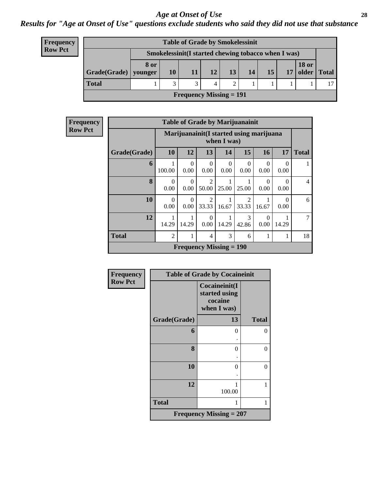### *Age at Onset of Use* **28**

### *Results for "Age at Onset of Use" questions exclude students who said they did not use that substance*

| <b>Frequency</b> |
|------------------|
| <b>Row Pct</b>   |

| <b>Table of Grade by Smokelessinit</b> |                                                     |    |              |    |                 |    |    |    |                       |              |
|----------------------------------------|-----------------------------------------------------|----|--------------|----|-----------------|----|----|----|-----------------------|--------------|
|                                        | Smokelessinit(I started chewing tobacco when I was) |    |              |    |                 |    |    |    |                       |              |
| $Grade(Grade)$ younger                 | 8 or                                                | 10 | 11           | 12 | 13 <sup>1</sup> | 14 | 15 | 17 | <b>18 or</b><br>older | <b>Total</b> |
| <b>Total</b>                           |                                                     | 3  | $\mathbf{z}$ |    |                 |    |    |    |                       | 17           |
| Frequency Missing $= 191$              |                                                     |    |              |    |                 |    |    |    |                       |              |

| Frequency      |              |                  |                                                         |                                      |                  | <b>Table of Grade by Marijuanainit</b> |                  |       |                |  |  |
|----------------|--------------|------------------|---------------------------------------------------------|--------------------------------------|------------------|----------------------------------------|------------------|-------|----------------|--|--|
| <b>Row Pct</b> |              |                  | Marijuanainit (I started using marijuana<br>when I was) |                                      |                  |                                        |                  |       |                |  |  |
|                | Grade(Grade) | 10               | 12                                                      | 13                                   | 14               | 15                                     | 16               | 17    | <b>Total</b>   |  |  |
|                | 6            | 100.00           | $\Omega$<br>0.00                                        | $\Omega$<br>0.00                     | $\Omega$<br>0.00 | 0.00                                   | 0.00             | 0.00  | 1              |  |  |
|                | 8            | $\Omega$<br>0.00 | $\Omega$<br>0.00                                        | 50.00                                | 25.00            | 25.00                                  | 0.00             | 0.00  | $\overline{4}$ |  |  |
|                | 10           | $\Omega$<br>0.00 | $\Omega$<br>0.00                                        | $\mathcal{D}_{\mathcal{L}}$<br>33.33 | 16.67            | 2<br>33.33                             | 16.67            | 0.00  | 6              |  |  |
|                | 12           | 14.29            | 14.29                                                   | $\Omega$<br>0.00                     | 14.29            | 3<br>42.86                             | $\theta$<br>0.00 | 14.29 | $\tau$         |  |  |
|                | <b>Total</b> | $\overline{2}$   |                                                         | 4                                    | 3                | 6                                      |                  | 1     | 18             |  |  |
|                |              |                  |                                                         | <b>Frequency Missing = 190</b>       |                  |                                        |                  |       |                |  |  |

| Frequency      |              | <b>Table of Grade by Cocaineinit</b>                     |              |
|----------------|--------------|----------------------------------------------------------|--------------|
| <b>Row Pct</b> |              | Cocaineinit(I<br>started using<br>cocaine<br>when I was) |              |
|                | Grade(Grade) | 13                                                       | <b>Total</b> |
|                | 6            | $\theta$                                                 | 0            |
|                |              |                                                          |              |
|                | 8            | 0                                                        | 0            |
|                |              |                                                          |              |
|                | 10           | $\Omega$                                                 | 0            |
|                |              |                                                          |              |
|                | 12           | 1<br>100.00                                              | 1            |
|                |              |                                                          |              |
|                | <b>Total</b> | 1                                                        | 1            |
|                |              | Frequency Missing $= 207$                                |              |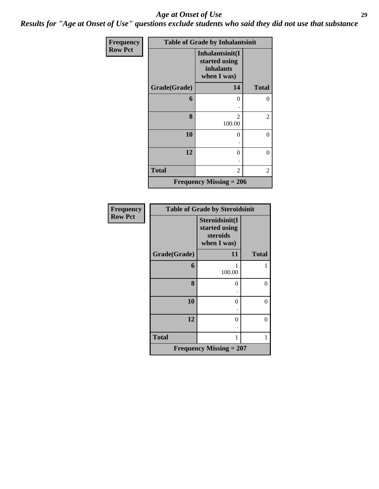### *Age at Onset of Use* **29**

*Results for "Age at Onset of Use" questions exclude students who said they did not use that substance*

| Frequency      |              | <b>Table of Grade by Inhalantsinit</b>                              |              |
|----------------|--------------|---------------------------------------------------------------------|--------------|
| <b>Row Pct</b> |              | Inhalantsinit(I<br>started using<br><i>inhalants</i><br>when I was) |              |
|                | Grade(Grade) | 14                                                                  | <b>Total</b> |
|                | 6            | 0                                                                   | 0            |
|                | 8            | $\mathfrak{D}$<br>100.00                                            | 2            |
|                | 10           | 0                                                                   | 0            |
|                | 12           | $\theta$                                                            | 0            |
|                | <b>Total</b> | 2                                                                   | 2            |
|                |              | Frequency Missing $= 206$                                           |              |

| <b>Frequency</b> |              | <b>Table of Grade by Steroidsinit</b>                      |                |
|------------------|--------------|------------------------------------------------------------|----------------|
| <b>Row Pct</b>   |              | Steroidsinit(I<br>started using<br>steroids<br>when I was) |                |
|                  | Grade(Grade) | 11                                                         | <b>Total</b>   |
|                  | 6            | 100.00                                                     |                |
|                  | 8            | 0                                                          | $\theta$       |
|                  | 10           | 0                                                          | $\theta$       |
|                  | 12           | $\theta$                                                   | $\overline{0}$ |
|                  | <b>Total</b> | 1                                                          | 1              |
|                  |              | <b>Frequency Missing = 207</b>                             |                |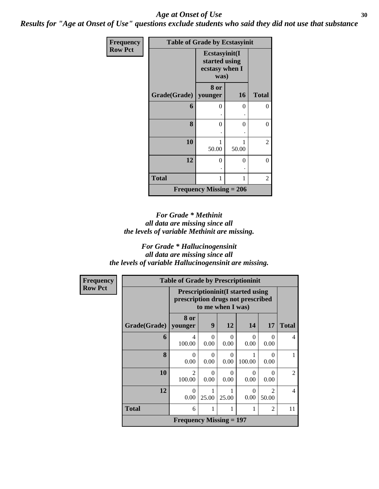### Age at Onset of Use **30**

*Results for "Age at Onset of Use" questions exclude students who said they did not use that substance*

| Frequency      | <b>Table of Grade by Ecstasyinit</b> |                                                          |       |              |
|----------------|--------------------------------------|----------------------------------------------------------|-------|--------------|
| <b>Row Pct</b> |                                      | Ecstasyinit(I<br>started using<br>ecstasy when I<br>was) |       |              |
|                | Grade(Grade)                         | 8 or<br>younger                                          | 16    | <b>Total</b> |
|                | 6                                    | 0                                                        | 0     | $\theta$     |
|                | 8                                    | 0                                                        | 0     | 0            |
|                | 10                                   | 1<br>50.00                                               | 50.00 | 2            |
|                | 12                                   | 0                                                        | 0     | $\theta$     |
|                | <b>Total</b>                         | 1                                                        | 1     | 2            |
|                |                                      | <b>Frequency Missing = 206</b>                           |       |              |

### *For Grade \* Methinit all data are missing since all the levels of variable Methinit are missing.*

### *For Grade \* Hallucinogensinit all data are missing since all the levels of variable Hallucinogensinit are missing.*

| <b>Frequency</b> | <b>Table of Grade by Prescriptioninit</b>                                                         |                           |           |                  |                  |                                      |                |
|------------------|---------------------------------------------------------------------------------------------------|---------------------------|-----------|------------------|------------------|--------------------------------------|----------------|
| <b>Row Pct</b>   | <b>Prescriptioninit(I started using</b><br>prescription drugs not prescribed<br>to me when I was) |                           |           |                  |                  |                                      |                |
|                  | Grade(Grade)                                                                                      | 8 or<br>younger           | 9         | 12               | 14               | 17                                   | <b>Total</b>   |
|                  | 6                                                                                                 | 4<br>100.00               | 0<br>0.00 | $\Omega$<br>0.00 | $\Omega$<br>0.00 | $\Omega$<br>0.00                     | 4              |
|                  | 8                                                                                                 | $\Omega$<br>0.00          | 0<br>0.00 | $\Omega$<br>0.00 | 100.00           | $\Omega$<br>0.00                     | 1              |
|                  | 10                                                                                                | $\mathfrak{D}$<br>100.00  | 0<br>0.00 | 0<br>0.00        | 0<br>0.00        | $\Omega$<br>0.00                     | $\overline{2}$ |
|                  | 12                                                                                                | $\Omega$<br>0.00          | 25.00     | 25.00            | $\Omega$<br>0.00 | $\mathcal{D}_{\mathcal{L}}$<br>50.00 | $\overline{4}$ |
|                  | <b>Total</b>                                                                                      | 6                         | 1         | 1                | 1                | $\overline{2}$                       | 11             |
|                  |                                                                                                   | Frequency Missing $= 197$ |           |                  |                  |                                      |                |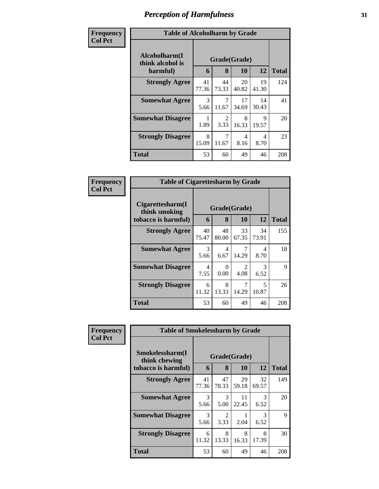| Frequency<br><b>Col Pct</b> | <b>Table of Alcoholharm by Grade</b>          |             |                         |             |             |              |
|-----------------------------|-----------------------------------------------|-------------|-------------------------|-------------|-------------|--------------|
|                             | Alcoholharm(I<br>think alcohol is<br>harmful) | 6           | Grade(Grade)<br>8       | 10          | 12          | <b>Total</b> |
|                             | <b>Strongly Agree</b>                         | 41<br>77.36 | 44<br>73.33             | 20<br>40.82 | 19<br>41.30 | 124          |
|                             | <b>Somewhat Agree</b>                         | 3<br>5.66   | $\overline{7}$<br>11.67 | 17<br>34.69 | 14<br>30.43 | 41           |
|                             | <b>Somewhat Disagree</b>                      | 1.89        | $\mathfrak{D}$<br>3.33  | 8<br>16.33  | 9<br>19.57  | 20           |
|                             | <b>Strongly Disagree</b>                      | 8<br>15.09  | 7<br>11.67              | 4<br>8.16   | 4<br>8.70   | 23           |
|                             | Total                                         | 53          | 60                      | 49          | 46          | 208          |

| Frequency      | <b>Table of Cigarettesharm by Grade</b>                  |             |             |                                     |                       |              |
|----------------|----------------------------------------------------------|-------------|-------------|-------------------------------------|-----------------------|--------------|
| <b>Col Pct</b> | Cigarettesharm(I<br>think smoking<br>tobacco is harmful) | 6           | 8           | Grade(Grade)<br><b>10</b>           | 12                    | <b>Total</b> |
|                | <b>Strongly Agree</b>                                    | 40<br>75.47 | 48<br>80.00 | 33<br>67.35                         | 34<br>73.91           | 155          |
|                | <b>Somewhat Agree</b>                                    | 3<br>5.66   | 4<br>6.67   | 7<br>14.29                          | 4<br>8.70             | 18           |
|                | <b>Somewhat Disagree</b>                                 | 4<br>7.55   | 0<br>0.00   | $\mathcal{D}_{\mathcal{L}}$<br>4.08 | $\mathcal{R}$<br>6.52 | 9            |
|                | <b>Strongly Disagree</b>                                 | 6<br>11.32  | 8<br>13.33  | 7<br>14.29                          | 5<br>10.87            | 26           |
|                | <b>Total</b>                                             | 53          | 60          | 49                                  | 46                    | 208          |

| Frequency      | <b>Table of Smokelessharm by Grade</b>           |             |             |             |                       |              |  |
|----------------|--------------------------------------------------|-------------|-------------|-------------|-----------------------|--------------|--|
| <b>Col Pct</b> | Smokelessharm(I<br>Grade(Grade)<br>think chewing |             |             |             |                       |              |  |
|                | tobacco is harmful)                              | 6           | 8           | 10          | 12                    | <b>Total</b> |  |
|                | <b>Strongly Agree</b>                            | 41<br>77.36 | 47<br>78.33 | 29<br>59.18 | 32<br>69.57           | 149          |  |
|                | <b>Somewhat Agree</b>                            | 3<br>5.66   | 3<br>5.00   | 11<br>22.45 | 3<br>6.52             | 20           |  |
|                | <b>Somewhat Disagree</b>                         | 3<br>5.66   | 2<br>3.33   | 2.04        | $\mathcal{R}$<br>6.52 | 9            |  |
|                | <b>Strongly Disagree</b>                         | 6<br>11.32  | 8<br>13.33  | 8<br>16.33  | 8<br>17.39            | 30           |  |
|                | Total                                            | 53          | 60          | 49          | 46                    | 208          |  |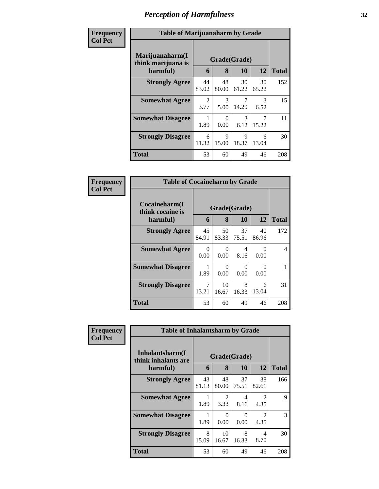| Frequency      | <b>Table of Marijuanaharm by Grade</b>            |                        |                      |             |                       |              |
|----------------|---------------------------------------------------|------------------------|----------------------|-------------|-----------------------|--------------|
| <b>Col Pct</b> | Marijuanaharm(I<br>think marijuana is<br>harmful) | 6                      | Grade(Grade)<br>8    | <b>10</b>   | 12                    | <b>Total</b> |
|                | <b>Strongly Agree</b>                             | 44<br>83.02            | 48<br>80.00          | 30<br>61.22 | 30<br>65.22           | 152          |
|                | <b>Somewhat Agree</b>                             | $\mathfrak{D}$<br>3.77 | 3<br>5.00            | 14.29       | $\mathcal{R}$<br>6.52 | 15           |
|                | <b>Somewhat Disagree</b>                          | 1.89                   | $\Omega$<br>0.00     | 3<br>6.12   | 7<br>15.22            | 11           |
|                | <b>Strongly Disagree</b>                          | 6<br>11.32             | $\mathbf Q$<br>15.00 | 9<br>18.37  | 6<br>13.04            | 30           |
|                | <b>Total</b>                                      | 53                     | 60                   | 49          | 46                    | 208          |

| Frequency      | <b>Table of Cocaineharm by Grade</b>          |             |                   |             |             |              |
|----------------|-----------------------------------------------|-------------|-------------------|-------------|-------------|--------------|
| <b>Col Pct</b> | Cocaineharm(I<br>think cocaine is<br>harmful) | 6           | Grade(Grade)<br>8 | <b>10</b>   | 12          | <b>Total</b> |
|                | <b>Strongly Agree</b>                         | 45<br>84.91 | 50<br>83.33       | 37<br>75.51 | 40<br>86.96 | 172          |
|                | <b>Somewhat Agree</b>                         | 0<br>0.00   | 0<br>0.00         | 4<br>8.16   | ∩<br>0.00   | 4            |
|                | <b>Somewhat Disagree</b>                      | 1.89        | 0<br>0.00         | 0<br>0.00   | ∩<br>0.00   |              |
|                | <b>Strongly Disagree</b>                      | 7<br>13.21  | 10<br>16.67       | 8<br>16.33  | 6<br>13.04  | 31           |
|                | <b>Total</b>                                  | 53          | 60                | 49          | 46          | 208          |

| Frequency      | <b>Table of Inhalantsharm by Grade</b>  |             |              |             |                        |              |
|----------------|-----------------------------------------|-------------|--------------|-------------|------------------------|--------------|
| <b>Col Pct</b> | Inhalantsharm(I)<br>think inhalants are |             | Grade(Grade) |             |                        |              |
|                | harmful)                                | 6           | 8            | 10          | 12                     | <b>Total</b> |
|                | <b>Strongly Agree</b>                   | 43<br>81.13 | 48<br>80.00  | 37<br>75.51 | 38<br>82.61            | 166          |
|                | <b>Somewhat Agree</b>                   | 1.89        | 2<br>3.33    | 4<br>8.16   | $\mathfrak{D}$<br>4.35 | 9            |
|                | <b>Somewhat Disagree</b>                | 1.89        | 0<br>0.00    | 0<br>0.00   | $\mathfrak{D}$<br>4.35 | 3            |
|                | <b>Strongly Disagree</b>                | 8<br>15.09  | 10<br>16.67  | 8<br>16.33  | 4<br>8.70              | 30           |
|                | <b>Total</b>                            | 53          | 60           | 49          | 46                     | 208          |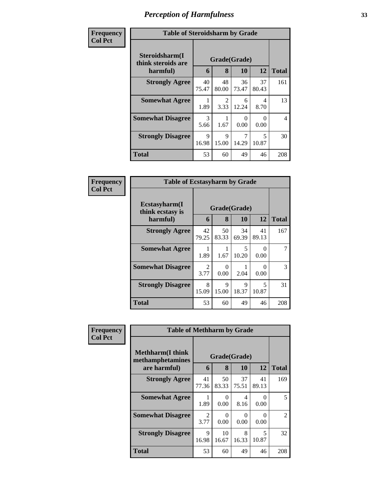| Frequency      | <b>Table of Steroidsharm by Grade</b>            |                       |                        |             |                                   |                |  |
|----------------|--------------------------------------------------|-----------------------|------------------------|-------------|-----------------------------------|----------------|--|
| <b>Col Pct</b> | Steroidsharm(I<br>think steroids are<br>harmful) | 6                     | Grade(Grade)<br>8      | 10          | 12                                | <b>Total</b>   |  |
|                | <b>Strongly Agree</b>                            | 40<br>75.47           | 48<br>80.00            | 36<br>73.47 | 37<br>80.43                       | 161            |  |
|                | <b>Somewhat Agree</b>                            | 1.89                  | $\mathfrak{D}$<br>3.33 | 6<br>12.24  | 4<br>8.70                         | 13             |  |
|                | <b>Somewhat Disagree</b>                         | $\mathcal{R}$<br>5.66 | 1.67                   | 0<br>0.00   | 0<br>0.00                         | $\overline{4}$ |  |
|                | <b>Strongly Disagree</b>                         | $\mathbf Q$<br>16.98  | $\mathbf Q$<br>15.00   | 7<br>14.29  | $\overline{\phantom{1}}$<br>10.87 | 30             |  |
|                | Total                                            | 53                    | 60                     | 49          | 46                                | 208            |  |

| Frequency      | <b>Table of Ecstasyharm by Grade</b>          |                       |                   |             |                |              |
|----------------|-----------------------------------------------|-----------------------|-------------------|-------------|----------------|--------------|
| <b>Col Pct</b> | Ecstasyharm(I<br>think ecstasy is<br>harmful) | 6                     | Grade(Grade)<br>8 | 10          | 12             | <b>Total</b> |
|                | <b>Strongly Agree</b>                         | 42<br>79.25           | 50<br>83.33       | 34<br>69.39 | 41<br>89.13    | 167          |
|                | <b>Somewhat Agree</b>                         | 1.89                  | 1.67              | 5<br>10.20  | $\cup$<br>0.00 |              |
|                | <b>Somewhat Disagree</b>                      | $\mathcal{L}$<br>3.77 | 0<br>0.00         | 2.04        | 0.00           | 3            |
|                | <b>Strongly Disagree</b>                      | 8<br>15.09            | 9<br>15.00        | 9<br>18.37  | 5<br>10.87     | 31           |
|                | <b>Total</b>                                  | 53                    | 60                | 49          | 46             | 208          |

| Frequency      | <b>Table of Methharm by Grade</b>            |              |                  |             |                  |              |  |  |  |
|----------------|----------------------------------------------|--------------|------------------|-------------|------------------|--------------|--|--|--|
| <b>Col Pct</b> | <b>Methharm</b> (I think<br>methamphetamines | Grade(Grade) |                  |             |                  |              |  |  |  |
|                | are harmful)                                 | 6            | 8                | 10          | 12               | <b>Total</b> |  |  |  |
|                | <b>Strongly Agree</b>                        | 41<br>77.36  | 50<br>83.33      | 37<br>75.51 | 41<br>89.13      | 169          |  |  |  |
|                | <b>Somewhat Agree</b>                        | 1.89         | $\Omega$<br>0.00 | 4<br>8.16   | $\Omega$<br>0.00 | 5            |  |  |  |
|                | <b>Somewhat Disagree</b>                     | 2<br>3.77    | 0<br>0.00        | 0<br>0.00   | $\Omega$<br>0.00 | 2            |  |  |  |
|                | <b>Strongly Disagree</b>                     | 9<br>16.98   | 10<br>16.67      | 8<br>16.33  | 5<br>10.87       | 32           |  |  |  |
|                | <b>Total</b>                                 | 53           | 60               | 49          | 46               | 208          |  |  |  |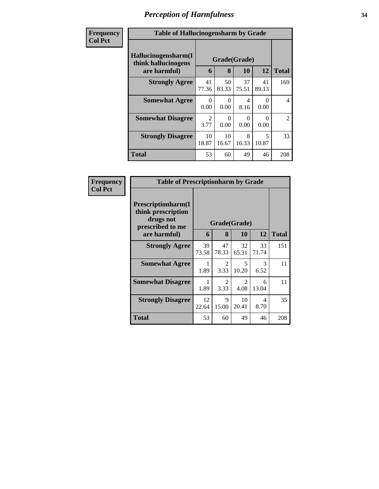| Frequency      | <b>Table of Hallucinogensharm by Grade</b>                 |             |                   |             |             |                |  |  |  |
|----------------|------------------------------------------------------------|-------------|-------------------|-------------|-------------|----------------|--|--|--|
| <b>Col Pct</b> | Hallucinogensharm(I<br>think hallucinogens<br>are harmful) | 6           | Grade(Grade)<br>8 | 10          | 12          | <b>Total</b>   |  |  |  |
|                | <b>Strongly Agree</b>                                      | 41<br>77.36 | 50<br>83.33       | 37<br>75.51 | 41<br>89.13 | 169            |  |  |  |
|                | <b>Somewhat Agree</b>                                      | 0<br>0.00   | ∩<br>0.00         | 4<br>8.16   | 0<br>0.00   | 4              |  |  |  |
|                | <b>Somewhat Disagree</b>                                   | 2<br>3.77   | 0<br>0.00         | 0<br>0.00   | 0.00        | $\overline{2}$ |  |  |  |
|                | <b>Strongly Disagree</b>                                   | 10<br>18.87 | 10<br>16.67       | 8<br>16.33  | 5<br>10.87  | 33             |  |  |  |
|                | <b>Total</b>                                               | 53          | 60                | 49          | 46          | 208            |  |  |  |

| Frequency      | <b>Table of Prescriptionharm by Grade</b>                                         |             |              |             |                                  |              |  |  |
|----------------|-----------------------------------------------------------------------------------|-------------|--------------|-------------|----------------------------------|--------------|--|--|
| <b>Col Pct</b> | <b>Prescriptionharm(I)</b><br>think prescription<br>drugs not<br>prescribed to me |             | Grade(Grade) |             |                                  |              |  |  |
|                | are harmful)                                                                      | 6           | 8            | 10          | 12                               | <b>Total</b> |  |  |
|                | <b>Strongly Agree</b>                                                             | 39<br>73.58 | 47<br>78.33  | 32<br>65.31 | 33<br>71.74                      | 151          |  |  |
|                | <b>Somewhat Agree</b>                                                             | 1<br>1.89   | 2<br>3.33    | 5<br>10.20  | 3<br>6.52                        | 11           |  |  |
|                | <b>Somewhat Disagree</b>                                                          | 1.89        | 2<br>3.33    | 2<br>4.08   | 6<br>13.04                       | 11           |  |  |
|                | <b>Strongly Disagree</b>                                                          | 12<br>22.64 | 9<br>15.00   | 10<br>20.41 | $\overline{\mathcal{A}}$<br>8.70 | 35           |  |  |
|                | Total                                                                             | 53          | 60           | 49          | 46                               | 208          |  |  |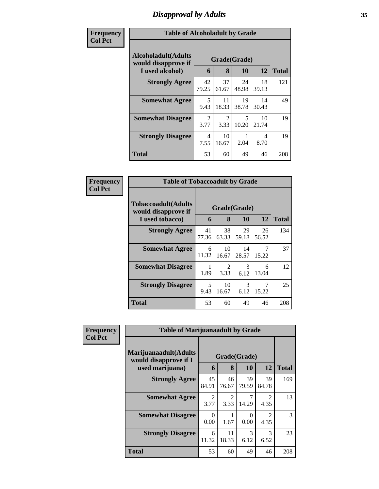### *Disapproval by Adults* **35**

| Frequency      | <b>Table of Alcoholadult by Grade</b>                                 |                                     |                        |             |             |     |  |  |
|----------------|-----------------------------------------------------------------------|-------------------------------------|------------------------|-------------|-------------|-----|--|--|
| <b>Col Pct</b> | <b>Alcoholadult</b> (Adults<br>would disapprove if<br>I used alcohol) | Grade(Grade)<br>12<br>8<br>10<br>6  |                        |             |             |     |  |  |
|                | <b>Strongly Agree</b>                                                 | 42<br>79.25                         | 37<br>61.67            | 24<br>48.98 | 18<br>39.13 | 121 |  |  |
|                | <b>Somewhat Agree</b>                                                 | 5<br>9.43                           | 11<br>18.33            | 19<br>38.78 | 14<br>30.43 | 49  |  |  |
|                | <b>Somewhat Disagree</b>                                              | $\mathcal{D}_{\mathcal{L}}$<br>3.77 | $\mathfrak{D}$<br>3.33 | 5<br>10.20  | 10<br>21.74 | 19  |  |  |
|                | <b>Strongly Disagree</b>                                              | 4<br>7.55                           | 10<br>16.67            | 2.04        | 4<br>8.70   | 19  |  |  |
|                | <b>Total</b>                                                          | 53                                  | 60                     | 49          | 46          | 208 |  |  |

| Frequency      | <b>Table of Tobaccoadult by Grade</b>                                 |                                           |                                     |             |             |              |  |  |
|----------------|-----------------------------------------------------------------------|-------------------------------------------|-------------------------------------|-------------|-------------|--------------|--|--|
| <b>Col Pct</b> | <b>Tobaccoadult</b> (Adults<br>would disapprove if<br>I used tobacco) | Grade(Grade)<br>12<br>8<br><b>10</b><br>6 |                                     |             |             | <b>Total</b> |  |  |
|                | <b>Strongly Agree</b>                                                 | 41<br>77.36                               | 38<br>63.33                         | 29<br>59.18 | 26<br>56.52 | 134          |  |  |
|                | <b>Somewhat Agree</b>                                                 | 6<br>11.32                                | 10<br>16.67                         | 14<br>28.57 | 15.22       | 37           |  |  |
|                | <b>Somewhat Disagree</b>                                              | 1.89                                      | $\mathcal{D}_{\mathcal{L}}$<br>3.33 | 3<br>6.12   | 6<br>13.04  | 12           |  |  |
|                | <b>Strongly Disagree</b>                                              | 5<br>9.43                                 | 10<br>16.67                         | 3<br>6.12   | 15.22       | 25           |  |  |
|                | <b>Total</b>                                                          | 53                                        | 60                                  | 49          | 46          | 208          |  |  |

| Frequency      | <b>Table of Marijuanaadult by Grade</b>                        |                                     |                        |             |                        |              |  |
|----------------|----------------------------------------------------------------|-------------------------------------|------------------------|-------------|------------------------|--------------|--|
| <b>Col Pct</b> | Marijuanaadult(Adults<br>Grade(Grade)<br>would disapprove if I |                                     |                        |             |                        |              |  |
|                | used marijuana)                                                | 6                                   | 8                      | 10          | 12                     | <b>Total</b> |  |
|                | <b>Strongly Agree</b>                                          | 45<br>84.91                         | 46<br>76.67            | 39<br>79.59 | 39<br>84.78            | 169          |  |
|                | <b>Somewhat Agree</b>                                          | $\mathcal{D}_{\mathcal{A}}$<br>3.77 | $\mathfrak{D}$<br>3.33 | 14.29       | 4.35                   | 13           |  |
|                | <b>Somewhat Disagree</b>                                       | 0<br>0.00                           | 1.67                   | 0<br>0.00   | $\mathfrak{D}$<br>4.35 | 3            |  |
|                | <b>Strongly Disagree</b>                                       | 6<br>11.32                          | 11<br>18.33            | 3<br>6.12   | 3<br>6.52              | 23           |  |
|                | <b>Total</b>                                                   | 53                                  | 60                     | 49          | 46                     | 208          |  |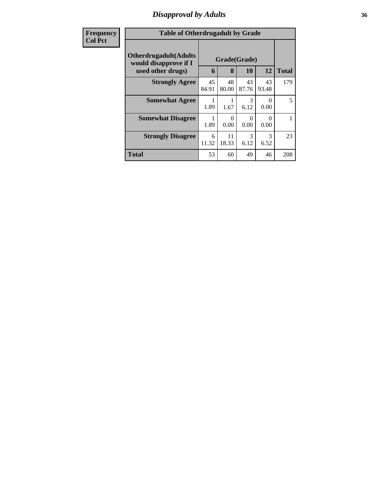### *Disapproval by Adults* **36**

| <b>Frequency</b> |                                                        | <b>Table of Otherdrugadult by Grade</b> |             |             |                  |              |  |  |
|------------------|--------------------------------------------------------|-----------------------------------------|-------------|-------------|------------------|--------------|--|--|
| <b>Col Pct</b>   | <b>Otherdrugadult</b> (Adults<br>would disapprove if I | Grade(Grade)                            |             |             |                  |              |  |  |
|                  | used other drugs)                                      | 6                                       | 8           | 10          | 12               | <b>Total</b> |  |  |
|                  | <b>Strongly Agree</b>                                  | 45<br>84.91                             | 48<br>80.00 | 43<br>87.76 | 43<br>93.48      | 179          |  |  |
|                  | <b>Somewhat Agree</b>                                  | 1<br>1.89                               | 1.67        | 3<br>6.12   | $\Omega$<br>0.00 | 5            |  |  |
|                  | <b>Somewhat Disagree</b>                               | 1<br>1.89                               | 0<br>0.00   | 0<br>0.00   | $\Omega$<br>0.00 |              |  |  |
|                  | <b>Strongly Disagree</b>                               | 6<br>11.32                              | 11<br>18.33 | 3<br>6.12   | 3<br>6.52        | 23           |  |  |
|                  | <b>Total</b>                                           | 53                                      | 60          | 49          | 46               | 208          |  |  |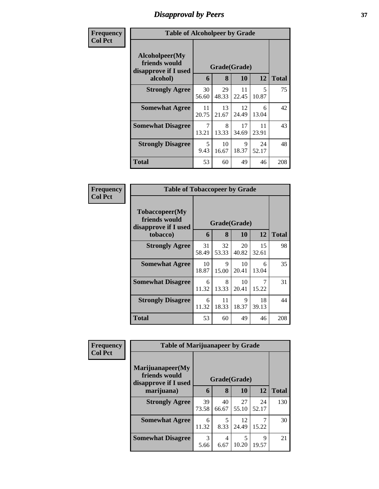## *Disapproval by Peers* **37**

| Frequency      | <b>Table of Alcoholpeer by Grade</b>                    |                                  |             |             |             |              |
|----------------|---------------------------------------------------------|----------------------------------|-------------|-------------|-------------|--------------|
| <b>Col Pct</b> | Alcoholpeer(My<br>friends would<br>disapprove if I used | Grade(Grade)                     |             |             |             |              |
|                | alcohol)                                                | 6                                | 8           | 10          | 12          | <b>Total</b> |
|                | <b>Strongly Agree</b>                                   | 30<br>56.60                      | 29<br>48.33 | 11<br>22.45 | 5<br>10.87  | 75           |
|                | <b>Somewhat Agree</b>                                   | 11<br>20.75                      | 13<br>21.67 | 12<br>24.49 | 6<br>13.04  | 42           |
|                | <b>Somewhat Disagree</b>                                | 7<br>13.21                       | 8<br>13.33  | 17<br>34.69 | 11<br>23.91 | 43           |
|                | <b>Strongly Disagree</b>                                | $\overline{\phantom{1}}$<br>9.43 | 10<br>16.67 | 9<br>18.37  | 24<br>52.17 | 48           |
|                | Total                                                   | 53                               | 60          | 49          | 46          | 208          |

| Frequency      | <b>Table of Tobaccopeer by Grade</b>                    |              |             |             |             |              |
|----------------|---------------------------------------------------------|--------------|-------------|-------------|-------------|--------------|
| <b>Col Pct</b> | Tobaccopeer(My<br>friends would<br>disapprove if I used | Grade(Grade) |             |             |             |              |
|                | tobacco)                                                | 6            | 8           | 10          | 12          | <b>Total</b> |
|                | <b>Strongly Agree</b>                                   | 31<br>58.49  | 32<br>53.33 | 20<br>40.82 | 15<br>32.61 | 98           |
|                | <b>Somewhat Agree</b>                                   | 10<br>18.87  | 9<br>15.00  | 10<br>20.41 | 6<br>13.04  | 35           |
|                | <b>Somewhat Disagree</b>                                | 6<br>11.32   | 8<br>13.33  | 10<br>20.41 | 15.22       | 31           |
|                | <b>Strongly Disagree</b>                                | 6<br>11.32   | 11<br>18.33 | 9<br>18.37  | 18<br>39.13 | 44           |
|                | Total                                                   | 53           | 60          | 49          | 46          | 208          |

| Frequency      |                                                                           | <b>Table of Marijuanapeer by Grade</b> |             |             |             |              |  |  |  |
|----------------|---------------------------------------------------------------------------|----------------------------------------|-------------|-------------|-------------|--------------|--|--|--|
| <b>Col Pct</b> | Marijuanapeer(My<br>friends would<br>Grade(Grade)<br>disapprove if I used |                                        |             |             |             |              |  |  |  |
|                | marijuana)                                                                | 6                                      | 8           | 10          | 12          | <b>Total</b> |  |  |  |
|                | <b>Strongly Agree</b>                                                     | 39<br>73.58                            | 40<br>66.67 | 27<br>55.10 | 24<br>52.17 | 130          |  |  |  |
|                | <b>Somewhat Agree</b>                                                     | 6<br>11.32                             | 5<br>8.33   | 12<br>24.49 | 15.22       | 30           |  |  |  |
|                | <b>Somewhat Disagree</b>                                                  | $\mathcal{R}$<br>5.66                  | 4<br>6.67   | 5<br>10.20  | Q<br>19.57  | 21           |  |  |  |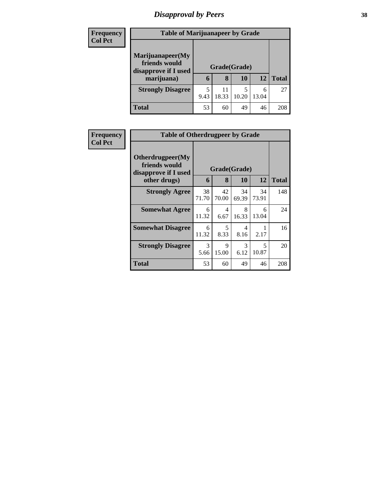# *Disapproval by Peers* **38**

| <b>Frequency</b> | <b>Table of Marijuanapeer by Grade</b> |              |             |            |            |              |  |  |
|------------------|----------------------------------------|--------------|-------------|------------|------------|--------------|--|--|
| <b>Col Pct</b>   | Marijuanapeer(My                       |              |             |            |            |              |  |  |
|                  | friends would<br>disapprove if I used  | Grade(Grade) |             |            |            |              |  |  |
|                  | marijuana)                             | 6            | 8           | 10         | 12         | <b>Total</b> |  |  |
|                  | <b>Strongly Disagree</b>               | 5<br>9.43    | 11<br>18.33 | 5<br>10.20 | 6<br>13.04 | 27           |  |  |
|                  |                                        |              |             |            |            |              |  |  |
|                  | <b>Total</b>                           | 53           | 60          | 49         | 46         | 208          |  |  |

| <b>Frequency</b> | <b>Table of Otherdrugpeer by Grade</b>                                            |             |                   |                        |             |              |  |  |  |
|------------------|-----------------------------------------------------------------------------------|-------------|-------------------|------------------------|-------------|--------------|--|--|--|
| <b>Col Pct</b>   | <b>Otherdrugpeer</b> (My<br>friends would<br>disapprove if I used<br>other drugs) | 6           | Grade(Grade)<br>8 | 10                     | 12          | <b>Total</b> |  |  |  |
|                  | <b>Strongly Agree</b>                                                             | 38<br>71.70 | 42<br>70.00       | 34<br>69.39            | 34<br>73.91 | 148          |  |  |  |
|                  | <b>Somewhat Agree</b>                                                             | 6<br>11.32  | 4<br>6.67         | 8<br>16.33             | 6<br>13.04  | 24           |  |  |  |
|                  | <b>Somewhat Disagree</b>                                                          | 6<br>11.32  | 5<br>8.33         | $\overline{4}$<br>8.16 | 2.17        | 16           |  |  |  |
|                  | <b>Strongly Disagree</b>                                                          | 3<br>5.66   | 9<br>15.00        | 3<br>6.12              | 5<br>10.87  | 20           |  |  |  |
|                  | Total                                                                             | 53          | 60                | 49                     | 46          | 208          |  |  |  |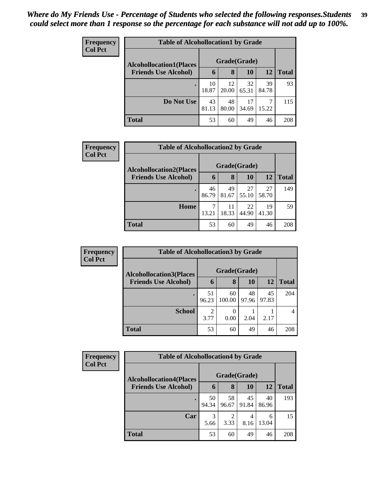| Frequency<br><b>Col Pct</b> | <b>Table of Alcohollocation1 by Grade</b> |              |             |             |             |              |  |  |
|-----------------------------|-------------------------------------------|--------------|-------------|-------------|-------------|--------------|--|--|
|                             | <b>Alcohollocation1(Places</b>            | Grade(Grade) |             |             |             |              |  |  |
|                             | <b>Friends Use Alcohol)</b>               | 6            | 8           | 10          | 12          | <b>Total</b> |  |  |
|                             |                                           | 10<br>18.87  | 12<br>20.00 | 32<br>65.31 | 39<br>84.78 | 93           |  |  |
|                             | Do Not Use                                | 43<br>81.13  | 48<br>80.00 | 17<br>34.69 | 7<br>15.22  | 115          |  |  |
|                             | <b>Total</b>                              | 53           | 60          | 49          | 46          | 208          |  |  |

| Frequency      | <b>Table of Alcohollocation2 by Grade</b> |              |             |             |             |              |  |
|----------------|-------------------------------------------|--------------|-------------|-------------|-------------|--------------|--|
| <b>Col Pct</b> | <b>Alcohollocation2(Places</b>            | Grade(Grade) |             |             |             |              |  |
|                | <b>Friends Use Alcohol)</b>               | 6            | 8           | 10          | <b>12</b>   | <b>Total</b> |  |
|                |                                           | 46<br>86.79  | 49<br>81.67 | 27<br>55.10 | 27<br>58.70 | 149          |  |
|                | Home                                      | 13.21        | 11<br>18.33 | 22<br>44.90 | 19<br>41.30 | 59           |  |
|                | <b>Total</b>                              | 53           | 60          | 49          | 46          | 208          |  |

| Frequency      | <b>Table of Alcohollocation 3 by Grade</b> |                        |                  |             |             |              |  |  |
|----------------|--------------------------------------------|------------------------|------------------|-------------|-------------|--------------|--|--|
| <b>Col Pct</b> | <b>Alcohollocation3(Places</b>             | Grade(Grade)           |                  |             |             |              |  |  |
|                | <b>Friends Use Alcohol)</b>                | 6                      | 8                | 10          | 12          | <b>Total</b> |  |  |
|                |                                            | 51<br>96.23            | 60<br>100.00     | 48<br>97.96 | 45<br>97.83 | 204          |  |  |
|                | <b>School</b>                              | $\overline{2}$<br>3.77 | $\Omega$<br>0.00 | 2.04        | 2.17        |              |  |  |
|                | <b>Total</b>                               | 53                     | 60               | 49          | 46          | 208          |  |  |

| <b>Frequency</b> | <b>Table of Alcohollocation4 by Grade</b> |              |             |             |             |              |  |  |
|------------------|-------------------------------------------|--------------|-------------|-------------|-------------|--------------|--|--|
| <b>Col Pct</b>   | <b>Alcohollocation4(Places</b>            | Grade(Grade) |             |             |             |              |  |  |
|                  | <b>Friends Use Alcohol)</b>               | 6            | 8           | 10          | 12          | <b>Total</b> |  |  |
|                  |                                           | 50<br>94.34  | 58<br>96.67 | 45<br>91.84 | 40<br>86.96 | 193          |  |  |
|                  | Car                                       | 3<br>5.66    | 2<br>3.33   | 4<br>8.16   | 6<br>13.04  | 15           |  |  |
|                  | <b>Total</b>                              | 53           | 60          | 49          | 46          | 208          |  |  |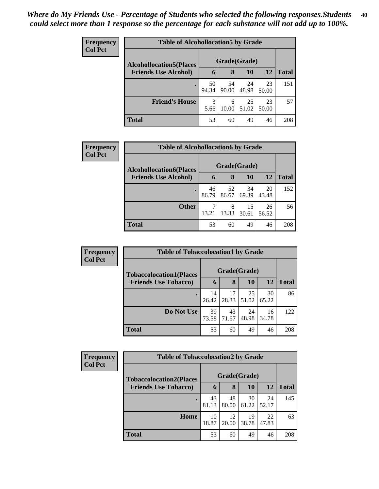| <b>Frequency</b> | <b>Table of Alcohollocation5 by Grade</b> |              |             |             |             |              |  |  |
|------------------|-------------------------------------------|--------------|-------------|-------------|-------------|--------------|--|--|
| <b>Col Pct</b>   | <b>Alcohollocation5(Places</b>            | Grade(Grade) |             |             |             |              |  |  |
|                  | <b>Friends Use Alcohol)</b>               | $\mathbf b$  | 8           | 10          | 12          | <b>Total</b> |  |  |
|                  |                                           | 50<br>94.34  | 54<br>90.00 | 24<br>48.98 | 23<br>50.00 | 151          |  |  |
|                  | <b>Friend's House</b>                     | 3<br>5.66    | 6<br>10.00  | 25<br>51.02 | 23<br>50.00 | 57           |  |  |
|                  | <b>Total</b>                              | 53           | 60          | 49          | 46          | 208          |  |  |

| Frequency      | <b>Table of Alcohollocation6 by Grade</b> |              |             |             |             |              |  |
|----------------|-------------------------------------------|--------------|-------------|-------------|-------------|--------------|--|
| <b>Col Pct</b> | <b>Alcohollocation6(Places</b>            | Grade(Grade) |             |             |             |              |  |
|                | <b>Friends Use Alcohol)</b>               | 6            | 8           | <b>10</b>   | 12          | <b>Total</b> |  |
|                |                                           | 46<br>86.79  | 52<br>86.67 | 34<br>69.39 | 20<br>43.48 | 152          |  |
|                | <b>Other</b>                              | 13.21        | 8<br>13.33  | 15<br>30.61 | 26<br>56.52 | 56           |  |
|                | <b>Total</b>                              | 53           | 60          | 49          | 46          | 208          |  |

| Frequency      | <b>Table of Tobaccolocation1 by Grade</b>                     |              |             |             |             |              |  |
|----------------|---------------------------------------------------------------|--------------|-------------|-------------|-------------|--------------|--|
| <b>Col Pct</b> | <b>Tobaccolocation1(Places</b><br><b>Friends Use Tobacco)</b> | Grade(Grade) |             |             |             |              |  |
|                |                                                               | 6            | 8           | 10          | <b>12</b>   | <b>Total</b> |  |
|                |                                                               | 14<br>26.42  | 17<br>28.33 | 25<br>51.02 | 30<br>65.22 | 86           |  |
|                | Do Not Use                                                    | 39<br>73.58  | 43<br>71.67 | 24<br>48.98 | 16<br>34.78 | 122          |  |
|                | <b>Total</b>                                                  | 53           | 60          | 49          | 46          | 208          |  |

| Frequency      |                                | <b>Table of Tobaccolocation2 by Grade</b> |             |             |             |              |  |  |  |  |
|----------------|--------------------------------|-------------------------------------------|-------------|-------------|-------------|--------------|--|--|--|--|
| <b>Col Pct</b> | <b>Tobaccolocation2(Places</b> | Grade(Grade)                              |             |             |             |              |  |  |  |  |
|                | <b>Friends Use Tobacco)</b>    | 6                                         | 8           | 10          | 12          | <b>Total</b> |  |  |  |  |
|                |                                | 43<br>81.13                               | 48<br>80.00 | 30<br>61.22 | 24<br>52.17 | 145          |  |  |  |  |
|                | Home                           | 10<br>18.87                               | 12<br>20.00 | 19<br>38.78 | 22<br>47.83 | 63           |  |  |  |  |
|                | <b>Total</b>                   | 53                                        | 60          | 49          | 46          | 208          |  |  |  |  |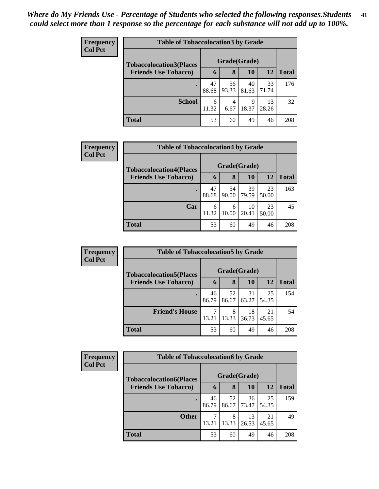| Frequency      | <b>Table of Tobaccolocation 3 by Grade</b> |              |             |             |             |              |  |  |
|----------------|--------------------------------------------|--------------|-------------|-------------|-------------|--------------|--|--|
| <b>Col Pct</b> | <b>Tobaccolocation3(Places</b>             | Grade(Grade) |             |             |             |              |  |  |
|                | <b>Friends Use Tobacco)</b>                | 6            | 8           | 10          | 12          | <b>Total</b> |  |  |
|                |                                            | 47<br>88.68  | 56<br>93.33 | 40<br>81.63 | 33<br>71.74 | 176          |  |  |
|                | <b>School</b>                              | 6<br>11.32   | 4<br>6.67   | 9<br>18.37  | 13<br>28.26 | 32           |  |  |
|                | <b>Total</b>                               | 53           | 60          | 49          | 46          | 208          |  |  |

| <b>Frequency</b> | <b>Table of Tobaccolocation4 by Grade</b> |              |       |       |           |              |  |  |  |
|------------------|-------------------------------------------|--------------|-------|-------|-----------|--------------|--|--|--|
| <b>Col Pct</b>   | <b>Tobaccolocation4(Places</b>            | Grade(Grade) |       |       |           |              |  |  |  |
|                  | <b>Friends Use Tobacco)</b>               | 6            | 8     | 10    | <b>12</b> | <b>Total</b> |  |  |  |
|                  |                                           | 47           | 54    | 39    | 23        | 163          |  |  |  |
|                  |                                           | 88.68        | 90.00 | 79.59 | 50.00     |              |  |  |  |
|                  | Car                                       | 6            | 6     | 10    | 23        | 45           |  |  |  |
|                  |                                           | 11.32        | 10.00 | 20.41 | 50.00     |              |  |  |  |
|                  | <b>Total</b>                              | 53           | 60    | 49    | 46        | 208          |  |  |  |

| <b>Frequency</b> | <b>Table of Tobaccolocation5 by Grade</b> |             |              |             |             |              |  |  |  |
|------------------|-------------------------------------------|-------------|--------------|-------------|-------------|--------------|--|--|--|
| <b>Col Pct</b>   | <b>Tobaccolocation5(Places</b>            |             | Grade(Grade) |             |             |              |  |  |  |
|                  | <b>Friends Use Tobacco)</b>               | 6           | 8            | 10          | 12          | <b>Total</b> |  |  |  |
|                  |                                           | 46<br>86.79 | 52<br>86.67  | 31<br>63.27 | 25<br>54.35 | 154          |  |  |  |
|                  | <b>Friend's House</b>                     | ┑<br>13.21  | 8<br>13.33   | 18<br>36.73 | 21<br>45.65 | 54           |  |  |  |
|                  | <b>Total</b>                              | 53          | 60           | 49          | 46          | 208          |  |  |  |

| <b>Frequency</b> |                                | <b>Table of Tobaccolocation6 by Grade</b> |             |             |             |              |  |  |  |  |
|------------------|--------------------------------|-------------------------------------------|-------------|-------------|-------------|--------------|--|--|--|--|
| <b>Col Pct</b>   | <b>Tobaccolocation6(Places</b> | Grade(Grade)                              |             |             |             |              |  |  |  |  |
|                  | <b>Friends Use Tobacco)</b>    | 6                                         | 8           | 10          | 12          | <b>Total</b> |  |  |  |  |
|                  |                                | 46<br>86.79                               | 52<br>86.67 | 36<br>73.47 | 25<br>54.35 | 159          |  |  |  |  |
|                  | <b>Other</b>                   | 13.21                                     | 8<br>13.33  | 13<br>26.53 | 21<br>45.65 | 49           |  |  |  |  |
|                  | <b>Total</b>                   | 53                                        | 60          | 49          | 46          | 208          |  |  |  |  |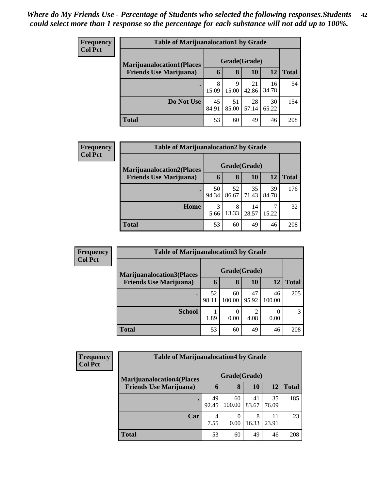| <b>Frequency</b> |                                  | <b>Table of Marijuanalocation1 by Grade</b> |             |             |             |              |  |  |  |  |
|------------------|----------------------------------|---------------------------------------------|-------------|-------------|-------------|--------------|--|--|--|--|
| <b>Col Pct</b>   | <b>Marijuanalocation1(Places</b> | Grade(Grade)                                |             |             |             |              |  |  |  |  |
|                  | <b>Friends Use Marijuana</b> )   | $\mathbf b$                                 | 8           | 10          | 12          | <b>Total</b> |  |  |  |  |
|                  |                                  | 8<br>15.09                                  | 9<br>15.00  | 21<br>42.86 | 16<br>34.78 | 54           |  |  |  |  |
|                  | Do Not Use                       | 45<br>84.91                                 | 51<br>85.00 | 28<br>57.14 | 30<br>65.22 | 154          |  |  |  |  |
|                  | <b>Total</b>                     | 53                                          | 60          | 49          | 46          | 208          |  |  |  |  |

| Frequency      | <b>Table of Marijuanalocation2 by Grade</b>                        |             |                   |             |             |              |  |  |  |
|----------------|--------------------------------------------------------------------|-------------|-------------------|-------------|-------------|--------------|--|--|--|
| <b>Col Pct</b> | <b>Marijuanalocation2(Places</b><br><b>Friends Use Marijuana</b> ) | 6           | Grade(Grade)<br>8 | 10          | 12          | <b>Total</b> |  |  |  |
|                |                                                                    |             |                   |             |             |              |  |  |  |
|                |                                                                    | 50<br>94.34 | 52<br>86.67       | 35<br>71.43 | 39<br>84.78 | 176          |  |  |  |
|                | Home                                                               | 3           | 8                 | 14          | 7           | 32           |  |  |  |
|                |                                                                    | 5.66        | 13.33             | 28.57       | 15.22       |              |  |  |  |
|                | <b>Total</b>                                                       | 53          | 60                | 49          | 46          | 208          |  |  |  |

| Frequency      | <b>Table of Marijuanalocation3 by Grade</b> |             |              |                        |              |              |  |  |
|----------------|---------------------------------------------|-------------|--------------|------------------------|--------------|--------------|--|--|
| <b>Col Pct</b> | <b>Marijuanalocation3(Places)</b>           |             | Grade(Grade) |                        |              |              |  |  |
|                | <b>Friends Use Marijuana</b> )              | h           | 8            | 10                     | 12           | <b>Total</b> |  |  |
|                |                                             | 52<br>98.11 | 60<br>100.00 | 47<br>95.92            | 46<br>100.00 | 205          |  |  |
|                | <b>School</b>                               | 1.89        | 0<br>0.00    | $\mathfrak{D}$<br>4.08 | 0<br>0.00    | 3            |  |  |
|                | Total                                       | 53          | 60           | 49                     | 46           | 208          |  |  |

| Frequency<br><b>Col Pct</b> | <b>Table of Marijuanalocation4 by Grade</b> |              |              |             |             |              |  |  |  |
|-----------------------------|---------------------------------------------|--------------|--------------|-------------|-------------|--------------|--|--|--|
|                             | <b>Marijuanalocation4(Places</b>            | Grade(Grade) |              |             |             |              |  |  |  |
|                             | <b>Friends Use Marijuana</b> )              | 6            | 8            | 10          | <b>12</b>   | <b>Total</b> |  |  |  |
|                             |                                             | 49<br>92.45  | 60<br>100.00 | 41<br>83.67 | 35<br>76.09 | 185          |  |  |  |
|                             | Car                                         | 4<br>7.55    | 0.00         | 8<br>16.33  | 11<br>23.91 | 23           |  |  |  |
|                             | <b>Total</b>                                | 53           | 60           | 49          | 46          | 208          |  |  |  |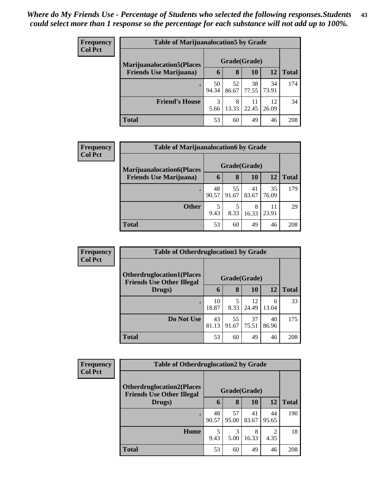| <b>Frequency</b> |                                   | <b>Table of Marijuanalocation5 by Grade</b> |             |             |             |              |  |  |  |
|------------------|-----------------------------------|---------------------------------------------|-------------|-------------|-------------|--------------|--|--|--|
| <b>Col Pct</b>   | <b>Marijuanalocation5</b> (Places | Grade(Grade)                                |             |             |             |              |  |  |  |
|                  | <b>Friends Use Marijuana</b> )    | 6                                           | 8           | 10          | 12          | <b>Total</b> |  |  |  |
|                  |                                   | 50<br>94.34                                 | 52<br>86.67 | 38<br>77.55 | 34<br>73.91 | 174          |  |  |  |
|                  | <b>Friend's House</b>             | 3<br>5.66                                   | 8<br>13.33  | 11<br>22.45 | 12<br>26.09 | 34           |  |  |  |
|                  | <b>Total</b>                      | 53                                          | 60          | 49          | 46          | 208          |  |  |  |

| <b>Frequency</b> | <b>Table of Marijuanalocation6 by Grade</b> |              |             |             |             |              |  |  |  |
|------------------|---------------------------------------------|--------------|-------------|-------------|-------------|--------------|--|--|--|
| <b>Col Pct</b>   | <b>Marijuanalocation6(Places</b>            | Grade(Grade) |             |             |             |              |  |  |  |
|                  | <b>Friends Use Marijuana</b> )              | 6            | 8           | 10          | 12          | <b>Total</b> |  |  |  |
|                  | $\bullet$                                   | 48<br>90.57  | 55<br>91.67 | 41<br>83.67 | 35<br>76.09 | 179          |  |  |  |
|                  | <b>Other</b>                                | 5<br>9.43    | 8.33        | 8<br>16.33  | 11<br>23.91 | 29           |  |  |  |
|                  | <b>Total</b>                                | 53           | 60          | 49          | 46          | 208          |  |  |  |

| Frequency      | <b>Table of Otherdruglocation1 by Grade</b>                          |              |             |             |             |              |
|----------------|----------------------------------------------------------------------|--------------|-------------|-------------|-------------|--------------|
| <b>Col Pct</b> | <b>Otherdruglocation1(Places</b><br><b>Friends Use Other Illegal</b> | Grade(Grade) |             |             |             |              |
|                | Drugs)                                                               | 6            | 8           | 10          | 12          | <b>Total</b> |
|                |                                                                      | 10<br>18.87  | 8.33        | 12<br>24.49 | 6<br>13.04  | 33           |
|                | Do Not Use                                                           | 43<br>81.13  | 55<br>91.67 | 37<br>75.51 | 40<br>86.96 | 175          |
|                | <b>Total</b>                                                         | 53           | 60          | 49          | 46          | 208          |

| <b>Frequency</b> |                                                                       | <b>Table of Otherdruglocation2 by Grade</b> |             |             |             |              |  |
|------------------|-----------------------------------------------------------------------|---------------------------------------------|-------------|-------------|-------------|--------------|--|
| <b>Col Pct</b>   | <b>Otherdruglocation2(Places)</b><br><b>Friends Use Other Illegal</b> | Grade(Grade)                                |             |             |             |              |  |
|                  | Drugs)                                                                | 6                                           | 8           | <b>10</b>   | 12          | <b>Total</b> |  |
|                  | ٠                                                                     | 48<br>90.57                                 | 57<br>95.00 | 41<br>83.67 | 44<br>95.65 | 190          |  |
|                  | Home                                                                  | 5<br>9.43                                   | 3<br>5.00   | 8<br>16.33  | 4.35        | 18           |  |
|                  | <b>Total</b>                                                          | 53                                          | 60          | 49          | 46          | 208          |  |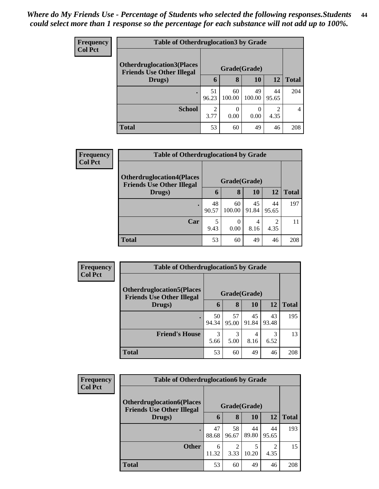| <b>Frequency</b> | <b>Table of Otherdruglocation3 by Grade</b>                           |                        |                  |              |                       |                |
|------------------|-----------------------------------------------------------------------|------------------------|------------------|--------------|-----------------------|----------------|
| <b>Col Pct</b>   | <b>Otherdruglocation3(Places)</b><br><b>Friends Use Other Illegal</b> |                        |                  |              |                       |                |
|                  | Drugs)                                                                | 6                      | 8                | 10           | 12                    | <b>Total</b>   |
|                  |                                                                       | 51<br>96.23            | 60<br>100.00     | 49<br>100.00 | 44<br>95.65           | 204            |
|                  | <b>School</b>                                                         | $\mathfrak{D}$<br>3.77 | $\Omega$<br>0.00 | 0<br>0.00    | $\mathcal{D}$<br>4.35 | $\overline{4}$ |
|                  | <b>Total</b>                                                          | 53                     | 60               | 49           | 46                    | 208            |

| <b>Frequency</b> | <b>Table of Otherdruglocation4 by Grade</b>                           |              |                  |             |                        |              |  |
|------------------|-----------------------------------------------------------------------|--------------|------------------|-------------|------------------------|--------------|--|
| <b>Col Pct</b>   | <b>Otherdruglocation4(Places)</b><br><b>Friends Use Other Illegal</b> | Grade(Grade) |                  |             |                        |              |  |
|                  | Drugs)                                                                | 6            | 8                | 10          | 12                     | <b>Total</b> |  |
|                  | $\bullet$                                                             | 48<br>90.57  | 60<br>100.00     | 45<br>91.84 | 44<br>95.65            | 197          |  |
|                  | Car                                                                   | 5<br>9.43    | $\theta$<br>0.00 | 4<br>8.16   | $\overline{2}$<br>4.35 |              |  |
|                  | <b>Total</b>                                                          | 53           | 60               | 49          | 46                     | 208          |  |

| Frequency<br><b>Col Pct</b> | <b>Table of Otherdruglocation5 by Grade</b>                           |              |             |             |             |              |  |  |
|-----------------------------|-----------------------------------------------------------------------|--------------|-------------|-------------|-------------|--------------|--|--|
|                             | <b>Otherdruglocation5(Places)</b><br><b>Friends Use Other Illegal</b> | Grade(Grade) |             |             |             |              |  |  |
|                             | Drugs)                                                                | 6            | 8           | <b>10</b>   | 12          | <b>Total</b> |  |  |
|                             |                                                                       | 50<br>94.34  | 57<br>95.00 | 45<br>91.84 | 43<br>93.48 | 195          |  |  |
|                             | <b>Friend's House</b>                                                 | 3<br>5.66    | 3<br>5.00   | 4<br>8.16   | 6.52        | 13           |  |  |
|                             | <b>Total</b>                                                          | 53           | 60          | 49          | 46          | 208          |  |  |

| <b>Frequency</b> | <b>Table of Otherdruglocation6 by Grade</b>                          |              |             |             |             |              |  |
|------------------|----------------------------------------------------------------------|--------------|-------------|-------------|-------------|--------------|--|
| <b>Col Pct</b>   | <b>Otherdruglocation6(Places</b><br><b>Friends Use Other Illegal</b> | Grade(Grade) |             |             |             |              |  |
|                  | Drugs)                                                               | 6            | 8           | 10          | 12          | <b>Total</b> |  |
|                  | ٠                                                                    | 47<br>88.68  | 58<br>96.67 | 44<br>89.80 | 44<br>95.65 | 193          |  |
|                  | <b>Other</b>                                                         | 6<br>11.32   | 2<br>3.33   | 10.20       | 4.35        | 15           |  |
|                  | <b>Total</b>                                                         | 53           | 60          | 49          | 46          | 208          |  |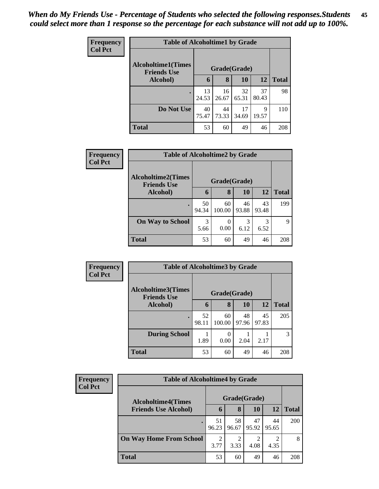| <b>Frequency</b> | <b>Table of Alcoholtime1 by Grade</b>           |              |             |             |             |              |
|------------------|-------------------------------------------------|--------------|-------------|-------------|-------------|--------------|
| <b>Col Pct</b>   | <b>Alcoholtime1(Times</b><br><b>Friends Use</b> | Grade(Grade) |             |             |             |              |
|                  | Alcohol)                                        | 6            | 8           | <b>10</b>   | 12          | <b>Total</b> |
|                  |                                                 | 13<br>24.53  | 16<br>26.67 | 32<br>65.31 | 37<br>80.43 | 98           |
|                  | Do Not Use                                      | 40<br>75.47  | 44<br>73.33 | 17<br>34.69 | 9<br>19.57  | 110          |
|                  | <b>Total</b>                                    | 53           | 60          | 49          | 46          | 208          |

| Frequency<br><b>Col Pct</b> | <b>Table of Alcoholtime2 by Grade</b>           |              |                  |             |             |              |
|-----------------------------|-------------------------------------------------|--------------|------------------|-------------|-------------|--------------|
|                             | <b>Alcoholtime2(Times</b><br><b>Friends Use</b> | Grade(Grade) |                  |             |             |              |
|                             | Alcohol)                                        | 6            | 8                | 10          | 12          | <b>Total</b> |
|                             | $\bullet$                                       | 50<br>94.34  | 60<br>100.00     | 46<br>93.88 | 43<br>93.48 | 199          |
|                             | <b>On Way to School</b>                         | 3<br>5.66    | $\theta$<br>0.00 | 3<br>6.12   | 3<br>6.52   | 9            |
|                             | <b>Total</b>                                    | 53           | 60               | 49          | 46          | 208          |

| Frequency<br><b>Col Pct</b> | <b>Table of Alcoholtime3 by Grade</b>           |             |              |             |             |              |
|-----------------------------|-------------------------------------------------|-------------|--------------|-------------|-------------|--------------|
|                             | <b>Alcoholtime3(Times</b><br><b>Friends Use</b> |             | Grade(Grade) |             |             |              |
|                             | Alcohol)                                        | 6           | 8            | 10          | 12          | <b>Total</b> |
|                             | $\bullet$                                       | 52<br>98.11 | 60<br>100.00 | 48<br>97.96 | 45<br>97.83 | 205          |
|                             | <b>During School</b>                            | 1.89        | 0.00         | 2.04        | 2.17        | 3            |
|                             | <b>Total</b>                                    | 53          | 60           | 49          | 46          | 208          |

| <b>Frequency</b> | <b>Table of Alcoholtime4 by Grade</b> |                        |             |             |             |              |  |
|------------------|---------------------------------------|------------------------|-------------|-------------|-------------|--------------|--|
| <b>Col Pct</b>   | <b>Alcoholtime4(Times</b>             | Grade(Grade)           |             |             |             |              |  |
|                  | <b>Friends Use Alcohol)</b>           | h                      | 8           | 10          | 12          | <b>Total</b> |  |
|                  |                                       | 51<br>96.23            | 58<br>96.67 | 47<br>95.92 | 44<br>95.65 | 200          |  |
|                  | <b>On Way Home From School</b>        | $\overline{2}$<br>3.77 | 3.33        | 4.08        | 4.35        | 8            |  |
|                  | <b>Total</b>                          | 53                     | 60          | 49          | 46          | 208          |  |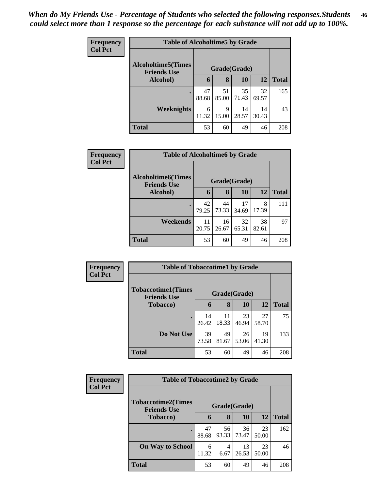| Frequency      | <b>Table of Alcoholtime5 by Grade</b>           |              |             |             |             |              |
|----------------|-------------------------------------------------|--------------|-------------|-------------|-------------|--------------|
| <b>Col Pct</b> | <b>Alcoholtime5(Times</b><br><b>Friends Use</b> | Grade(Grade) |             |             |             |              |
|                | Alcohol)                                        | 6            | 8           | 10          | 12          | <b>Total</b> |
|                |                                                 | 47<br>88.68  | 51<br>85.00 | 35<br>71.43 | 32<br>69.57 | 165          |
|                | <b>Weeknights</b>                               | 6<br>11.32   | 9<br>15.00  | 14<br>28.57 | 14<br>30.43 | 43           |
|                | <b>Total</b>                                    | 53           | 60          | 49          | 46          | 208          |

| <b>Frequency</b> | <b>Table of Alcoholtime6 by Grade</b>           |             |              |             |             |              |
|------------------|-------------------------------------------------|-------------|--------------|-------------|-------------|--------------|
| <b>Col Pct</b>   | <b>Alcoholtime6(Times</b><br><b>Friends Use</b> |             | Grade(Grade) |             |             |              |
|                  | Alcohol)                                        | 6           | 8            | 10          | 12          | <b>Total</b> |
|                  |                                                 | 42<br>79.25 | 44<br>73.33  | 17<br>34.69 | 8<br>17.39  | 111          |
|                  | Weekends                                        | 11<br>20.75 | 16<br>26.67  | 32<br>65.31 | 38<br>82.61 | 97           |
|                  | <b>Total</b>                                    | 53          | 60           | 49          | 46          | 208          |

| Frequency<br><b>Col Pct</b> | <b>Table of Tobaccotime1 by Grade</b>                           |             |             |             |             |              |  |  |
|-----------------------------|-----------------------------------------------------------------|-------------|-------------|-------------|-------------|--------------|--|--|
|                             | <b>Tobaccotime1(Times</b><br>Grade(Grade)<br><b>Friends Use</b> |             |             |             |             |              |  |  |
|                             | <b>Tobacco</b> )                                                | 6           | 8           | 10          | 12          | <b>Total</b> |  |  |
|                             |                                                                 | 14<br>26.42 | 11<br>18.33 | 23<br>46.94 | 27<br>58.70 | 75           |  |  |
|                             | Do Not Use                                                      | 39<br>73.58 | 49<br>81.67 | 26<br>53.06 | 19<br>41.30 | 133          |  |  |
|                             | <b>Total</b>                                                    | 53          | 60          | 49          | 46          | 208          |  |  |

| Frequency      | <b>Table of Tobaccotime2 by Grade</b>           |              |             |             |             |              |
|----------------|-------------------------------------------------|--------------|-------------|-------------|-------------|--------------|
| <b>Col Pct</b> | <b>Tobaccotime2(Times</b><br><b>Friends Use</b> | Grade(Grade) |             |             |             |              |
|                | <b>Tobacco</b> )                                | 6            | 8           | 10          | 12          | <b>Total</b> |
|                |                                                 | 47<br>88.68  | 56<br>93.33 | 36<br>73.47 | 23<br>50.00 | 162          |
|                | <b>On Way to School</b>                         | 6<br>11.32   | 4<br>6.67   | 13<br>26.53 | 23<br>50.00 | 46           |
|                | <b>Total</b>                                    | 53           | 60          | 49          | 46          | 208          |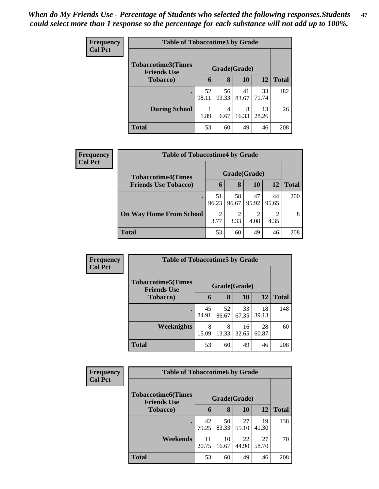| <b>Frequency</b> | <b>Table of Tobaccotime3 by Grade</b>                           |             |             |             |             |              |  |
|------------------|-----------------------------------------------------------------|-------------|-------------|-------------|-------------|--------------|--|
| <b>Col Pct</b>   | <b>Tobaccotime3(Times</b><br>Grade(Grade)<br><b>Friends Use</b> |             |             |             |             |              |  |
|                  | <b>Tobacco</b> )                                                | 6           | 8           | 10          | 12          | <b>Total</b> |  |
|                  | ٠                                                               | 52<br>98.11 | 56<br>93.33 | 41<br>83.67 | 33<br>71.74 | 182          |  |
|                  | <b>During School</b>                                            | 1<br>1.89   | 4<br>6.67   | 8<br>16.33  | 13<br>28.26 | 26           |  |
|                  | <b>Total</b>                                                    | 53          | 60          | 49          | 46          | 208          |  |

| Frequency<br><b>Col Pct</b> | <b>Table of Tobaccotime4 by Grade</b> |                        |             |             |                        |              |
|-----------------------------|---------------------------------------|------------------------|-------------|-------------|------------------------|--------------|
|                             | <b>Tobaccotime4(Times</b>             | Grade(Grade)           |             |             |                        |              |
|                             | <b>Friends Use Tobacco)</b>           | h                      | 8           | 10          | 12                     | <b>Total</b> |
|                             |                                       | 51<br>96.23            | 58<br>96.67 | 47<br>95.92 | 44<br>95.65            | 200          |
|                             | <b>On Way Home From School</b>        | $\overline{2}$<br>3.77 | ി<br>3.33   | 4.08        | $\overline{c}$<br>4.35 | 8            |
|                             | <b>Total</b>                          | 53                     | 60          | 49          | 46                     | 208          |

| <b>Frequency</b> | <b>Table of Tobaccotime5 by Grade</b> |              |             |             |             |              |
|------------------|---------------------------------------|--------------|-------------|-------------|-------------|--------------|
| <b>Col Pct</b>   | <b>Tobaccotime5(Times</b>             | Grade(Grade) |             |             |             |              |
|                  | <b>Friends Use</b><br>Tobacco)        | 6            | 8           | 10          | 12          | <b>Total</b> |
|                  |                                       | 45<br>84.91  | 52<br>86.67 | 33<br>67.35 | 18<br>39.13 | 148          |
|                  | Weeknights                            | 8<br>15.09   | 8<br>13.33  | 16<br>32.65 | 28<br>60.87 | 60           |
|                  | <b>Total</b>                          | 53           | 60          | 49          | 46          | 208          |

| Frequency      | <b>Table of Tobaccotime6 by Grade</b>                           |             |             |             |             |              |
|----------------|-----------------------------------------------------------------|-------------|-------------|-------------|-------------|--------------|
| <b>Col Pct</b> | <b>Tobaccotime6(Times</b><br>Grade(Grade)<br><b>Friends Use</b> |             |             |             |             |              |
|                | Tobacco)                                                        | 6           | 8           | 10          | 12          | <b>Total</b> |
|                |                                                                 | 42<br>79.25 | 50<br>83.33 | 27<br>55.10 | 19<br>41.30 | 138          |
|                | Weekends                                                        | 11<br>20.75 | 10<br>16.67 | 22<br>44.90 | 27<br>58.70 | 70           |
|                | <b>Total</b>                                                    | 53          | 60          | 49          | 46          | 208          |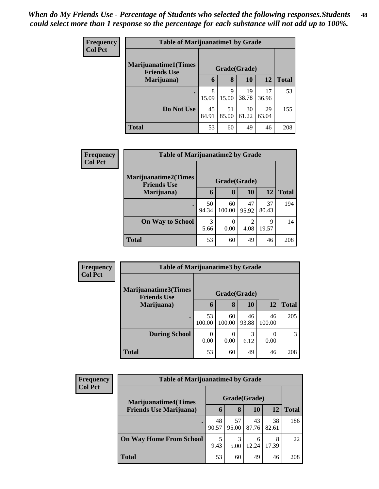| <b>Frequency</b> | <b>Table of Marijuanatime1 by Grade</b>                            |             |             |             |             |              |  |
|------------------|--------------------------------------------------------------------|-------------|-------------|-------------|-------------|--------------|--|
| <b>Col Pct</b>   | <b>Marijuanatime1</b> (Times<br>Grade(Grade)<br><b>Friends Use</b> |             |             |             |             |              |  |
|                  | Marijuana)                                                         | 6           | 8           | 10          | 12          | <b>Total</b> |  |
|                  |                                                                    | 8<br>15.09  | 9<br>15.00  | 19<br>38.78 | 17<br>36.96 | 53           |  |
|                  | Do Not Use                                                         | 45<br>84.91 | 51<br>85.00 | 30<br>61.22 | 29<br>63.04 | 155          |  |
|                  | <b>Total</b>                                                       | 53          | 60          | 49          | 46          | 208          |  |

| Frequency      | <b>Table of Marijuanatime2 by Grade</b>           |              |              |             |             |              |  |
|----------------|---------------------------------------------------|--------------|--------------|-------------|-------------|--------------|--|
| <b>Col Pct</b> | <b>Marijuanatime2(Times</b><br><b>Friends Use</b> | Grade(Grade) |              |             |             |              |  |
|                | Marijuana)                                        | 6            | 8            | <b>10</b>   | <b>12</b>   | <b>Total</b> |  |
|                | $\bullet$                                         | 50<br>94.34  | 60<br>100.00 | 47<br>95.92 | 37<br>80.43 | 194          |  |
|                | <b>On Way to School</b>                           | 3<br>5.66    | 0<br>0.00    | ↑<br>4.08   | 9<br>19.57  | 14           |  |
|                | <b>Total</b>                                      | 53           | 60           | 49          | 46          | 208          |  |

| Frequency<br><b>Col Pct</b> |                                            | <b>Table of Marijuanatime3 by Grade</b> |              |             |              |               |  |  |  |
|-----------------------------|--------------------------------------------|-----------------------------------------|--------------|-------------|--------------|---------------|--|--|--|
|                             | Marijuanatime3(Times<br><b>Friends Use</b> |                                         | Grade(Grade) |             |              |               |  |  |  |
|                             | Marijuana)                                 | 6                                       | 8            | <b>10</b>   | 12           | <b>Total</b>  |  |  |  |
|                             |                                            | 53<br>100.00                            | 60<br>100.00 | 46<br>93.88 | 46<br>100.00 | 205           |  |  |  |
|                             | <b>During School</b>                       | 0<br>0.00                               | 0.00         | 3<br>6.12   | 0.00         | $\mathcal{R}$ |  |  |  |
|                             | <b>Total</b>                               | 53                                      | 60           | 49          | 46           | 208           |  |  |  |

| <b>Frequency</b><br><b>Col Pct</b> | <b>Table of Marijuanatime4 by Grade</b> |              |             |             |             |              |
|------------------------------------|-----------------------------------------|--------------|-------------|-------------|-------------|--------------|
|                                    | <b>Marijuanatime4(Times</b>             | Grade(Grade) |             |             |             |              |
|                                    | <b>Friends Use Marijuana</b> )          | O            | 8           | 10          | 12          | <b>Total</b> |
|                                    |                                         | 48<br>90.57  | 57<br>95.00 | 43<br>87.76 | 38<br>82.61 | 186          |
|                                    | <b>On Way Home From School</b>          | 9.43         | 3<br>5.00   | 6<br>12.24  | 8<br>17.39  | 22           |
|                                    | <b>Total</b>                            | 53           | 60          | 49          | 46          | 208          |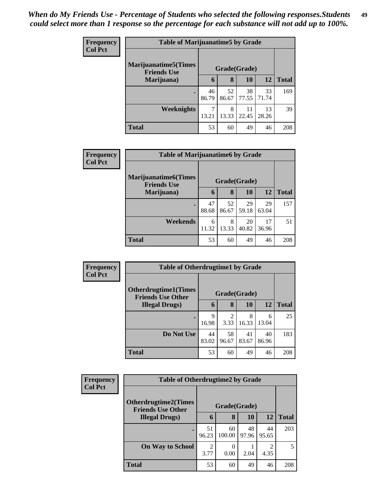| <b>Frequency</b> | <b>Table of Marijuanatime5 by Grade</b>            |              |             |             |             |              |  |
|------------------|----------------------------------------------------|--------------|-------------|-------------|-------------|--------------|--|
| <b>Col Pct</b>   | <b>Marijuanatime5</b> (Times<br><b>Friends Use</b> | Grade(Grade) |             |             |             |              |  |
|                  | Marijuana)                                         | 6            | 8           | 10          | 12          | <b>Total</b> |  |
|                  |                                                    | 46<br>86.79  | 52<br>86.67 | 38<br>77.55 | 33<br>71.74 | 169          |  |
|                  | <b>Weeknights</b>                                  | 13.21        | 8<br>13.33  | 11<br>22.45 | 13<br>28.26 | 39           |  |
|                  | <b>Total</b>                                       | 53           | 60          | 49          | 46          | 208          |  |

| Frequency      | <b>Table of Marijuanatime6 by Grade</b>           |              |             |             |             |              |  |
|----------------|---------------------------------------------------|--------------|-------------|-------------|-------------|--------------|--|
| <b>Col Pct</b> | <b>Marijuanatime6(Times</b><br><b>Friends Use</b> | Grade(Grade) |             |             |             |              |  |
|                | Marijuana)                                        | 6            | 8           | 10          | 12          | <b>Total</b> |  |
|                |                                                   | 47<br>88.68  | 52<br>86.67 | 29<br>59.18 | 29<br>63.04 | 157          |  |
|                | Weekends                                          | 6<br>11.32   | 8<br>13.33  | 20<br>40.82 | 17<br>36.96 | 51           |  |
|                | <b>Total</b>                                      | 53           | 60          | 49          | 46          | 208          |  |

| Frequency<br><b>Col Pct</b> | <b>Table of Otherdrugtime1 by Grade</b>                  |              |                        |             |             |              |  |
|-----------------------------|----------------------------------------------------------|--------------|------------------------|-------------|-------------|--------------|--|
|                             | <b>Otherdrugtime1</b> (Times<br><b>Friends Use Other</b> | Grade(Grade) |                        |             |             |              |  |
|                             | <b>Illegal Drugs</b> )                                   | 6            | 8                      | 10          | 12          | <b>Total</b> |  |
|                             | ٠                                                        | 9<br>16.98   | $\overline{c}$<br>3.33 | 8<br>16.33  | 6<br>13.04  | 25           |  |
|                             | Do Not Use                                               | 44<br>83.02  | 58<br>96.67            | 41<br>83.67 | 40<br>86.96 | 183          |  |
|                             | <b>Total</b>                                             | 53           | 60                     | 49          | 46          | 208          |  |

| <b>Frequency</b> |                                                         | <b>Table of Otherdrugtime2 by Grade</b> |              |             |             |              |
|------------------|---------------------------------------------------------|-----------------------------------------|--------------|-------------|-------------|--------------|
| <b>Col Pct</b>   | <b>Otherdrugtime2(Times</b><br><b>Friends Use Other</b> |                                         | Grade(Grade) |             |             |              |
|                  | <b>Illegal Drugs</b> )                                  | 6                                       | 8            | 10          | 12          | <b>Total</b> |
|                  |                                                         | 51<br>96.23                             | 60<br>100.00 | 48<br>97.96 | 44<br>95.65 | 203          |
|                  | <b>On Way to School</b>                                 | $\overline{c}$<br>3.77                  | 0.00         | 2.04        | 4.35        | 5            |
|                  | <b>Total</b>                                            | 53                                      | 60           | 49          | 46          | 208          |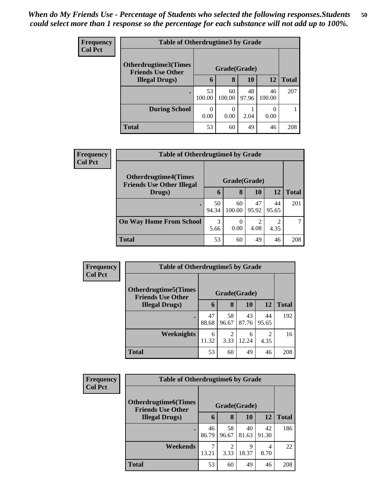| <b>Frequency</b> |                                                  | <b>Table of Otherdrugtime3 by Grade</b> |              |             |                          |              |
|------------------|--------------------------------------------------|-----------------------------------------|--------------|-------------|--------------------------|--------------|
| <b>Col Pct</b>   | Otherdrugtime3(Times<br><b>Friends Use Other</b> |                                         | Grade(Grade) |             |                          |              |
|                  | <b>Illegal Drugs</b> )                           | 6                                       | 8            | 10          | 12                       | <b>Total</b> |
|                  |                                                  | 53<br>100.00                            | 60<br>100.00 | 48<br>97.96 | 46<br>100.00             | 207          |
|                  | <b>During School</b>                             | $\Omega$<br>0.00                        | 0.00         | 2.04        | $\left( \right)$<br>0.00 |              |
|                  | <b>Total</b>                                     | 53                                      | 60           | 49          | 46                       | 208          |

| Frequency      |                                                                 | <b>Table of Otherdrugtime4 by Grade</b> |                  |             |             |              |
|----------------|-----------------------------------------------------------------|-----------------------------------------|------------------|-------------|-------------|--------------|
| <b>Col Pct</b> | <b>Otherdrugtime4(Times</b><br><b>Friends Use Other Illegal</b> |                                         | Grade(Grade)     |             |             |              |
|                | Drugs)                                                          | 6                                       | 8                | 10          | 12          | <b>Total</b> |
|                |                                                                 | 50<br>94.34                             | 60<br>100.00     | 47<br>95.92 | 44<br>95.65 | 201          |
|                | <b>On Way Home From School</b>                                  | 3<br>5.66                               | $\theta$<br>0.00 | 4.08        | 2<br>4.35   |              |
|                | <b>Total</b>                                                    | 53                                      | 60               | 49          | 46          | 208          |

| Frequency      |                                                         | <b>Table of Otherdrugtime5 by Grade</b> |                                     |             |                                                                                                                                                                         |              |
|----------------|---------------------------------------------------------|-----------------------------------------|-------------------------------------|-------------|-------------------------------------------------------------------------------------------------------------------------------------------------------------------------|--------------|
| <b>Col Pct</b> | <b>Otherdrugtime5(Times</b><br><b>Friends Use Other</b> |                                         | Grade(Grade)                        |             |                                                                                                                                                                         |              |
|                | <b>Illegal Drugs</b> )                                  | 6                                       | 8                                   | 10          | 12                                                                                                                                                                      | <b>Total</b> |
|                |                                                         | 47<br>88.68                             | 58<br>96.67                         | 43<br>87.76 | 44<br>95.65                                                                                                                                                             | 192          |
|                | <b>Weeknights</b>                                       | 6<br>11.32                              | $\mathcal{D}_{\mathcal{A}}$<br>3.33 | 6<br>12.24  | $\mathcal{D}_{\mathcal{A}}^{\mathcal{A}}(\mathcal{A})=\mathcal{D}_{\mathcal{A}}^{\mathcal{A}}(\mathcal{A})\mathcal{D}_{\mathcal{A}}^{\mathcal{A}}(\mathcal{A})$<br>4.35 | 16           |
|                | <b>Total</b>                                            | 53                                      | 60                                  | 49          | 46                                                                                                                                                                      | 208          |

| Frequency      |                                                          | <b>Table of Otherdrugtime6 by Grade</b> |             |              |             |              |
|----------------|----------------------------------------------------------|-----------------------------------------|-------------|--------------|-------------|--------------|
| <b>Col Pct</b> | <b>Otherdrugtime6</b> (Times<br><b>Friends Use Other</b> |                                         |             | Grade(Grade) |             |              |
|                | <b>Illegal Drugs</b> )                                   | $\mathbf b$                             | 8           | 10           | 12          | <b>Total</b> |
|                | ٠                                                        | 46<br>86.79                             | 58<br>96.67 | 40<br>81.63  | 42<br>91.30 | 186          |
|                | Weekends                                                 | 13.21                                   | 2<br>3.33   | 9<br>18.37   | 4<br>8.70   | 22           |
|                | <b>Total</b>                                             | 53                                      | 60          | 49           | 46          | 208          |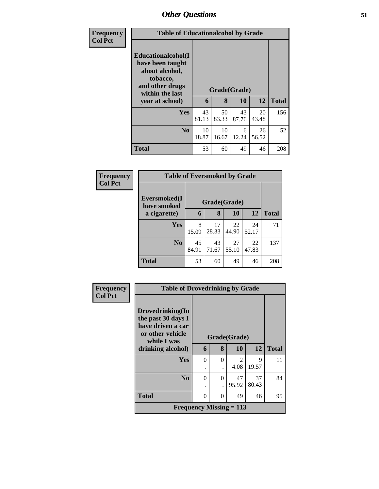| <b>Frequency</b> | <b>Table of Educationalcohol by Grade</b>                                                                                     |             |             |                    |             |              |
|------------------|-------------------------------------------------------------------------------------------------------------------------------|-------------|-------------|--------------------|-------------|--------------|
| <b>Col Pct</b>   | Educationalcohol(I<br>have been taught<br>about alcohol,<br>tobacco,<br>and other drugs<br>within the last<br>year at school) | 6           | 8           | Grade(Grade)<br>10 | 12          | <b>Total</b> |
|                  | Yes                                                                                                                           | 43<br>81.13 | 50<br>83.33 | 43<br>87.76        | 20<br>43.48 | 156          |
|                  | No                                                                                                                            | 10<br>18.87 | 10<br>16.67 | 6<br>12.24         | 26<br>56.52 | 52           |
|                  | <b>Total</b>                                                                                                                  | 53          | 60          | 49                 | 46          | 208          |

| Frequency      |                             | <b>Table of Eversmoked by Grade</b> |             |             |             |              |  |
|----------------|-----------------------------|-------------------------------------|-------------|-------------|-------------|--------------|--|
| <b>Col Pct</b> | Eversmoked(I<br>have smoked | Grade(Grade)                        |             |             |             |              |  |
|                | a cigarette)                | 6                                   | 8           | <b>10</b>   | 12          | <b>Total</b> |  |
|                | Yes                         | 8<br>15.09                          | 17<br>28.33 | 22<br>44.90 | 24<br>52.17 | 71           |  |
|                | N <sub>0</sub>              | 45<br>84.91                         | 43<br>71.67 | 27<br>55.10 | 22<br>47.83 | 137          |  |
|                | <b>Total</b>                | 53                                  | 60          | 49          | 46          | 208          |  |

| <b>Frequency</b> | <b>Table of Drovedrinking by Grade</b>                                     |          |          |                             |       |              |
|------------------|----------------------------------------------------------------------------|----------|----------|-----------------------------|-------|--------------|
| <b>Col Pct</b>   | Drovedrinking(In                                                           |          |          |                             |       |              |
|                  | the past 30 days I<br>have driven a car<br>or other vehicle<br>while I was |          |          | Grade(Grade)                |       |              |
|                  | drinking alcohol)                                                          | 6        | 8        | <b>10</b>                   | 12    | <b>Total</b> |
|                  | Yes                                                                        | $\Omega$ | $\theta$ | $\mathcal{D}_{\mathcal{L}}$ | 9     | 11           |
|                  |                                                                            | ٠        |          | 4.08                        | 19.57 |              |
|                  | N <sub>0</sub>                                                             | $\Omega$ | $\theta$ | 47                          | 37    | 84           |
|                  |                                                                            | ٠        |          | 95.92                       | 80.43 |              |
|                  | <b>Total</b>                                                               | $\Omega$ | $\Omega$ | 49                          | 46    | 95           |
|                  | Frequency Missing $= 113$                                                  |          |          |                             |       |              |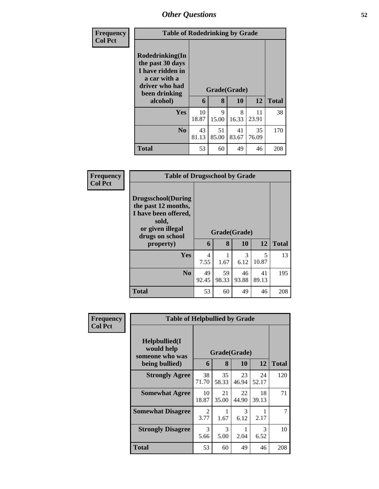| <b>Frequency</b> |                                                                                                                        | <b>Table of Rodedrinking by Grade</b> |                   |             |             |              |
|------------------|------------------------------------------------------------------------------------------------------------------------|---------------------------------------|-------------------|-------------|-------------|--------------|
| <b>Col Pct</b>   | Rodedrinking(In<br>the past 30 days<br>I have ridden in<br>a car with a<br>driver who had<br>been drinking<br>alcohol) | 6                                     | Grade(Grade)<br>8 | 10          | 12          | <b>Total</b> |
|                  | Yes                                                                                                                    | 10<br>18.87                           | 9<br>15.00        | 8<br>16.33  | 11<br>23.91 | 38           |
|                  | N <sub>0</sub>                                                                                                         | 43<br>81.13                           | 51<br>85.00       | 41<br>83.67 | 35<br>76.09 | 170          |
|                  | <b>Total</b>                                                                                                           | 53                                    | 60                | 49          | 46          | 208          |

| <b>Frequency</b> | <b>Table of Drugsschool by Grade</b>                                                                                                   |             |             |                           |             |              |  |
|------------------|----------------------------------------------------------------------------------------------------------------------------------------|-------------|-------------|---------------------------|-------------|--------------|--|
| <b>Col Pct</b>   | <b>Drugsschool</b> (During<br>the past 12 months,<br>I have been offered,<br>sold,<br>or given illegal<br>drugs on school<br>property) | 6           | 8           | Grade(Grade)<br><b>10</b> | 12          | <b>Total</b> |  |
|                  | <b>Yes</b>                                                                                                                             | 4<br>7.55   | 1.67        | 3<br>6.12                 | 5<br>10.87  | 13           |  |
|                  | N <sub>0</sub>                                                                                                                         | 49<br>92.45 | 59<br>98.33 | 46<br>93.88               | 41<br>89.13 | 195          |  |
|                  | <b>Total</b>                                                                                                                           | 53          | 60          | 49                        | 46          | 208          |  |

| <b>Frequency</b> |                                                 | <b>Table of Helpbullied by Grade</b> |                              |             |             |              |
|------------------|-------------------------------------------------|--------------------------------------|------------------------------|-------------|-------------|--------------|
| <b>Col Pct</b>   | Helpbullied(I)<br>would help<br>someone who was | 6                                    | Grade(Grade)<br>$\mathbf{8}$ | 10          | 12          | <b>Total</b> |
|                  | being bullied)                                  |                                      |                              |             |             |              |
|                  | <b>Strongly Agree</b>                           | 38<br>71.70                          | 35<br>58.33                  | 23<br>46.94 | 24<br>52.17 | 120          |
|                  | <b>Somewhat Agree</b>                           | 10<br>18.87                          | 21<br>35.00                  | 22<br>44.90 | 18<br>39.13 | 71           |
|                  | <b>Somewhat Disagree</b>                        | 2<br>3.77                            | 1.67                         | 3<br>6.12   | 2.17        | 7            |
|                  | <b>Strongly Disagree</b>                        | 3<br>5.66                            | 3<br>5.00                    | 2.04        | 3<br>6.52   | 10           |
|                  | Total                                           | 53                                   | 60                           | 49          | 46          | 208          |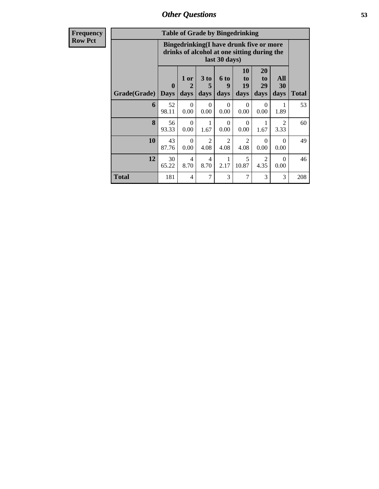| <b>Frequency</b><br>Row Pct |
|-----------------------------|

| <b>Table of Grade by Bingedrinking</b> |                             |                                                                                                         |                              |                   |                        |                               |                        |              |  |
|----------------------------------------|-----------------------------|---------------------------------------------------------------------------------------------------------|------------------------------|-------------------|------------------------|-------------------------------|------------------------|--------------|--|
|                                        |                             | Bingedrinking(I have drunk five or more<br>drinks of alcohol at one sitting during the<br>last 30 days) |                              |                   |                        |                               |                        |              |  |
| Grade(Grade)                           | $\mathbf{0}$<br><b>Days</b> | 1 or<br>$\mathcal{D}_{\cdot}$<br>days                                                                   | 3 <sub>to</sub><br>5<br>days | 6 to<br>9<br>days | 10<br>to<br>19<br>days | <b>20</b><br>to<br>29<br>days | All<br>30<br>days      | <b>Total</b> |  |
| 6                                      | 52<br>98.11                 | $\Omega$<br>0.00                                                                                        | 0<br>0.00                    | $\Omega$<br>0.00  | $\Omega$<br>0.00       | $\Omega$<br>0.00              | 1.89                   | 53           |  |
| 8                                      | 56<br>93.33                 | $\Omega$<br>0.00                                                                                        | 1<br>1.67                    | $\Omega$<br>0.00  | $\Omega$<br>0.00       | 1<br>1.67                     | $\mathfrak{D}$<br>3.33 | 60           |  |
| 10                                     | 43<br>87.76                 | $\Omega$<br>0.00                                                                                        | 2<br>4.08                    | 2<br>4.08         | 2<br>4.08              | $\Omega$<br>0.00              | $\Omega$<br>0.00       | 49           |  |
| 12                                     | 30<br>65.22                 | 4<br>8.70                                                                                               | 4<br>8.70                    | 1<br>2.17         | 5<br>10.87             | $\overline{2}$<br>4.35        | $\Omega$<br>0.00       | 46           |  |
| <b>Total</b>                           | 181                         | 4                                                                                                       | 7                            | 3                 | 7                      | 3                             | 3                      | 208          |  |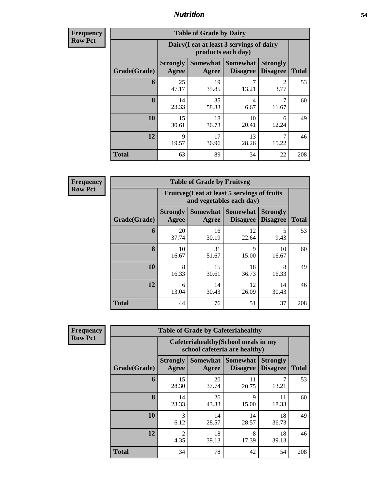**Frequency Row Pct**

| <b>Table of Grade by Dairy</b> |                          |                                                                 |                                    |                                    |              |  |  |  |
|--------------------------------|--------------------------|-----------------------------------------------------------------|------------------------------------|------------------------------------|--------------|--|--|--|
|                                |                          | Dairy (I eat at least 3 servings of dairy<br>products each day) |                                    |                                    |              |  |  |  |
| Grade(Grade)                   | <b>Strongly</b><br>Agree | <b>Somewhat</b><br>Agree                                        | <b>Somewhat</b><br><b>Disagree</b> | <b>Strongly</b><br><b>Disagree</b> | <b>Total</b> |  |  |  |
| 6                              | 25<br>47.17              | 19<br>35.85                                                     | 7<br>13.21                         | $\mathfrak{D}$<br>3.77             | 53           |  |  |  |
| 8                              | 14<br>23.33              | 35<br>58.33                                                     | 4<br>6.67                          | 7<br>11.67                         | 60           |  |  |  |
| 10                             | 15<br>30.61              | 18<br>36.73                                                     | 10<br>20.41                        | 6<br>12.24                         | 49           |  |  |  |
| 12                             | 9<br>19.57               | 17<br>36.96                                                     | 13<br>28.26                        | 7<br>15.22                         | 46           |  |  |  |
| <b>Total</b>                   | 63                       | 89                                                              | 34                                 | 22                                 | 208          |  |  |  |

**Frequency Row Pct**

| <b>Table of Grade by Fruitveg</b> |                          |                                                                          |                                        |                                    |              |  |  |  |  |
|-----------------------------------|--------------------------|--------------------------------------------------------------------------|----------------------------------------|------------------------------------|--------------|--|--|--|--|
|                                   |                          | Fruitveg(I eat at least 5 servings of fruits<br>and vegetables each day) |                                        |                                    |              |  |  |  |  |
| Grade(Grade)                      | <b>Strongly</b><br>Agree | Agree                                                                    | Somewhat   Somewhat<br><b>Disagree</b> | <b>Strongly</b><br><b>Disagree</b> | <b>Total</b> |  |  |  |  |
| 6                                 | 20<br>37.74              | 16<br>30.19                                                              | 12<br>22.64                            | 5<br>9.43                          | 53           |  |  |  |  |
| 8                                 | 10<br>16.67              | 31<br>51.67                                                              | 9<br>15.00                             | 10<br>16.67                        | 60           |  |  |  |  |
| 10                                | 8<br>16.33               | 15<br>30.61                                                              | 18<br>36.73                            | 8<br>16.33                         | 49           |  |  |  |  |
| 12                                | 6<br>13.04               | 14<br>12<br>14<br>30.43<br>30.43<br>26.09                                |                                        |                                    |              |  |  |  |  |
| <b>Total</b>                      | 44                       | 76                                                                       | 51                                     | 37                                 | 208          |  |  |  |  |

**Frequency Row Pct**

| <b>Table of Grade by Cafeteriahealthy</b> |                          |                                                                       |                                    |                                    |              |  |  |  |  |
|-------------------------------------------|--------------------------|-----------------------------------------------------------------------|------------------------------------|------------------------------------|--------------|--|--|--|--|
|                                           |                          | Cafeteriahealthy (School meals in my<br>school cafeteria are healthy) |                                    |                                    |              |  |  |  |  |
| Grade(Grade)                              | <b>Strongly</b><br>Agree | Somewhat  <br>Agree                                                   | <b>Somewhat</b><br><b>Disagree</b> | <b>Strongly</b><br><b>Disagree</b> | <b>Total</b> |  |  |  |  |
| 6                                         | 15<br>28.30              | 20<br>37.74                                                           | 11<br>20.75                        | 13.21                              | 53           |  |  |  |  |
| 8                                         | 14<br>23.33              | 26<br>43.33                                                           | 9<br>15.00                         | 11<br>18.33                        | 60           |  |  |  |  |
| 10                                        | 3<br>6.12                | 14<br>28.57                                                           | 14<br>28.57                        | 18<br>36.73                        | 49           |  |  |  |  |
| 12                                        | 2<br>4.35                | 18<br>8<br>18<br>39.13<br>17.39<br>39.13                              |                                    |                                    |              |  |  |  |  |
| <b>Total</b>                              | 34                       | 78                                                                    | 42                                 | 54                                 | 208          |  |  |  |  |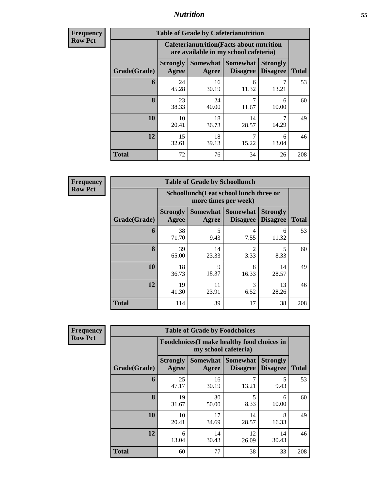| <b>Frequency</b><br>Row Pct |
|-----------------------------|
|                             |

| <b>Table of Grade by Cafeterianutrition</b> |                          |                                                                                           |                                      |                                    |              |  |  |  |  |
|---------------------------------------------|--------------------------|-------------------------------------------------------------------------------------------|--------------------------------------|------------------------------------|--------------|--|--|--|--|
|                                             |                          | <b>Cafeterianutrition</b> (Facts about nutrition<br>are available in my school cafeteria) |                                      |                                    |              |  |  |  |  |
| Grade(Grade)                                | <b>Strongly</b><br>Agree | Agree                                                                                     | Somewhat Somewhat<br><b>Disagree</b> | <b>Strongly</b><br><b>Disagree</b> | <b>Total</b> |  |  |  |  |
| 6                                           | 24<br>45.28              | 16<br>30.19                                                                               | 6<br>11.32                           | 13.21                              | 53           |  |  |  |  |
| 8                                           | 23<br>38.33              | 24<br>40.00                                                                               | 7<br>11.67                           | 6<br>10.00                         | 60           |  |  |  |  |
| 10                                          | 10<br>20.41              | 18<br>36.73                                                                               | 14<br>28.57                          | 7<br>14.29                         | 49           |  |  |  |  |
| 12                                          | 15<br>32.61              | 18<br>39.13                                                                               | 7<br>15.22                           | 6<br>13.04                         | 46           |  |  |  |  |
| <b>Total</b>                                | 72                       | 76                                                                                        | 34                                   | 26                                 | 208          |  |  |  |  |

**Frequency Row Pct**

| <b>Table of Grade by Schoollunch</b> |                                                        |                                                                 |                                    |                                    |              |  |  |  |  |
|--------------------------------------|--------------------------------------------------------|-----------------------------------------------------------------|------------------------------------|------------------------------------|--------------|--|--|--|--|
|                                      |                                                        | Schoollunch(I eat school lunch three or<br>more times per week) |                                    |                                    |              |  |  |  |  |
| Grade(Grade)                         | <b>Strongly</b><br>Agree                               | Somewhat  <br>Agree                                             | <b>Somewhat</b><br><b>Disagree</b> | <b>Strongly</b><br><b>Disagree</b> | <b>Total</b> |  |  |  |  |
| 6                                    | 38<br>71.70                                            | 5<br>9.43                                                       | 4<br>7.55                          | 6<br>11.32                         | 53           |  |  |  |  |
| 8                                    | 39<br>65.00                                            | 14<br>23.33                                                     | $\mathfrak{D}$<br>3.33             | 5<br>8.33                          | 60           |  |  |  |  |
| 10                                   | 18<br>36.73                                            | 9<br>18.37                                                      | 8<br>16.33                         | 14<br>28.57                        | 49           |  |  |  |  |
| 12                                   | 19<br>3<br>11<br>13<br>41.30<br>23.91<br>6.52<br>28.26 |                                                                 |                                    |                                    |              |  |  |  |  |
| <b>Total</b>                         | 114                                                    | 39                                                              | 17                                 | 38                                 | 208          |  |  |  |  |

**Frequency Row Pct**

| <b>Table of Grade by Foodchoices</b> |                          |                                                                    |                                    |                                    |              |  |  |  |
|--------------------------------------|--------------------------|--------------------------------------------------------------------|------------------------------------|------------------------------------|--------------|--|--|--|
|                                      |                          | Foodchoices(I make healthy food choices in<br>my school cafeteria) |                                    |                                    |              |  |  |  |
| Grade(Grade)                         | <b>Strongly</b><br>Agree | <b>Somewhat</b><br>Agree                                           | <b>Somewhat</b><br><b>Disagree</b> | <b>Strongly</b><br><b>Disagree</b> | <b>Total</b> |  |  |  |
| 6                                    | 25<br>47.17              | 16<br>30.19                                                        | 7<br>13.21                         | 5<br>9.43                          | 53           |  |  |  |
| 8                                    | 19<br>31.67              | 30<br>50.00                                                        | 5<br>8.33                          | 6<br>10.00                         | 60           |  |  |  |
| 10                                   | 10<br>20.41              | 17<br>34.69                                                        | 14<br>28.57                        | 8<br>16.33                         | 49           |  |  |  |
| 12                                   | 6<br>13.04               | 14<br>30.43                                                        | 12<br>26.09                        | 14<br>30.43                        | 46           |  |  |  |
| Total                                | 60                       | 77                                                                 | 38                                 | 33                                 | 208          |  |  |  |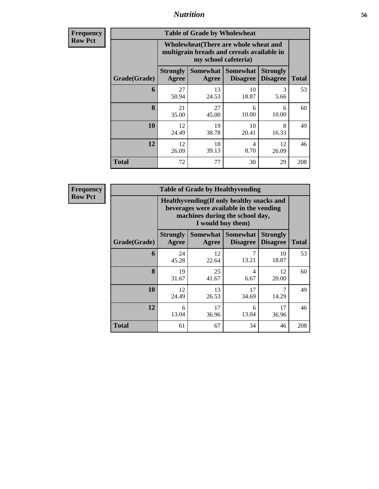**Frequency Row Pct**

| <b>Table of Grade by Wholewheat</b> |                                                                                                             |                            |                                    |                                    |              |  |  |  |  |
|-------------------------------------|-------------------------------------------------------------------------------------------------------------|----------------------------|------------------------------------|------------------------------------|--------------|--|--|--|--|
|                                     | Wholewheat (There are whole wheat and<br>multigrain breads and cereals available in<br>my school cafeteria) |                            |                                    |                                    |              |  |  |  |  |
| Grade(Grade)                        | <b>Strongly</b><br>Agree                                                                                    | <b>Somewhat</b>  <br>Agree | <b>Somewhat</b><br><b>Disagree</b> | <b>Strongly</b><br><b>Disagree</b> | <b>Total</b> |  |  |  |  |
| 6                                   | 27<br>50.94                                                                                                 | 13<br>24.53                | 10<br>18.87                        | 3<br>5.66                          | 53           |  |  |  |  |
| 8                                   | 21<br>35.00                                                                                                 | 27<br>45.00                | 6<br>10.00                         | 6<br>10.00                         | 60           |  |  |  |  |
| 10                                  | 12<br>24.49                                                                                                 | 19<br>38.78                | 10<br>20.41                        | 8<br>16.33                         | 49           |  |  |  |  |
| 12                                  | 18<br>12<br>12<br>4<br>26.09<br>8.70<br>26.09<br>39.13                                                      |                            |                                    |                                    |              |  |  |  |  |
| <b>Total</b>                        | 72                                                                                                          | 77                         | 30                                 | 29                                 | 208          |  |  |  |  |

**Frequency Row Pct**

| <b>Table of Grade by Healthyvending</b> |                                                                                                                          |             |                                        |                                    |              |  |  |  |
|-----------------------------------------|--------------------------------------------------------------------------------------------------------------------------|-------------|----------------------------------------|------------------------------------|--------------|--|--|--|
|                                         | Healthyvending (If only healthy snacks and<br>beverages were available in the vending<br>machines during the school day, |             |                                        |                                    |              |  |  |  |
| Grade(Grade)                            | <b>Strongly</b><br>Agree                                                                                                 | Agree       | Somewhat   Somewhat<br><b>Disagree</b> | <b>Strongly</b><br><b>Disagree</b> | <b>Total</b> |  |  |  |
| 6                                       | 24<br>45.28                                                                                                              | 12<br>22.64 | 13.21                                  | 10<br>18.87                        | 53           |  |  |  |
| 8                                       | 19<br>31.67                                                                                                              | 25<br>41.67 | $\overline{4}$<br>6.67                 | 12<br>20.00                        | 60           |  |  |  |
| 10                                      | 12<br>24.49                                                                                                              | 13<br>26.53 | 17<br>34.69                            | 7<br>14.29                         | 49           |  |  |  |
| 12                                      | 6<br>13.04                                                                                                               | 17<br>36.96 | 6<br>13.04                             | 17<br>36.96                        | 46           |  |  |  |
| <b>Total</b>                            | 61                                                                                                                       | 67          | 34                                     | 46                                 | 208          |  |  |  |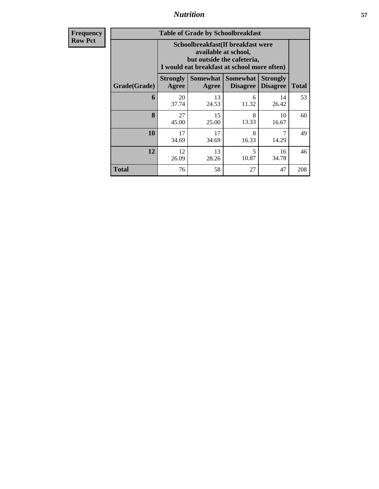**Frequency Row Pct**

| <b>Table of Grade by Schoolbreakfast</b> |                                                                                                                                        |                                          |                                               |                                    |              |  |  |  |  |
|------------------------------------------|----------------------------------------------------------------------------------------------------------------------------------------|------------------------------------------|-----------------------------------------------|------------------------------------|--------------|--|--|--|--|
|                                          | Schoolbreakfast(If breakfast were<br>available at school,<br>but outside the cafeteria,<br>I would eat breakfast at school more often) |                                          |                                               |                                    |              |  |  |  |  |
| Grade(Grade)                             | <b>Strongly</b><br>Agree                                                                                                               | Agree                                    | <b>Somewhat   Somewhat</b><br><b>Disagree</b> | <b>Strongly</b><br><b>Disagree</b> | <b>Total</b> |  |  |  |  |
| 6                                        | 20<br>37.74                                                                                                                            | 13<br>24.53                              | 6<br>11.32                                    | 14<br>26.42                        | 53           |  |  |  |  |
| 8                                        | 27<br>45.00                                                                                                                            | 15<br>25.00                              | 8<br>13.33                                    | 10<br>16.67                        | 60           |  |  |  |  |
| 10                                       | 17<br>34.69                                                                                                                            | 17<br>34.69                              | 8<br>16.33                                    | 14.29                              | 49           |  |  |  |  |
| 12                                       | 12<br>26.09                                                                                                                            | 5<br>13<br>16<br>10.87<br>34.78<br>28.26 |                                               |                                    |              |  |  |  |  |
| Total                                    | 76                                                                                                                                     | 58                                       | 27                                            | 47                                 | 208          |  |  |  |  |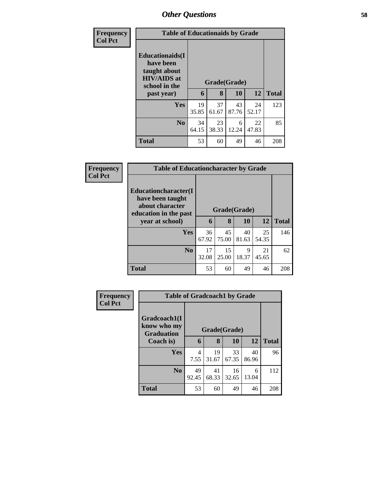| <b>Frequency</b> | <b>Table of Educationaids by Grade</b>                                                                    |             |                   |             |             |              |
|------------------|-----------------------------------------------------------------------------------------------------------|-------------|-------------------|-------------|-------------|--------------|
| <b>Col Pct</b>   | <b>Educationaids</b> (I<br>have been<br>taught about<br><b>HIV/AIDS</b> at<br>school in the<br>past year) | 6           | Grade(Grade)<br>8 | 10          | 12          | <b>Total</b> |
|                  |                                                                                                           |             |                   |             |             |              |
|                  | <b>Yes</b>                                                                                                | 19<br>35.85 | 37<br>61.67       | 43<br>87.76 | 24<br>52.17 | 123          |
|                  | N <sub>0</sub>                                                                                            | 34<br>64.15 | 23<br>38.33       | 6<br>12.24  | 22<br>47.83 | 85           |
|                  | <b>Total</b>                                                                                              | 53          | 60                | 49          | 46          | 208          |

| Frequency      | <b>Table of Educationcharacter by Grade</b>                                          |              |             |             |             |              |
|----------------|--------------------------------------------------------------------------------------|--------------|-------------|-------------|-------------|--------------|
| <b>Col Pct</b> | Educationcharacter(I<br>have been taught<br>about character<br>education in the past | Grade(Grade) |             |             |             |              |
|                | year at school)                                                                      | 6            | 8           | 10          | <b>12</b>   | <b>Total</b> |
|                | <b>Yes</b>                                                                           | 36<br>67.92  | 45<br>75.00 | 40<br>81.63 | 25<br>54.35 | 146          |
|                | N <sub>o</sub>                                                                       | 17<br>32.08  | 15<br>25.00 | 9<br>18.37  | 21<br>45.65 | 62           |
|                | <b>Total</b>                                                                         | 53           | 60          | 49          | 46          | 208          |

| <b>Frequency</b> |                                                  | <b>Table of Gradcoach1 by Grade</b> |             |             |             |              |  |  |
|------------------|--------------------------------------------------|-------------------------------------|-------------|-------------|-------------|--------------|--|--|
| <b>Col Pct</b>   | Gradcoach1(I<br>know who my<br><b>Graduation</b> | Grade(Grade)                        |             |             |             |              |  |  |
|                  | Coach is)                                        | 6                                   | 8           | 10          | 12          | <b>Total</b> |  |  |
|                  | <b>Yes</b>                                       | 4<br>7.55                           | 19<br>31.67 | 33<br>67.35 | 40<br>86.96 | 96           |  |  |
|                  | N <sub>o</sub>                                   | 49<br>92.45                         | 41<br>68.33 | 16<br>32.65 | 6<br>13.04  | 112          |  |  |
|                  | <b>Total</b>                                     | 53                                  | 60          | 49          | 46          | 208          |  |  |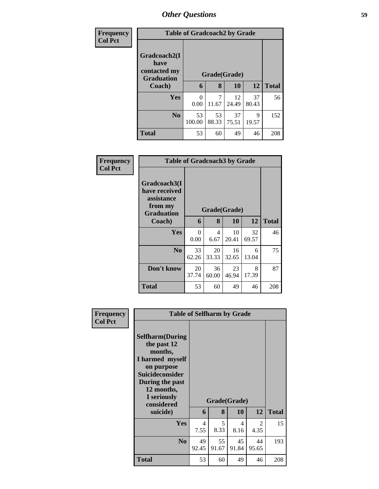| Frequency      |                                                           | <b>Table of Gradcoach2 by Grade</b> |             |              |             |              |  |  |
|----------------|-----------------------------------------------------------|-------------------------------------|-------------|--------------|-------------|--------------|--|--|
| <b>Col Pct</b> | Gradcoach2(I<br>have<br>contacted my<br><b>Graduation</b> |                                     |             | Grade(Grade) |             |              |  |  |
|                | Coach)                                                    | 6                                   | 8           | 10           | 12          | <b>Total</b> |  |  |
|                | Yes                                                       | 0<br>0.00                           | 7<br>11.67  | 12<br>24.49  | 37<br>80.43 | 56           |  |  |
|                | N <sub>0</sub>                                            | 53<br>100.00                        | 53<br>88.33 | 37<br>75.51  | 9<br>19.57  | 152          |  |  |
|                | <b>Total</b>                                              | 53                                  | 60          | 49           | 46          | 208          |  |  |

| Frequency<br><b>Col Pct</b> |                                                                             | <b>Table of Gradcoach3 by Grade</b> |              |             |             |              |  |  |
|-----------------------------|-----------------------------------------------------------------------------|-------------------------------------|--------------|-------------|-------------|--------------|--|--|
|                             | Gradcoach3(I<br>have received<br>assistance<br>from my<br><b>Graduation</b> |                                     | Grade(Grade) |             |             |              |  |  |
|                             | Coach)                                                                      | 6                                   | 8            | 10          | 12          | <b>Total</b> |  |  |
|                             | Yes                                                                         | $\Omega$<br>0.00                    | 4<br>6.67    | 10<br>20.41 | 32<br>69.57 | 46           |  |  |
|                             | N <sub>0</sub>                                                              | 33<br>62.26                         | 20<br>33.33  | 16<br>32.65 | 6<br>13.04  | 75           |  |  |
|                             | Don't know                                                                  | 20<br>37.74                         | 36<br>60.00  | 23<br>46.94 | 8<br>17.39  | 87           |  |  |
|                             | <b>Total</b>                                                                | 53                                  | 60           | 49          | 46          | 208          |  |  |

| Frequency<br><b>Col Pct</b> | <b>Table of Selfharm by Grade</b>                                                                                                                                                      |             |             |                           |             |              |
|-----------------------------|----------------------------------------------------------------------------------------------------------------------------------------------------------------------------------------|-------------|-------------|---------------------------|-------------|--------------|
|                             | <b>Selfharm</b> (During<br>the past 12<br>months,<br>I harmed myself<br>on purpose<br><b>Suicideconsider</b><br>During the past<br>12 months,<br>I seriously<br>considered<br>suicide) | 6           | 8           | Grade(Grade)<br><b>10</b> | 12          | <b>Total</b> |
|                             | <b>Yes</b>                                                                                                                                                                             | 4<br>7.55   | 5<br>8.33   | 4<br>8.16                 | 2<br>4.35   | 15           |
|                             | N <sub>0</sub>                                                                                                                                                                         | 49<br>92.45 | 55<br>91.67 | 45<br>91.84               | 44<br>95.65 | 193          |
|                             | <b>Total</b>                                                                                                                                                                           | 53          | 60          | 49                        | 46          | 208          |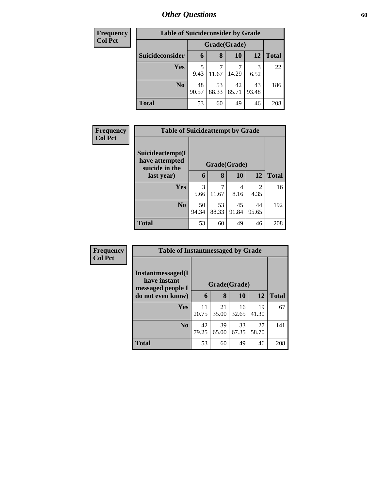| Frequency      | <b>Table of Suicideconsider by Grade</b> |              |             |             |             |              |  |
|----------------|------------------------------------------|--------------|-------------|-------------|-------------|--------------|--|
| <b>Col Pct</b> |                                          | Grade(Grade) |             |             |             |              |  |
|                | Suicideconsider                          | 6            | 8           | 10          | 12          | <b>Total</b> |  |
|                | Yes                                      | 9.43         | 11.67       | 14.29       | 6.52        | 22           |  |
|                | N <sub>0</sub>                           | 48<br>90.57  | 53<br>88.33 | 42<br>85.71 | 43<br>93.48 | 186          |  |
|                | <b>Total</b>                             | 53           | 60          | 49          | 46          | 208          |  |

| Frequency      | <b>Table of Suicideattempt by Grade</b>              |              |             |             |             |              |  |  |
|----------------|------------------------------------------------------|--------------|-------------|-------------|-------------|--------------|--|--|
| <b>Col Pct</b> | Suicideattempt(I<br>have attempted<br>suicide in the | Grade(Grade) |             |             |             |              |  |  |
|                | last year)                                           | 6            | 8           | 10          | 12          | <b>Total</b> |  |  |
|                | Yes                                                  | 3<br>5.66    | 7<br>11.67  | 4<br>8.16   | 2<br>4.35   | 16           |  |  |
|                | N <sub>o</sub>                                       | 50<br>94.34  | 53<br>88.33 | 45<br>91.84 | 44<br>95.65 | 192          |  |  |
|                | <b>Total</b>                                         | 53           | 60          | 49          | 46          | 208          |  |  |

| Frequency      |                                                        | <b>Table of Instantmessaged by Grade</b> |             |             |             |              |  |  |
|----------------|--------------------------------------------------------|------------------------------------------|-------------|-------------|-------------|--------------|--|--|
| <b>Col Pct</b> | Instantmessaged(I<br>have instant<br>messaged people I | Grade(Grade)                             |             |             |             |              |  |  |
|                | do not even know)                                      | 6                                        | 8           | 10          | 12          | <b>Total</b> |  |  |
|                | <b>Yes</b>                                             | 11<br>20.75                              | 21<br>35.00 | 16<br>32.65 | 19<br>41.30 | 67           |  |  |
|                | N <sub>o</sub>                                         | 42<br>79.25                              | 39<br>65.00 | 33<br>67.35 | 27<br>58.70 | 141          |  |  |
|                | <b>Total</b>                                           | 53                                       | 60          | 49          | 46          | 208          |  |  |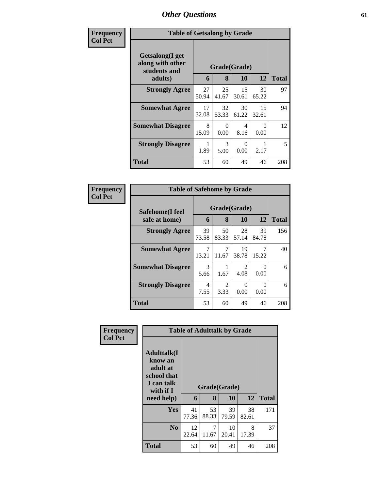| Frequency      | <b>Table of Getsalong by Grade</b>                  |             |              |             |             |              |  |
|----------------|-----------------------------------------------------|-------------|--------------|-------------|-------------|--------------|--|
| <b>Col Pct</b> | Getsalong(I get<br>along with other<br>students and |             | Grade(Grade) |             |             |              |  |
|                | adults)                                             | 6           | 8            | 10          | 12          | <b>Total</b> |  |
|                | <b>Strongly Agree</b>                               | 27<br>50.94 | 25<br>41.67  | 15<br>30.61 | 30<br>65.22 | 97           |  |
|                | <b>Somewhat Agree</b>                               | 17<br>32.08 | 32<br>53.33  | 30<br>61.22 | 15<br>32.61 | 94           |  |
|                | <b>Somewhat Disagree</b>                            | 8<br>15.09  | 0<br>0.00    | 4<br>8.16   | 0<br>0.00   | 12           |  |
|                | <b>Strongly Disagree</b>                            | 1.89        | 3<br>5.00    | 0<br>0.00   | 2.17        | 5            |  |
|                | <b>Total</b>                                        | 53          | 60           | 49          | 46          | 208          |  |

| Frequency      | <b>Table of Safehome by Grade</b> |                                    |             |                        |             |              |  |  |
|----------------|-----------------------------------|------------------------------------|-------------|------------------------|-------------|--------------|--|--|
| <b>Col Pct</b> | Safehome(I feel<br>safe at home)  | Grade(Grade)<br>12<br>8<br>10<br>6 |             |                        |             | <b>Total</b> |  |  |
|                | <b>Strongly Agree</b>             | 39<br>73.58                        | 50<br>83.33 | 28<br>57.14            | 39<br>84.78 | 156          |  |  |
|                | <b>Somewhat Agree</b>             | 7<br>13.21                         | 11.67       | 19<br>38.78            | 15.22       | 40           |  |  |
|                | <b>Somewhat Disagree</b>          | 3<br>5.66                          | 1.67        | $\mathfrak{D}$<br>4.08 | ∩<br>0.00   | 6            |  |  |
|                | <b>Strongly Disagree</b>          | 4<br>7.55                          | 2<br>3.33   | $\Omega$<br>0.00       | ∩<br>0.00   | 6            |  |  |
|                | <b>Total</b>                      | 53                                 | 60          | 49                     | 46          | 208          |  |  |

| Frequency      |                                                                                                     | <b>Table of Adulttalk by Grade</b> |                   |             |            |              |
|----------------|-----------------------------------------------------------------------------------------------------|------------------------------------|-------------------|-------------|------------|--------------|
| <b>Col Pct</b> | <b>Adulttalk(I</b><br>know an<br>adult at<br>school that<br>I can talk<br>with if $I$<br>need help) | 6                                  | Grade(Grade)<br>8 | 10          | 12         | <b>Total</b> |
|                | <b>Yes</b>                                                                                          | 41                                 | 53                | 39          | 38         | 171          |
|                |                                                                                                     | 77.36                              | 88.33             | 79.59       | 82.61      |              |
|                | N <sub>0</sub>                                                                                      | 12<br>22.64                        | 7<br>11.67        | 10<br>20.41 | 8<br>17.39 | 37           |
|                | <b>Total</b>                                                                                        | 53                                 | 60                | 49          | 46         | 208          |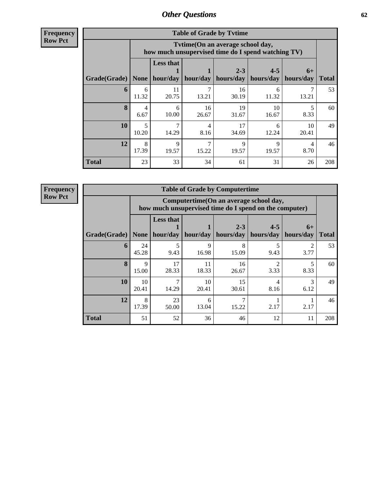**Frequency Row Pct**

| <b>Table of Grade by Tvtime</b> |            |                                                                                        |                     |                      |                                    |             |              |  |  |  |
|---------------------------------|------------|----------------------------------------------------------------------------------------|---------------------|----------------------|------------------------------------|-------------|--------------|--|--|--|
|                                 |            | Tvtime(On an average school day,<br>how much unsupervised time do I spend watching TV) |                     |                      |                                    |             |              |  |  |  |
| Grade(Grade)   None             |            | <b>Less that</b>                                                                       | hour/day   hour/day | $2 - 3$<br>hours/day | $4 - 5$<br>  hours/day   hours/day | $6+$        | <b>Total</b> |  |  |  |
| 6                               | 6<br>11.32 | 11<br>20.75                                                                            | 13.21               | 16<br>30.19          | 6<br>11.32                         | 13.21       | 53           |  |  |  |
| 8                               | 4<br>6.67  | 6<br>10.00                                                                             | 16<br>26.67         | 19<br>31.67          | 10<br>16.67                        | 8.33        | 60           |  |  |  |
| 10                              | 5<br>10.20 | 7<br>14.29                                                                             | 4<br>8.16           | 17<br>34.69          | 6<br>12.24                         | 10<br>20.41 | 49           |  |  |  |
| 12                              | 8<br>17.39 | 9<br>19.57                                                                             | 15.22               | $\mathbf Q$<br>19.57 | $\mathbf Q$<br>19.57               | 4<br>8.70   | 46           |  |  |  |
| <b>Total</b>                    | 23         | 33                                                                                     | 34                  | 61                   | 31                                 | 26          | 208          |  |  |  |

**Frequency Row Pct**

| <b>Table of Grade by Computertime</b> |             |                                                                                                                               |                      |             |                       |           |     |  |  |  |
|---------------------------------------|-------------|-------------------------------------------------------------------------------------------------------------------------------|----------------------|-------------|-----------------------|-----------|-----|--|--|--|
|                                       |             | Computertime(On an average school day,<br>how much unsupervised time do I spend on the computer)                              |                      |             |                       |           |     |  |  |  |
| Grade(Grade)                          | <b>None</b> | <b>Less that</b><br>$2 - 3$<br>$4 - 5$<br>$6+$<br>hours/day<br>hour/day<br>hour/day<br>hours/day<br>hours/day<br><b>Total</b> |                      |             |                       |           |     |  |  |  |
| 6                                     | 24<br>45.28 | 5<br>9.43                                                                                                                     | $\mathbf Q$<br>16.98 | 8<br>15.09  | 9.43                  | 2<br>3.77 | 53  |  |  |  |
| 8                                     | 9<br>15.00  | 17<br>28.33                                                                                                                   | 11<br>18.33          | 16<br>26.67 | $\mathcal{D}$<br>3.33 | 8.33      | 60  |  |  |  |
| 10                                    | 10<br>20.41 | 7<br>14.29                                                                                                                    | 10<br>20.41          | 15<br>30.61 | 4<br>8.16             | 3<br>6.12 | 49  |  |  |  |
| 12                                    | 8<br>17.39  | 23<br>50.00                                                                                                                   | 6<br>13.04           | 15.22       | 2.17                  | 2.17      | 46  |  |  |  |
| <b>Total</b>                          | 51          | 52                                                                                                                            | 36                   | 46          | 12                    | 11        | 208 |  |  |  |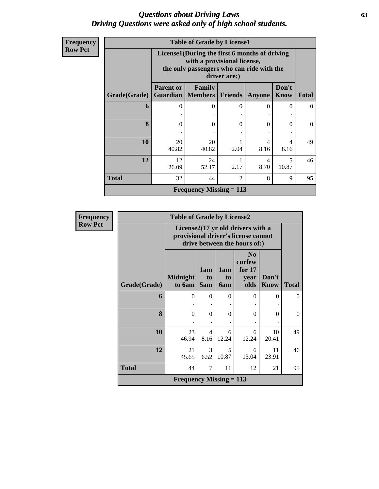## *Questions about Driving Laws* **63** *Driving Questions were asked only of high school students.*

| <b>Frequency</b> |  |
|------------------|--|
| <b>Row Pct</b>   |  |
|                  |  |

| <b>Table of Grade by License1</b> |                                                                                                                                           |                                               |                |        |                      |              |  |  |  |
|-----------------------------------|-------------------------------------------------------------------------------------------------------------------------------------------|-----------------------------------------------|----------------|--------|----------------------|--------------|--|--|--|
|                                   | License1(During the first 6 months of driving<br>with a provisional license,<br>the only passengers who can ride with the<br>driver are:) |                                               |                |        |                      |              |  |  |  |
| Grade(Grade)                      | <b>Parent or</b><br>Guardian                                                                                                              | <b>Family</b><br><b>Members</b>               | <b>Friends</b> | Anyone | Don't<br><b>Know</b> | <b>Total</b> |  |  |  |
| 6                                 | 0                                                                                                                                         | $\Omega$                                      | $\theta$       | 0      | 0                    | $\Omega$     |  |  |  |
| 8                                 | $\Omega$                                                                                                                                  | $\Omega$                                      | $\Omega$       | 0      | $\Omega$             | 0            |  |  |  |
| 10                                | 20<br>40.82                                                                                                                               | 20<br>4<br>4<br>40.82<br>2.04<br>8.16<br>8.16 |                |        |                      |              |  |  |  |
| 12                                | 12<br>5<br>24<br>4<br>2.17<br>10.87<br>8.70<br>26.09<br>52.17                                                                             |                                               |                |        |                      |              |  |  |  |
| <b>Total</b>                      | 32<br>44<br>$\mathcal{D}_{\mathcal{L}}$<br>8<br>9                                                                                         |                                               |                |        |                      |              |  |  |  |
|                                   |                                                                                                                                           | Frequency Missing $= 113$                     |                |        |                      |              |  |  |  |

| <b>Frequency</b> |              | <b>Table of Grade by License2</b>                                                                        |                              |                  |                                                      |                      |              |
|------------------|--------------|----------------------------------------------------------------------------------------------------------|------------------------------|------------------|------------------------------------------------------|----------------------|--------------|
| <b>Row Pct</b>   |              | License2(17 yr old drivers with a<br>provisional driver's license cannot<br>drive between the hours of:) |                              |                  |                                                      |                      |              |
|                  | Grade(Grade) | <b>Midnight</b><br>to 6am                                                                                | 1am<br>t <sub>o</sub><br>5am | 1am<br>to<br>6am | N <sub>0</sub><br>curfew<br>for $17$<br>year<br>olds | Don't<br><b>Know</b> | <b>Total</b> |
|                  | 6            | $\theta$<br>٠                                                                                            | $\Omega$                     | $\theta$         | $\Omega$                                             | $\Omega$             | $\Omega$     |
|                  | 8            | $\theta$                                                                                                 | $\Omega$                     | $\theta$         | $\Omega$                                             | $\Omega$             | $\Omega$     |
|                  | 10           | 23<br>46.94                                                                                              | $\overline{4}$<br>8.16       | 6<br>12.24       | 6<br>12.24                                           | 10<br>20.41          | 49           |
|                  | 12           | 21<br>45.65                                                                                              | 3<br>6.52                    | 5<br>10.87       | 6<br>13.04                                           | 11<br>23.91          | 46           |
|                  | <b>Total</b> | 44                                                                                                       | 7                            | 11               | 12                                                   | 21                   | 95           |
|                  |              | <b>Frequency Missing = 113</b>                                                                           |                              |                  |                                                      |                      |              |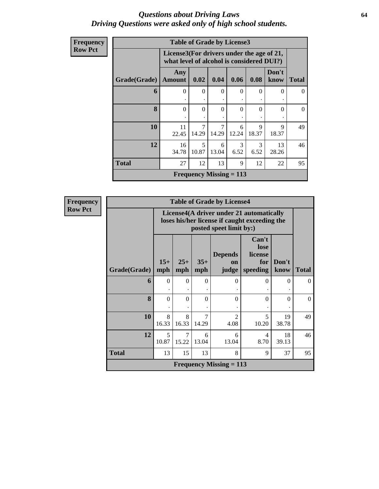### *Questions about Driving Laws* **64** *Driving Questions were asked only of high school students.*

| Frequency      |              | <b>Table of Grade by License3</b>                                                      |            |                           |            |                      |               |              |
|----------------|--------------|----------------------------------------------------------------------------------------|------------|---------------------------|------------|----------------------|---------------|--------------|
| <b>Row Pct</b> |              | License3(For drivers under the age of 21,<br>what level of alcohol is considered DUI?) |            |                           |            |                      |               |              |
|                | Grade(Grade) | Any<br><b>Amount</b>                                                                   | 0.02       | 0.04                      | 0.06       | 0.08                 | Don't<br>know | <b>Total</b> |
|                | 6            | $\Omega$                                                                               | $\Omega$   | $\Omega$                  | $\Omega$   | $\Omega$             | $\Omega$      | $\Omega$     |
|                | 8            | $\Omega$                                                                               | $\Omega$   | $\Omega$                  | $\Omega$   | $\Omega$             | $\Omega$      | $\Omega$     |
|                | 10           | 11<br>22.45                                                                            | 7<br>14.29 | 7<br>14.29                | 6<br>12.24 | $\mathbf Q$<br>18.37 | 9<br>18.37    | 49           |
|                | 12           | 16<br>34.78                                                                            | 5<br>10.87 | 6<br>13.04                | 3<br>6.52  | 3<br>6.52            | 13<br>28.26   | 46           |
|                | <b>Total</b> | 27                                                                                     | 12         | 13                        | 9          | 12                   | 22            | 95           |
|                |              |                                                                                        |            | Frequency Missing $= 113$ |            |                      |               |              |

**Frequency Row Pct**

| <b>Table of Grade by License4</b> |              |                                                                                                                                        |            |                           |            |             |          |  |  |
|-----------------------------------|--------------|----------------------------------------------------------------------------------------------------------------------------------------|------------|---------------------------|------------|-------------|----------|--|--|
|                                   |              | License4(A driver under 21 automatically<br>loses his/her license if caught exceeding the<br>posted speet limit by:)                   |            |                           |            |             |          |  |  |
| Grade(Grade)                      | $15+$<br>mph | Can't<br>lose<br><b>Depends</b><br>license<br>$25+$<br>$35+$<br>Don't<br>for<br>on<br>speeding<br>mph<br>judge<br>know<br>Total<br>mph |            |                           |            |             |          |  |  |
| 6                                 | $\Omega$     | $\Omega$                                                                                                                               | 0          | 0                         | 0          | $\Omega$    | 0        |  |  |
| 8                                 | $\Omega$     | $\Omega$                                                                                                                               | 0          | 0                         | $\Omega$   | 0           | $\Omega$ |  |  |
| 10                                | 8<br>16.33   | 8<br>16.33                                                                                                                             | 7<br>14.29 | $\mathcal{D}$<br>4.08     | 5<br>10.20 | 19<br>38.78 | 49       |  |  |
| 12                                | 5<br>10.87   | 7<br>15.22                                                                                                                             | 6<br>13.04 | 6<br>13.04                | 4<br>8.70  | 18<br>39.13 | 46       |  |  |
| <b>Total</b>                      | 13           | 15                                                                                                                                     | 13         | 8                         | 9          | 37          | 95       |  |  |
|                                   |              |                                                                                                                                        |            | Frequency Missing $= 113$ |            |             |          |  |  |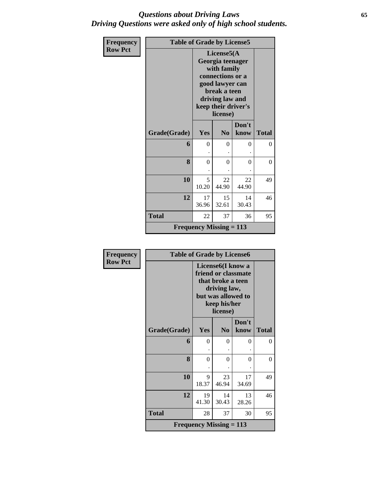## *Questions about Driving Laws* **65** *Driving Questions were asked only of high school students.*

| Frequency      | <b>Table of Grade by License5</b> |                                |                                                                                                                                                            |               |              |  |  |
|----------------|-----------------------------------|--------------------------------|------------------------------------------------------------------------------------------------------------------------------------------------------------|---------------|--------------|--|--|
| <b>Row Pct</b> |                                   |                                | License5(A<br>Georgia teenager<br>with family<br>connections or a<br>good lawyer can<br>break a teen<br>driving law and<br>keep their driver's<br>license) |               |              |  |  |
|                | Grade(Grade)                      | Yes                            | N <sub>0</sub>                                                                                                                                             | Don't<br>know | <b>Total</b> |  |  |
|                | 6                                 | $\theta$                       | $\Omega$                                                                                                                                                   | 0             | $\Omega$     |  |  |
|                | 8                                 | $\overline{0}$                 | $\theta$                                                                                                                                                   | $\theta$      | $\Omega$     |  |  |
|                | 10                                | 5<br>10.20                     | 22<br>44.90                                                                                                                                                | 22<br>44.90   | 49           |  |  |
|                | 12                                | 17<br>36.96                    | 15<br>32.61                                                                                                                                                | 14<br>30.43   | 46           |  |  |
|                | <b>Total</b>                      | 22                             | 37                                                                                                                                                         | 36            | 95           |  |  |
|                |                                   | <b>Frequency Missing = 113</b> |                                                                                                                                                            |               |              |  |  |

| <b>Frequency</b> | <b>Table of Grade by License6</b> |                                |                                                                                                                                              |               |              |
|------------------|-----------------------------------|--------------------------------|----------------------------------------------------------------------------------------------------------------------------------------------|---------------|--------------|
| <b>Row Pct</b>   |                                   |                                | License <sub>6</sub> (I know a<br>friend or classmate<br>that broke a teen<br>driving law,<br>but was allowed to<br>keep his/her<br>license) |               |              |
|                  | Grade(Grade)                      | <b>Yes</b>                     | N <sub>0</sub>                                                                                                                               | Don't<br>know | <b>Total</b> |
|                  | 6                                 | $\theta$                       | $\theta$                                                                                                                                     | 0             | $\Omega$     |
|                  | 8                                 | $\Omega$                       | $\theta$                                                                                                                                     | 0             | $\Omega$     |
|                  | 10                                | 9<br>18.37                     | 23<br>46.94                                                                                                                                  | 17<br>34.69   | 49           |
|                  | 12                                | 19<br>41.30                    | 14<br>30.43                                                                                                                                  | 13<br>28.26   | 46           |
|                  | <b>Total</b>                      | 28                             | 37                                                                                                                                           | 30            | 95           |
|                  |                                   | <b>Frequency Missing = 113</b> |                                                                                                                                              |               |              |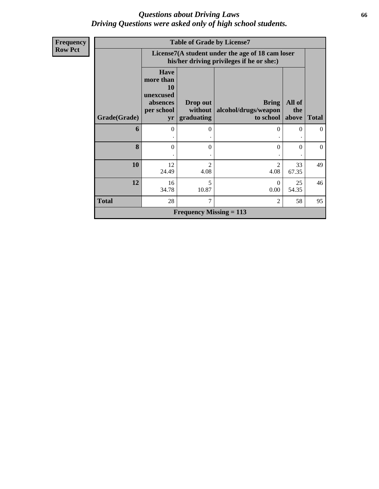## *Questions about Driving Laws* **66** *Driving Questions were asked only of high school students.*

| <b>Frequency</b> |              |                                                                              |                                | <b>Table of Grade by License7</b>                                                             |               |                |
|------------------|--------------|------------------------------------------------------------------------------|--------------------------------|-----------------------------------------------------------------------------------------------|---------------|----------------|
| <b>Row Pct</b>   |              |                                                                              |                                | License7(A student under the age of 18 cam loser<br>his/her driving privileges if he or she:) |               |                |
|                  |              | <b>Have</b><br>more than<br><b>10</b><br>unexcused<br>absences<br>per school | Drop out<br>without            | <b>Bring</b><br>alcohol/drugs/weapon                                                          | All of<br>the |                |
|                  | Grade(Grade) | yr                                                                           | graduating                     | to school                                                                                     | above         | <b>Total</b>   |
|                  | 6            | $\Omega$                                                                     | $\Omega$                       | $\Omega$                                                                                      | $\mathbf{0}$  | $\overline{0}$ |
|                  |              |                                                                              |                                |                                                                                               |               |                |
|                  | 8            | $\Omega$                                                                     | $\Omega$                       | $\theta$                                                                                      | $\mathbf{0}$  | $\theta$       |
|                  |              |                                                                              |                                |                                                                                               |               |                |
|                  | 10           | 12<br>24.49                                                                  | $\mathfrak{D}$<br>4.08         | 2<br>4.08                                                                                     | 33<br>67.35   | 49             |
|                  | 12           | 16<br>34.78                                                                  | 5<br>10.87                     | $\theta$<br>0.00                                                                              | 25<br>54.35   | 46             |
|                  | <b>Total</b> | 28                                                                           | $\tau$                         | 2                                                                                             | 58            | 95             |
|                  |              |                                                                              | <b>Frequency Missing = 113</b> |                                                                                               |               |                |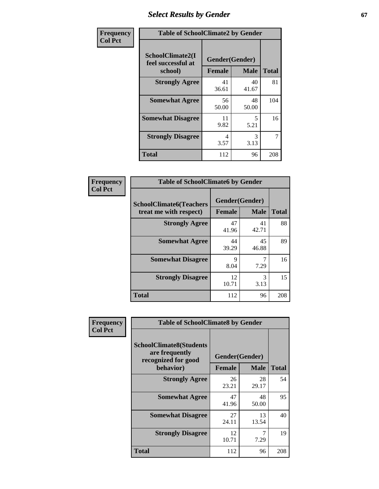## **Select Results by Gender 67**

| Frequency      | <b>Table of SchoolClimate2 by Gender</b>          |                                 |             |              |  |  |  |
|----------------|---------------------------------------------------|---------------------------------|-------------|--------------|--|--|--|
| <b>Col Pct</b> | SchoolClimate2(I<br>feel successful at<br>school) | Gender(Gender)<br><b>Female</b> | <b>Male</b> | <b>Total</b> |  |  |  |
|                | <b>Strongly Agree</b>                             | 41<br>36.61                     | 40<br>41.67 | 81           |  |  |  |
|                | <b>Somewhat Agree</b>                             | 56<br>50.00                     | 48<br>50.00 | 104          |  |  |  |
|                | <b>Somewhat Disagree</b>                          | 11<br>9.82                      | 5<br>5.21   | 16           |  |  |  |
|                | <b>Strongly Disagree</b>                          | 4<br>3.57                       | 3<br>3.13   | 7            |  |  |  |
|                | <b>Total</b>                                      | 112                             | 96          | 208          |  |  |  |

| <b>Frequency</b> | <b>Table of SchoolClimate6 by Gender</b>                 |               |                               |              |
|------------------|----------------------------------------------------------|---------------|-------------------------------|--------------|
| <b>Col Pct</b>   | <b>SchoolClimate6(Teachers</b><br>treat me with respect) | <b>Female</b> | Gender(Gender)<br><b>Male</b> | <b>Total</b> |
|                  | <b>Strongly Agree</b>                                    | 47<br>41.96   | 41<br>42.71                   | 88           |
|                  | <b>Somewhat Agree</b>                                    | 44<br>39.29   | 45<br>46.88                   | 89           |
|                  | <b>Somewhat Disagree</b>                                 | 9<br>8.04     | 7.29                          | 16           |
|                  | <b>Strongly Disagree</b>                                 | 12<br>10.71   | $\mathcal{R}$<br>3.13         | 15           |
|                  | <b>Total</b>                                             | 112           | 96                            | 208          |

| <b>Frequency</b> | <b>Table of SchoolClimate8 by Gender</b>                                             |               |                               |              |
|------------------|--------------------------------------------------------------------------------------|---------------|-------------------------------|--------------|
| <b>Col Pct</b>   | <b>SchoolClimate8(Students</b><br>are frequently<br>recognized for good<br>behavior) | <b>Female</b> | Gender(Gender)<br><b>Male</b> | <b>Total</b> |
|                  | <b>Strongly Agree</b>                                                                | 26<br>23.21   | 28<br>29.17                   | 54           |
|                  | <b>Somewhat Agree</b>                                                                | 47<br>41.96   | 48<br>50.00                   | 95           |
|                  | <b>Somewhat Disagree</b>                                                             | 27<br>24.11   | 13<br>13.54                   | 40           |
|                  | <b>Strongly Disagree</b>                                                             | 12<br>10.71   | 7<br>7.29                     | 19           |
|                  | Total                                                                                | 112           | 96                            | 208          |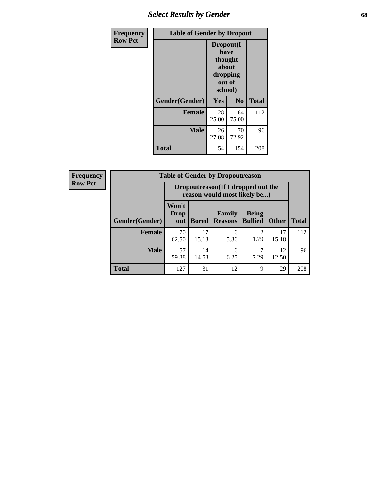## *Select Results by Gender* **68**

| Frequency      | <b>Table of Gender by Dropout</b> |                                                                        |                |              |
|----------------|-----------------------------------|------------------------------------------------------------------------|----------------|--------------|
| <b>Row Pct</b> |                                   | Dropout(I<br>have<br>thought<br>about<br>dropping<br>out of<br>school) |                |              |
|                | Gender(Gender)                    | Yes                                                                    | N <sub>0</sub> | <b>Total</b> |
|                | <b>Female</b>                     | 28<br>25.00                                                            | 84<br>75.00    | 112          |
|                | <b>Male</b>                       | 26<br>27.08                                                            | 70<br>72.92    | 96           |
|                | <b>Total</b>                      | 54                                                                     | 154            | 208          |

| <b>Frequency</b> |                | <b>Table of Gender by Dropoutreason</b>                            |              |                          |                                |              |              |
|------------------|----------------|--------------------------------------------------------------------|--------------|--------------------------|--------------------------------|--------------|--------------|
| <b>Row Pct</b>   |                | Dropoutreason(If I dropped out the<br>reason would most likely be) |              |                          |                                |              |              |
|                  | Gender(Gender) | Won't<br>Drop<br>out                                               | <b>Bored</b> | Family<br><b>Reasons</b> | <b>Being</b><br><b>Bullied</b> | <b>Other</b> | <b>Total</b> |
|                  | <b>Female</b>  | 70<br>62.50                                                        | 17<br>15.18  | 6<br>5.36                | ◠<br>1.79                      | 17<br>15.18  | 112          |
|                  | <b>Male</b>    | 57<br>59.38                                                        | 14<br>14.58  | 6<br>6.25                | 7.29                           | 12<br>12.50  | 96           |
|                  | <b>Total</b>   | 127                                                                | 31           | 12                       | 9                              | 29           | 208          |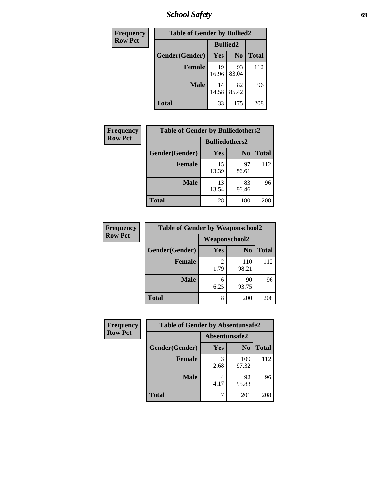*School Safety* **69**

| Frequency      | <b>Table of Gender by Bullied2</b> |                 |                |              |
|----------------|------------------------------------|-----------------|----------------|--------------|
| <b>Row Pct</b> |                                    | <b>Bullied2</b> |                |              |
|                | Gender(Gender)                     | Yes             | N <sub>0</sub> | <b>Total</b> |
|                | <b>Female</b>                      | 19<br>16.96     | 93<br>83.04    | 112          |
|                | <b>Male</b>                        | 14<br>14.58     | 82<br>85.42    | 96           |
|                | <b>Total</b>                       | 33              | 175            | 208          |

| <b>Frequency</b> | <b>Table of Gender by Bulliedothers2</b> |                       |                |              |  |
|------------------|------------------------------------------|-----------------------|----------------|--------------|--|
| <b>Row Pct</b>   |                                          | <b>Bulliedothers2</b> |                |              |  |
|                  | Gender(Gender)                           | Yes                   | N <sub>0</sub> | <b>Total</b> |  |
|                  | <b>Female</b>                            | 15<br>13.39           | 97<br>86.61    | 112          |  |
|                  | <b>Male</b>                              | 13<br>13.54           | 83<br>86.46    | 96           |  |
|                  | <b>Total</b>                             | 28                    | 180            | 208          |  |

| Frequency      | <b>Table of Gender by Weaponschool2</b> |                      |                |              |
|----------------|-----------------------------------------|----------------------|----------------|--------------|
| <b>Row Pct</b> |                                         | <b>Weaponschool2</b> |                |              |
|                | Gender(Gender)                          | Yes                  | N <sub>0</sub> | <b>Total</b> |
|                | <b>Female</b>                           | 1.79                 | 110<br>98.21   | 112          |
|                | <b>Male</b>                             | 6<br>6.25            | 90<br>93.75    | 96           |
|                | <b>Total</b>                            | 8                    | 200            | 208          |

| Frequency      | <b>Table of Gender by Absentunsafe2</b> |               |                |              |  |
|----------------|-----------------------------------------|---------------|----------------|--------------|--|
| <b>Row Pct</b> |                                         | Absentunsafe2 |                |              |  |
|                | Gender(Gender)                          | Yes           | N <sub>0</sub> | <b>Total</b> |  |
|                | <b>Female</b>                           | 2.68          | 109<br>97.32   | 112          |  |
|                | <b>Male</b>                             | 4.17          | 92<br>95.83    | 96           |  |
|                | <b>Total</b>                            |               | 201            | 208          |  |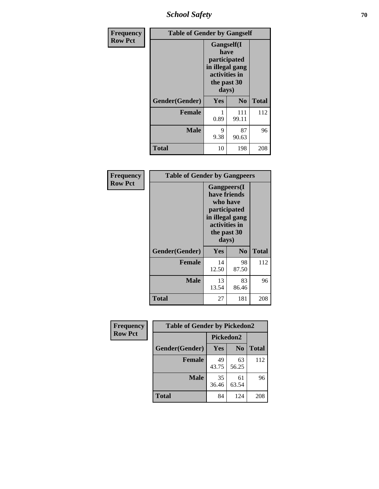*School Safety* **70**

| Frequency      | <b>Table of Gender by Gangself</b> |                                                                                                        |                |              |
|----------------|------------------------------------|--------------------------------------------------------------------------------------------------------|----------------|--------------|
| <b>Row Pct</b> |                                    | <b>Gangself</b> (I<br>have<br>participated<br>in illegal gang<br>activities in<br>the past 30<br>days) |                |              |
|                | Gender(Gender)                     | Yes                                                                                                    | N <sub>0</sub> | <b>Total</b> |
|                | <b>Female</b>                      | 0.89                                                                                                   | 111<br>99.11   | 112          |
|                | <b>Male</b>                        | 9<br>9.38                                                                                              | 87<br>90.63    | 96           |
|                | <b>Total</b>                       | 10                                                                                                     | 198            | 208          |

| Frequency      | <b>Table of Gender by Gangpeers</b> |                                                                                                                             |                |              |  |
|----------------|-------------------------------------|-----------------------------------------------------------------------------------------------------------------------------|----------------|--------------|--|
| <b>Row Pct</b> |                                     | <b>Gangpeers</b> (I<br>have friends<br>who have<br>participated<br>in illegal gang<br>activities in<br>the past 30<br>days) |                |              |  |
|                | Gender(Gender)                      | Yes                                                                                                                         | N <sub>0</sub> | <b>Total</b> |  |
|                | <b>Female</b>                       | 14<br>12.50                                                                                                                 | 98<br>87.50    | 112          |  |
|                | <b>Male</b>                         | 13<br>13.54                                                                                                                 | 83<br>86.46    | 96           |  |
|                | <b>Total</b>                        | 27                                                                                                                          | 181            | 208          |  |

| <b>Frequency</b> | <b>Table of Gender by Pickedon2</b> |             |                |              |
|------------------|-------------------------------------|-------------|----------------|--------------|
| <b>Row Pct</b>   |                                     | Pickedon2   |                |              |
|                  | Gender(Gender)                      | Yes         | N <sub>0</sub> | <b>Total</b> |
|                  | <b>Female</b>                       | 49<br>43.75 | 63<br>56.25    | 112          |
|                  | <b>Male</b>                         | 35<br>36.46 | 61<br>63.54    | 96           |
|                  | <b>Total</b>                        | 84          | 124            | 208          |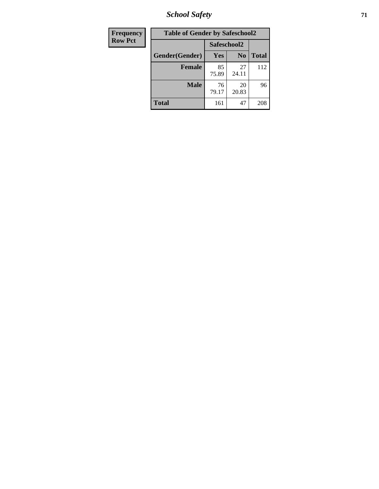*School Safety* **71**

| Frequency      | <b>Table of Gender by Safeschool2</b> |             |                |              |  |
|----------------|---------------------------------------|-------------|----------------|--------------|--|
| <b>Row Pct</b> |                                       | Safeschool2 |                |              |  |
|                | Gender(Gender)                        | Yes         | N <sub>0</sub> | <b>Total</b> |  |
|                | <b>Female</b>                         | 85<br>75.89 | 27<br>24.11    | 112          |  |
|                | <b>Male</b>                           | 76<br>79.17 | 20<br>20.83    | 96           |  |
|                | <b>Total</b>                          | 161         | 47             | 208          |  |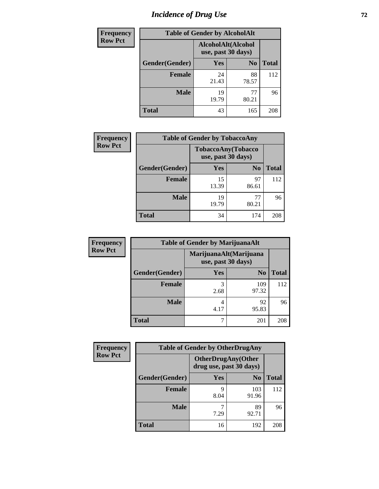# *Incidence of Drug Use 72*

| <b>Frequency</b> | <b>Table of Gender by AlcoholAlt</b> |                                          |                |              |  |
|------------------|--------------------------------------|------------------------------------------|----------------|--------------|--|
| <b>Row Pct</b>   |                                      | AlcoholAlt(Alcohol<br>use, past 30 days) |                |              |  |
|                  | Gender(Gender)                       | <b>Yes</b>                               | N <sub>0</sub> | <b>Total</b> |  |
|                  | <b>Female</b>                        | 24<br>21.43                              | 88<br>78.57    | 112          |  |
|                  | <b>Male</b>                          | 19<br>19.79                              | 77<br>80.21    | 96           |  |
|                  | <b>Total</b>                         | 43                                       | 165            | 208          |  |

| <b>Frequency</b> | <b>Table of Gender by TobaccoAny</b> |             |                                          |              |  |
|------------------|--------------------------------------|-------------|------------------------------------------|--------------|--|
| <b>Row Pct</b>   |                                      |             | TobaccoAny(Tobacco<br>use, past 30 days) |              |  |
|                  | Gender(Gender)                       | <b>Yes</b>  | N <sub>0</sub>                           | <b>Total</b> |  |
|                  | <b>Female</b>                        | 15<br>13.39 | 97<br>86.61                              | 112          |  |
|                  | <b>Male</b>                          | 19<br>19.79 | 77<br>80.21                              | 96           |  |
|                  | <b>Total</b>                         | 34          | 174                                      | 208          |  |

| <b>Frequency</b> | <b>Table of Gender by MarijuanaAlt</b> |                                              |                |              |
|------------------|----------------------------------------|----------------------------------------------|----------------|--------------|
| <b>Row Pct</b>   |                                        | MarijuanaAlt(Marijuana<br>use, past 30 days) |                |              |
|                  | Gender(Gender)                         | <b>Yes</b>                                   | N <sub>0</sub> | <b>Total</b> |
|                  | <b>Female</b>                          | 3<br>2.68                                    | 109<br>97.32   | 112          |
|                  | <b>Male</b>                            | 4<br>4.17                                    | 92<br>95.83    | 96           |
|                  | <b>Total</b>                           | 7                                            | 201            | 208          |

| <b>Frequency</b> | <b>Table of Gender by OtherDrugAny</b> |                                                      |                |              |
|------------------|----------------------------------------|------------------------------------------------------|----------------|--------------|
| <b>Row Pct</b>   |                                        | <b>OtherDrugAny(Other</b><br>drug use, past 30 days) |                |              |
|                  | Gender(Gender)                         | <b>Yes</b>                                           | N <sub>0</sub> | <b>Total</b> |
|                  | <b>Female</b>                          | Q<br>8.04                                            | 103<br>91.96   | 112          |
|                  | <b>Male</b>                            | 7.29                                                 | 89<br>92.71    | 96           |
|                  | <b>Total</b>                           | 16                                                   | 192            | 208          |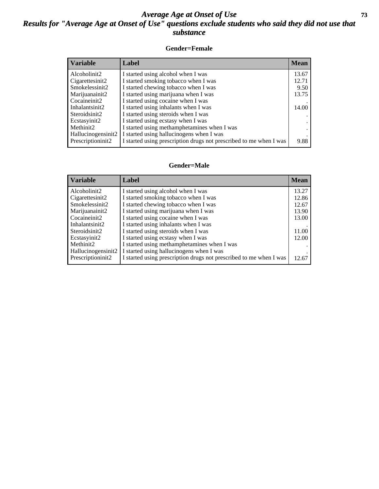## *Average Age at Onset of Use* **73** *Results for "Average Age at Onset of Use" questions exclude students who said they did not use that substance*

## **Gender=Female**

| <b>Variable</b>                 | Label                                                              | <b>Mean</b> |
|---------------------------------|--------------------------------------------------------------------|-------------|
| Alcoholinit2                    | I started using alcohol when I was                                 | 13.67       |
| Cigarettesinit2                 | I started smoking tobacco when I was                               | 12.71       |
| Smokelessinit2                  | I started chewing tobacco when I was                               | 9.50        |
| Marijuanainit2                  | I started using marijuana when I was                               | 13.75       |
| Cocaineinit2                    | I started using cocaine when I was                                 |             |
| Inhalantsinit2                  | I started using inhalants when I was                               | 14.00       |
| Steroidsinit2                   | I started using steroids when I was                                |             |
| Ecstasyinit2                    | I started using ecstasy when I was                                 |             |
| Methinit2                       | I started using methamphetamines when I was                        |             |
| Hallucinogensinit2              | I started using hallucinogens when I was                           |             |
| Prescription in it <sub>2</sub> | I started using prescription drugs not prescribed to me when I was | 9.88        |

### **Gender=Male**

| <b>Variable</b>                 | Label                                                              | <b>Mean</b> |
|---------------------------------|--------------------------------------------------------------------|-------------|
| Alcoholinit2                    | I started using alcohol when I was                                 | 13.27       |
| Cigarettesinit2                 | I started smoking tobacco when I was                               | 12.86       |
| Smokelessinit2                  | I started chewing tobacco when I was                               | 12.67       |
| Marijuanainit2                  | I started using marijuana when I was                               | 13.90       |
| Cocaineinit2                    | I started using cocaine when I was                                 | 13.00       |
| Inhalantsinit2                  | I started using inhalants when I was                               |             |
| Steroidsinit2                   | I started using steroids when I was                                | 11.00       |
| Ecstasyinit2                    | I started using ecstasy when I was                                 | 12.00       |
| Methinit2                       | I started using methamphetamines when I was                        |             |
| Hallucinogensinit2              | I started using hallucinogens when I was                           |             |
| Prescription in it <sub>2</sub> | I started using prescription drugs not prescribed to me when I was | 12.67       |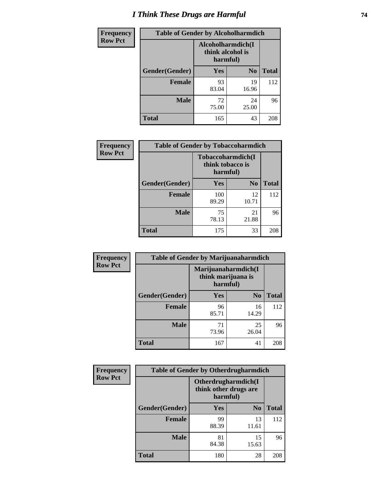# *I Think These Drugs are Harmful* **74**

| <b>Frequency</b> | <b>Table of Gender by Alcoholharmdich</b> |                                                   |                |              |
|------------------|-------------------------------------------|---------------------------------------------------|----------------|--------------|
| <b>Row Pct</b>   |                                           | Alcoholharmdich(I<br>think alcohol is<br>harmful) |                |              |
|                  | Gender(Gender)                            | <b>Yes</b>                                        | N <sub>0</sub> | <b>Total</b> |
|                  | Female                                    | 93<br>83.04                                       | 19<br>16.96    | 112          |
|                  | <b>Male</b>                               | 72<br>75.00                                       | 24<br>25.00    | 96           |
|                  | <b>Total</b>                              | 165                                               | 43             | 208          |

| Frequency      | <b>Table of Gender by Tobaccoharmdich</b> |                                                   |             |              |  |
|----------------|-------------------------------------------|---------------------------------------------------|-------------|--------------|--|
| <b>Row Pct</b> |                                           | Tobaccoharmdich(I<br>think tobacco is<br>harmful) |             |              |  |
|                | Gender(Gender)                            | Yes                                               | $\bf N_0$   | <b>Total</b> |  |
|                | <b>Female</b>                             | 100<br>89.29                                      | 12<br>10.71 | 112          |  |
|                | <b>Male</b>                               | 75<br>78.13                                       | 21<br>21.88 | 96           |  |
|                | <b>Total</b>                              | 175                                               | 33          | 208          |  |

| Frequency      | <b>Table of Gender by Marijuanaharmdich</b> |             |                                           |              |
|----------------|---------------------------------------------|-------------|-------------------------------------------|--------------|
| <b>Row Pct</b> |                                             | harmful)    | Marijuanaharmdich(I<br>think marijuana is |              |
|                | Gender(Gender)                              | <b>Yes</b>  | N <sub>0</sub>                            | <b>Total</b> |
|                | <b>Female</b>                               | 96<br>85.71 | 16<br>14.29                               | 112          |
|                | <b>Male</b>                                 | 71<br>73.96 | 25<br>26.04                               | 96           |
|                | <b>Total</b>                                | 167         | 41                                        | 208          |

| Frequency      | <b>Table of Gender by Otherdrugharmdich</b> |                                                          |                |              |
|----------------|---------------------------------------------|----------------------------------------------------------|----------------|--------------|
| <b>Row Pct</b> |                                             | Otherdrugharmdich(I<br>think other drugs are<br>harmful) |                |              |
|                | Gender(Gender)                              | <b>Yes</b>                                               | N <sub>0</sub> | <b>Total</b> |
|                | <b>Female</b>                               | 99<br>88.39                                              | 13<br>11.61    | 112          |
|                | <b>Male</b>                                 | 81<br>84.38                                              | 15<br>15.63    | 96           |
|                | <b>Total</b>                                | 180                                                      | 28             | 208          |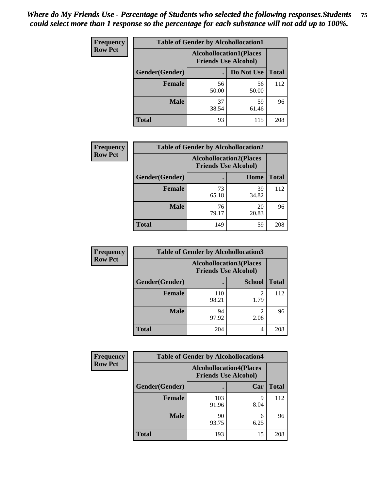| <b>Frequency</b> | <b>Table of Gender by Alcohollocation1</b> |                                                               |             |              |
|------------------|--------------------------------------------|---------------------------------------------------------------|-------------|--------------|
| <b>Row Pct</b>   |                                            | <b>Alcohollocation1(Places</b><br><b>Friends Use Alcohol)</b> |             |              |
|                  | Gender(Gender)                             |                                                               | Do Not Use  | <b>Total</b> |
|                  | <b>Female</b>                              | 56<br>50.00                                                   | 56<br>50.00 | 112          |
|                  | <b>Male</b>                                | 37<br>38.54                                                   | 59<br>61.46 | 96           |
|                  | <b>Total</b>                               | 93                                                            | 115         | 208          |

| <b>Frequency</b> | <b>Table of Gender by Alcohollocation2</b> |                                                               |             |              |
|------------------|--------------------------------------------|---------------------------------------------------------------|-------------|--------------|
| <b>Row Pct</b>   |                                            | <b>Alcohollocation2(Places</b><br><b>Friends Use Alcohol)</b> |             |              |
|                  | Gender(Gender)                             |                                                               | Home        | <b>Total</b> |
|                  | <b>Female</b>                              | 73<br>65.18                                                   | 39<br>34.82 | 112          |
|                  | <b>Male</b>                                | 76<br>79.17                                                   | 20<br>20.83 | 96           |
|                  | <b>Total</b>                               | 149                                                           | 59          | 208          |

| Frequency      | <b>Table of Gender by Alcohollocation3</b> |                                                               |               |              |
|----------------|--------------------------------------------|---------------------------------------------------------------|---------------|--------------|
| <b>Row Pct</b> |                                            | <b>Alcohollocation3(Places</b><br><b>Friends Use Alcohol)</b> |               |              |
|                | Gender(Gender)                             |                                                               | <b>School</b> | <b>Total</b> |
|                | <b>Female</b>                              | 110<br>98.21                                                  | 2<br>1.79     | 112          |
|                | <b>Male</b>                                | 94<br>97.92                                                   | 2.08          | 96           |
|                | <b>Total</b>                               | 204                                                           | 4             | 208          |

| <b>Frequency</b> | <b>Table of Gender by Alcohollocation4</b> |                                                               |           |              |
|------------------|--------------------------------------------|---------------------------------------------------------------|-----------|--------------|
| <b>Row Pct</b>   |                                            | <b>Alcohollocation4(Places</b><br><b>Friends Use Alcohol)</b> |           |              |
|                  | Gender(Gender)                             |                                                               | Car       | <b>Total</b> |
|                  | <b>Female</b>                              | 103<br>91.96                                                  | q<br>8.04 | 112          |
|                  | <b>Male</b>                                | 90<br>93.75                                                   | 6<br>6.25 | 96           |
|                  | <b>Total</b>                               | 193                                                           | 15        | 208          |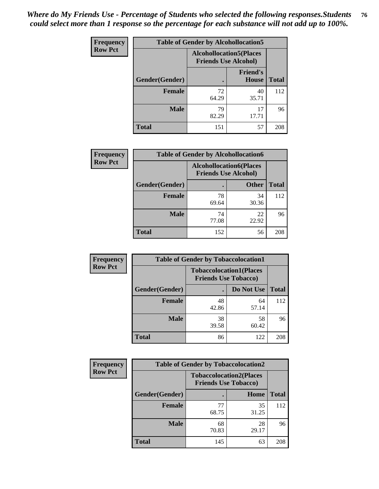| <b>Frequency</b> | <b>Table of Gender by Alcohollocation5</b> |                                                                |                                 |              |
|------------------|--------------------------------------------|----------------------------------------------------------------|---------------------------------|--------------|
| <b>Row Pct</b>   |                                            | <b>Alcohollocation5</b> (Places<br><b>Friends Use Alcohol)</b> |                                 |              |
|                  | Gender(Gender)                             |                                                                | <b>Friend's</b><br><b>House</b> | <b>Total</b> |
|                  | <b>Female</b>                              | 72<br>64.29                                                    | 40<br>35.71                     | 112          |
|                  | <b>Male</b>                                | 79<br>82.29                                                    | 17<br>17.71                     | 96           |
|                  | <b>Total</b>                               | 151                                                            | 57                              | 208          |

| <b>Frequency</b> | <b>Table of Gender by Alcohollocation6</b> |                                                               |              |              |
|------------------|--------------------------------------------|---------------------------------------------------------------|--------------|--------------|
| <b>Row Pct</b>   |                                            | <b>Alcohollocation6(Places</b><br><b>Friends Use Alcohol)</b> |              |              |
|                  | Gender(Gender)                             |                                                               | <b>Other</b> | <b>Total</b> |
|                  | <b>Female</b>                              | 78<br>69.64                                                   | 34<br>30.36  | 112          |
|                  | <b>Male</b>                                | 74<br>77.08                                                   | 22<br>22.92  | 96           |
|                  | <b>Total</b>                               | 152                                                           | 56           | 208          |

| Frequency      | <b>Table of Gender by Tobaccolocation1</b> |                                                               |             |              |
|----------------|--------------------------------------------|---------------------------------------------------------------|-------------|--------------|
| <b>Row Pct</b> |                                            | <b>Tobaccolocation1(Places</b><br><b>Friends Use Tobacco)</b> |             |              |
|                | Gender(Gender)                             |                                                               | Do Not Use  | <b>Total</b> |
|                | Female                                     | 48<br>42.86                                                   | 64<br>57.14 | 112          |
|                | <b>Male</b>                                | 38<br>39.58                                                   | 58<br>60.42 | 96           |
|                | <b>Total</b>                               | 86                                                            | 122         | 208          |

| <b>Frequency</b> | <b>Table of Gender by Tobaccolocation2</b> |             |                                                               |              |
|------------------|--------------------------------------------|-------------|---------------------------------------------------------------|--------------|
| <b>Row Pct</b>   |                                            |             | <b>Tobaccolocation2(Places</b><br><b>Friends Use Tobacco)</b> |              |
|                  | <b>Gender</b> (Gender)                     |             | Home                                                          | <b>Total</b> |
|                  | Female                                     | 77<br>68.75 | 35<br>31.25                                                   | 112          |
|                  | <b>Male</b>                                | 68<br>70.83 | 28<br>29.17                                                   | 96           |
|                  | <b>Total</b>                               | 145         | 63                                                            | 208          |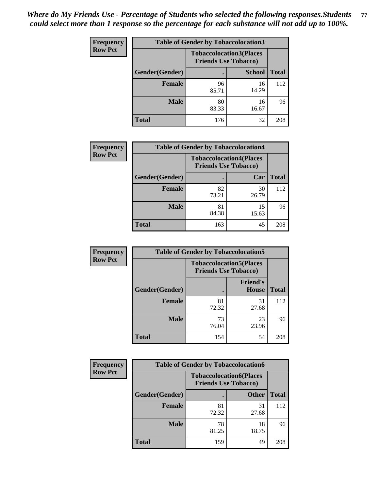| <b>Frequency</b> |                | <b>Table of Gender by Tobaccolocation3</b> |                                                               |              |
|------------------|----------------|--------------------------------------------|---------------------------------------------------------------|--------------|
| <b>Row Pct</b>   |                |                                            | <b>Tobaccolocation3(Places</b><br><b>Friends Use Tobacco)</b> |              |
|                  | Gender(Gender) |                                            | <b>School</b>                                                 | <b>Total</b> |
|                  | <b>Female</b>  | 96<br>85.71                                | 16<br>14.29                                                   | 112          |
|                  | <b>Male</b>    | 80<br>83.33                                | 16<br>16.67                                                   | 96           |
|                  | Total          | 176                                        | 32                                                            | 208          |

| <b>Frequency</b> | <b>Table of Gender by Tobaccolocation4</b> |                             |                                |              |
|------------------|--------------------------------------------|-----------------------------|--------------------------------|--------------|
| <b>Row Pct</b>   |                                            | <b>Friends Use Tobacco)</b> | <b>Tobaccolocation4(Places</b> |              |
|                  | Gender(Gender)                             |                             | Car                            | <b>Total</b> |
|                  | <b>Female</b>                              | 82<br>73.21                 | 30<br>26.79                    | 112          |
|                  | <b>Male</b>                                | 81<br>84.38                 | 15<br>15.63                    | 96           |
|                  | <b>Total</b>                               | 163                         | 45                             | 208          |

| <b>Frequency</b> | <b>Table of Gender by Tobaccolocation5</b> |                             |                                 |              |
|------------------|--------------------------------------------|-----------------------------|---------------------------------|--------------|
| <b>Row Pct</b>   |                                            | <b>Friends Use Tobacco)</b> | <b>Tobaccolocation5(Places</b>  |              |
|                  | Gender(Gender)                             |                             | <b>Friend's</b><br><b>House</b> | <b>Total</b> |
|                  | <b>Female</b>                              | 81<br>72.32                 | 31<br>27.68                     | 112          |
|                  | <b>Male</b>                                | 73<br>76.04                 | 23<br>23.96                     | 96           |
|                  | <b>Total</b>                               | 154                         | 54                              | 208          |

| <b>Frequency</b> | <b>Table of Gender by Tobaccolocation6</b> |                             |                                |              |
|------------------|--------------------------------------------|-----------------------------|--------------------------------|--------------|
| <b>Row Pct</b>   |                                            | <b>Friends Use Tobacco)</b> | <b>Tobaccolocation6(Places</b> |              |
|                  | Gender(Gender)                             |                             | <b>Other</b>                   | <b>Total</b> |
|                  | Female                                     | 81<br>72.32                 | 31<br>27.68                    | 112          |
|                  | <b>Male</b>                                | 78<br>81.25                 | 18<br>18.75                    | 96           |
|                  | <b>Total</b>                               | 159                         | 49                             | 208          |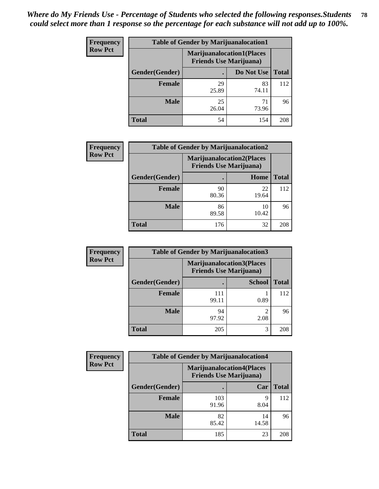| <b>Frequency</b> | <b>Table of Gender by Marijuanalocation1</b> |                                                                    |             |              |
|------------------|----------------------------------------------|--------------------------------------------------------------------|-------------|--------------|
| <b>Row Pct</b>   |                                              | <b>Marijuanalocation1(Places</b><br><b>Friends Use Marijuana</b> ) |             |              |
|                  | <b>Gender</b> (Gender)                       |                                                                    | Do Not Use  | <b>Total</b> |
|                  | <b>Female</b>                                | 29<br>25.89                                                        | 83<br>74.11 | 112          |
|                  | <b>Male</b>                                  | 25<br>26.04                                                        | 71<br>73.96 | 96           |
|                  | <b>Total</b>                                 | 54                                                                 | 154         | 208          |

| <b>Frequency</b> | <b>Table of Gender by Marijuanalocation2</b> |                                                                    |             |              |
|------------------|----------------------------------------------|--------------------------------------------------------------------|-------------|--------------|
| <b>Row Pct</b>   |                                              | <b>Marijuanalocation2(Places</b><br><b>Friends Use Marijuana</b> ) |             |              |
|                  | Gender(Gender)                               |                                                                    | Home        | <b>Total</b> |
|                  | Female                                       | 90<br>80.36                                                        | 22<br>19.64 | 112          |
|                  | <b>Male</b>                                  | 86<br>89.58                                                        | 10<br>10.42 | 96           |
|                  | <b>Total</b>                                 | 176                                                                | 32          | 208          |

| Frequency      | <b>Table of Gender by Marijuanalocation3</b> |              |                                                                    |              |
|----------------|----------------------------------------------|--------------|--------------------------------------------------------------------|--------------|
| <b>Row Pct</b> |                                              |              | <b>Marijuanalocation3(Places</b><br><b>Friends Use Marijuana</b> ) |              |
|                | Gender(Gender)                               |              | <b>School</b>                                                      | <b>Total</b> |
|                | Female                                       | 111<br>99.11 | 0.89                                                               | 112          |
|                | <b>Male</b>                                  | 94<br>97.92  | ി<br>2.08                                                          | 96           |
|                | <b>Total</b>                                 | 205          | 3                                                                  | 208          |

| <b>Frequency</b> | <b>Table of Gender by Marijuanalocation4</b> |                                |                                  |              |
|------------------|----------------------------------------------|--------------------------------|----------------------------------|--------------|
| <b>Row Pct</b>   |                                              | <b>Friends Use Marijuana</b> ) | <b>Marijuanalocation4(Places</b> |              |
|                  | Gender(Gender)                               |                                | Car                              | <b>Total</b> |
|                  | <b>Female</b>                                | 103<br>91.96                   | Q<br>8.04                        | 112          |
|                  | <b>Male</b>                                  | 82<br>85.42                    | 14<br>14.58                      | 96           |
|                  | <b>Total</b>                                 | 185                            | 23                               | 208          |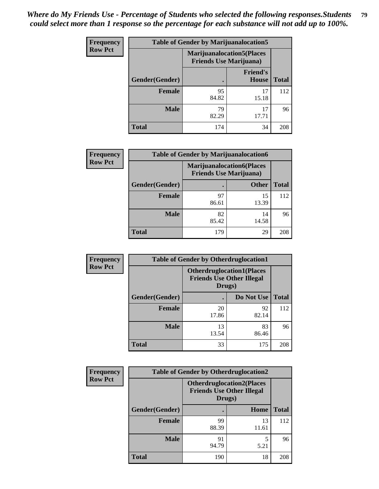| <b>Frequency</b> | <b>Table of Gender by Marijuanalocation5</b> |                                                                     |                                 |              |
|------------------|----------------------------------------------|---------------------------------------------------------------------|---------------------------------|--------------|
| <b>Row Pct</b>   |                                              | <b>Marijuanalocation5</b> (Places<br><b>Friends Use Marijuana</b> ) |                                 |              |
|                  | Gender(Gender)                               |                                                                     | <b>Friend's</b><br><b>House</b> | <b>Total</b> |
|                  | <b>Female</b>                                | 95<br>84.82                                                         | 17<br>15.18                     | 112          |
|                  | <b>Male</b>                                  | 79<br>82.29                                                         | 17<br>17.71                     | 96           |
|                  | <b>Total</b>                                 | 174                                                                 | 34                              | 208          |

| <b>Frequency</b> | <b>Table of Gender by Marijuanalocation6</b> |                                |                                  |              |
|------------------|----------------------------------------------|--------------------------------|----------------------------------|--------------|
| <b>Row Pct</b>   |                                              | <b>Friends Use Marijuana</b> ) | <b>Marijuanalocation6(Places</b> |              |
|                  | <b>Gender</b> (Gender)                       |                                | <b>Other</b>                     | <b>Total</b> |
|                  | <b>Female</b>                                | 97<br>86.61                    | 15<br>13.39                      | 112          |
|                  | <b>Male</b>                                  | 82<br>85.42                    | 14<br>14.58                      | 96           |
|                  | <b>Total</b>                                 | 179                            | 29                               | 208          |

| <b>Frequency</b> | <b>Table of Gender by Otherdruglocation1</b> |                                                                                |             |              |
|------------------|----------------------------------------------|--------------------------------------------------------------------------------|-------------|--------------|
| <b>Row Pct</b>   |                                              | <b>Otherdruglocation1(Places</b><br><b>Friends Use Other Illegal</b><br>Drugs) |             |              |
|                  | Gender(Gender)                               |                                                                                | Do Not Use  | <b>Total</b> |
|                  | <b>Female</b>                                | 20<br>17.86                                                                    | 92<br>82.14 | 112          |
|                  | <b>Male</b>                                  | 13<br>13.54                                                                    | 83<br>86.46 | 96           |
|                  | <b>Total</b>                                 | 33                                                                             | 175         | 208          |

| Frequency      | <b>Table of Gender by Otherdruglocation2</b> |                                                                                |             |              |
|----------------|----------------------------------------------|--------------------------------------------------------------------------------|-------------|--------------|
| <b>Row Pct</b> |                                              | <b>Otherdruglocation2(Places</b><br><b>Friends Use Other Illegal</b><br>Drugs) |             |              |
|                | Gender(Gender)                               |                                                                                | Home        | <b>Total</b> |
|                | Female                                       | 99<br>88.39                                                                    | 13<br>11.61 | 112          |
|                | <b>Male</b>                                  | 91<br>94.79                                                                    | 5.21        | 96           |
|                | <b>Total</b>                                 | 190                                                                            | 18          | 208          |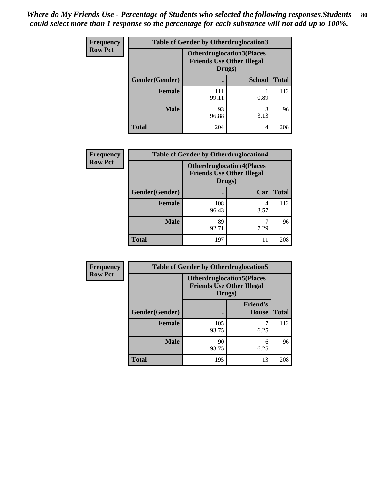| <b>Frequency</b> | <b>Table of Gender by Otherdruglocation3</b> |                                                                                |               |              |
|------------------|----------------------------------------------|--------------------------------------------------------------------------------|---------------|--------------|
| <b>Row Pct</b>   |                                              | <b>Otherdruglocation3(Places</b><br><b>Friends Use Other Illegal</b><br>Drugs) |               |              |
|                  | Gender(Gender)                               |                                                                                | <b>School</b> | <b>Total</b> |
|                  | <b>Female</b>                                | 111<br>99.11                                                                   | 0.89          | 112          |
|                  | <b>Male</b>                                  | 93<br>96.88                                                                    | 3<br>3.13     | 96           |
|                  | <b>Total</b>                                 | 204                                                                            | 4             | 208          |

| Frequency      | <b>Table of Gender by Otherdruglocation4</b> |                                                                                |           |              |  |
|----------------|----------------------------------------------|--------------------------------------------------------------------------------|-----------|--------------|--|
| <b>Row Pct</b> |                                              | <b>Otherdruglocation4(Places</b><br><b>Friends Use Other Illegal</b><br>Drugs) |           |              |  |
|                | Gender(Gender)                               |                                                                                | Car       | <b>Total</b> |  |
|                | <b>Female</b>                                | 108<br>96.43                                                                   | 4<br>3.57 | 112          |  |
|                | <b>Male</b>                                  | 89<br>92.71                                                                    | 7.29      | 96           |  |
|                | <b>Total</b>                                 | 197                                                                            |           | 208          |  |

| Frequency      | <b>Table of Gender by Otherdruglocation5</b> |              |                                                                                |              |
|----------------|----------------------------------------------|--------------|--------------------------------------------------------------------------------|--------------|
| <b>Row Pct</b> |                                              |              | <b>Otherdruglocation5(Places</b><br><b>Friends Use Other Illegal</b><br>Drugs) |              |
|                | Gender(Gender)                               |              | <b>Friend's</b><br><b>House</b>                                                | <b>Total</b> |
|                | <b>Female</b>                                | 105<br>93.75 | 6.25                                                                           | 112          |
|                | <b>Male</b>                                  | 90<br>93.75  | 6<br>6.25                                                                      | 96           |
|                | <b>Total</b>                                 | 195          | 13                                                                             | 208          |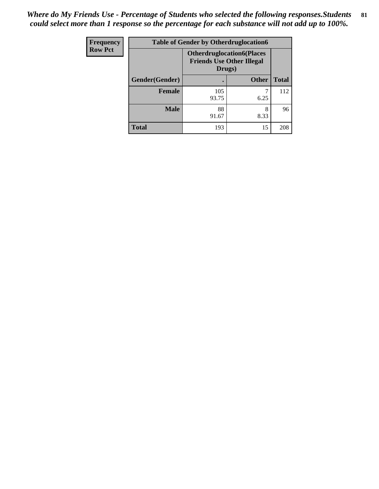| <b>Frequency</b> | <b>Table of Gender by Otherdruglocation6</b> |                                            |                                  |              |
|------------------|----------------------------------------------|--------------------------------------------|----------------------------------|--------------|
| <b>Row Pct</b>   |                                              | <b>Friends Use Other Illegal</b><br>Drugs) | <b>Otherdruglocation6(Places</b> |              |
|                  | Gender(Gender)                               |                                            | <b>Other</b>                     | <b>Total</b> |
|                  | Female                                       | 105<br>93.75                               | 6.25                             | 112          |
|                  | <b>Male</b>                                  | 88<br>91.67                                | 8<br>8.33                        | 96           |
|                  | <b>Total</b>                                 | 193                                        | 15                               | 208          |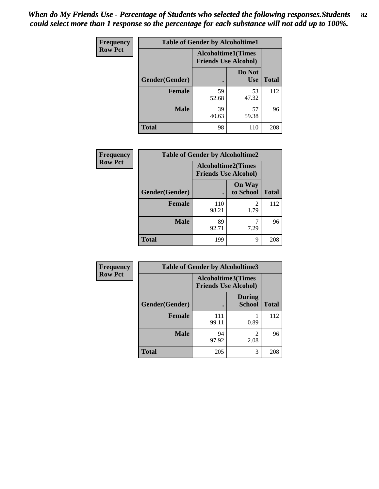| <b>Frequency</b> | <b>Table of Gender by Alcoholtime1</b> |                                                          |                      |              |
|------------------|----------------------------------------|----------------------------------------------------------|----------------------|--------------|
| <b>Row Pct</b>   |                                        | <b>Alcoholtime1(Times</b><br><b>Friends Use Alcohol)</b> |                      |              |
|                  | Gender(Gender)                         | $\bullet$                                                | Do Not<br><b>Use</b> | <b>Total</b> |
|                  | <b>Female</b>                          | 59<br>52.68                                              | 53<br>47.32          | 112          |
|                  | <b>Male</b>                            | 39<br>40.63                                              | 57<br>59.38          | 96           |
|                  | <b>Total</b>                           | 98                                                       | 110                  | 208          |

| <b>Frequency</b> | <b>Table of Gender by Alcoholtime2</b> |                                                          |                            |              |
|------------------|----------------------------------------|----------------------------------------------------------|----------------------------|--------------|
| <b>Row Pct</b>   |                                        | <b>Alcoholtime2(Times</b><br><b>Friends Use Alcohol)</b> |                            |              |
|                  | Gender(Gender)                         |                                                          | <b>On Way</b><br>to School | <b>Total</b> |
|                  | <b>Female</b>                          | 110<br>98.21                                             | 2<br>1.79                  | 112          |
|                  | <b>Male</b>                            | 89<br>92.71                                              | 7.29                       | 96           |
|                  | <b>Total</b>                           | 199                                                      | 9                          | 208          |

| Frequency      | <b>Table of Gender by Alcoholtime3</b> |                                                   |                                |              |
|----------------|----------------------------------------|---------------------------------------------------|--------------------------------|--------------|
| <b>Row Pct</b> |                                        | Alcoholtime3(Times<br><b>Friends Use Alcohol)</b> |                                |              |
|                | Gender(Gender)                         |                                                   | <b>During</b><br><b>School</b> | <b>Total</b> |
|                | <b>Female</b>                          | 111<br>99.11                                      | 0.89                           | 112          |
|                | <b>Male</b>                            | 94<br>97.92                                       | 2<br>2.08                      | 96           |
|                | <b>Total</b>                           | 205                                               | 3                              | 208          |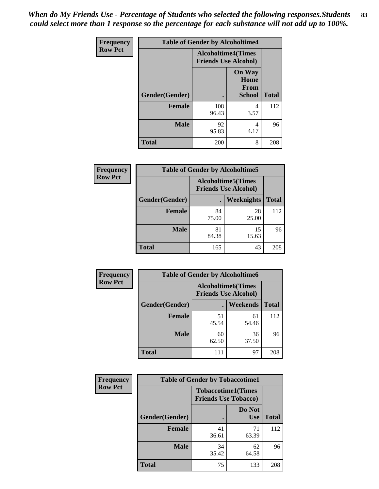*When do My Friends Use - Percentage of Students who selected the following responses.Students could select more than 1 response so the percentage for each substance will not add up to 100%.* **83**

| <b>Frequency</b> | <b>Table of Gender by Alcoholtime4</b> |                                                          |                                                |              |
|------------------|----------------------------------------|----------------------------------------------------------|------------------------------------------------|--------------|
| <b>Row Pct</b>   |                                        | <b>Alcoholtime4(Times</b><br><b>Friends Use Alcohol)</b> |                                                |              |
|                  | Gender(Gender)                         |                                                          | <b>On Way</b><br>Home<br>From<br><b>School</b> | <b>Total</b> |
|                  | <b>Female</b>                          | 108<br>96.43                                             | 4<br>3.57                                      | 112          |
|                  | <b>Male</b>                            | 92<br>95.83                                              | 4<br>4.17                                      | 96           |
|                  | <b>Total</b>                           | 200                                                      | 8                                              | 208          |

| <b>Frequency</b> | <b>Table of Gender by Alcoholtime5</b>                    |             |             |              |  |
|------------------|-----------------------------------------------------------|-------------|-------------|--------------|--|
| <b>Row Pct</b>   | <b>Alcoholtime5</b> (Times<br><b>Friends Use Alcohol)</b> |             |             |              |  |
|                  | Gender(Gender)                                            |             | Weeknights  | <b>Total</b> |  |
|                  | <b>Female</b>                                             | 84<br>75.00 | 28<br>25.00 | 112          |  |
|                  | <b>Male</b>                                               | 81<br>84.38 | 15<br>15.63 | 96           |  |
|                  | <b>Total</b>                                              | 165         | 43          | 208          |  |

| <b>Frequency</b> | <b>Table of Gender by Alcoholtime6</b> |             |                                                           |              |
|------------------|----------------------------------------|-------------|-----------------------------------------------------------|--------------|
| <b>Row Pct</b>   |                                        |             | <b>Alcoholtime6</b> (Times<br><b>Friends Use Alcohol)</b> |              |
|                  | Gender(Gender)                         |             | Weekends                                                  | <b>Total</b> |
|                  | <b>Female</b>                          | 51<br>45.54 | 61<br>54.46                                               | 112          |
|                  | <b>Male</b>                            | 60<br>62.50 | 36<br>37.50                                               | 96           |
|                  | <b>Total</b>                           | 111         | 97                                                        | 208          |

| Frequency      | <b>Table of Gender by Tobaccotime1</b> |                                                          |                      |              |
|----------------|----------------------------------------|----------------------------------------------------------|----------------------|--------------|
| <b>Row Pct</b> |                                        | <b>Tobaccotime1(Times</b><br><b>Friends Use Tobacco)</b> |                      |              |
|                | Gender(Gender)                         |                                                          | Do Not<br><b>Use</b> | <b>Total</b> |
|                | Female                                 | 41<br>36.61                                              | 71<br>63.39          | 112          |
|                | <b>Male</b>                            | 34<br>35.42                                              | 62<br>64.58          | 96           |
|                | <b>Total</b>                           | 75                                                       | 133                  | 208          |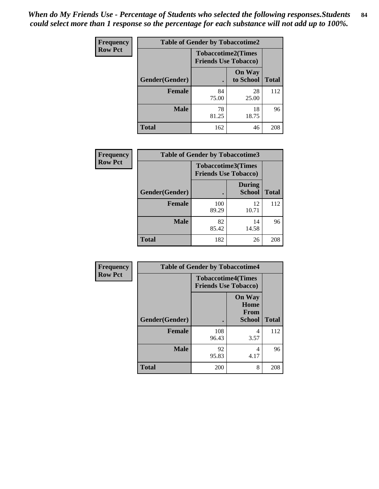| <b>Frequency</b> |                | <b>Table of Gender by Tobaccotime2</b> |                            |              |
|------------------|----------------|----------------------------------------|----------------------------|--------------|
| <b>Row Pct</b>   |                | <b>Friends Use Tobacco)</b>            | <b>Tobaccotime2(Times</b>  |              |
|                  | Gender(Gender) |                                        | <b>On Way</b><br>to School | <b>Total</b> |
|                  | <b>Female</b>  | 84<br>75.00                            | 28<br>25.00                | 112          |
|                  | <b>Male</b>    | 78<br>81.25                            | 18<br>18.75                | 96           |
|                  | <b>Total</b>   | 162                                    | 46                         | 208          |

| Frequency      | <b>Table of Gender by Tobaccotime3</b> |                                                          |                                |              |
|----------------|----------------------------------------|----------------------------------------------------------|--------------------------------|--------------|
| <b>Row Pct</b> |                                        | <b>Tobaccotime3(Times</b><br><b>Friends Use Tobacco)</b> |                                |              |
|                | Gender(Gender)                         |                                                          | <b>During</b><br><b>School</b> | <b>Total</b> |
|                | <b>Female</b>                          | 100<br>89.29                                             | 12<br>10.71                    | 112          |
|                | <b>Male</b>                            | 82<br>85.42                                              | 14<br>14.58                    | 96           |
|                | <b>Total</b>                           | 182                                                      | 26                             | 208          |

| <b>Frequency</b> | <b>Table of Gender by Tobaccotime4</b> |                                                          |                                                |              |
|------------------|----------------------------------------|----------------------------------------------------------|------------------------------------------------|--------------|
| <b>Row Pct</b>   |                                        | <b>Tobaccotime4(Times</b><br><b>Friends Use Tobacco)</b> |                                                |              |
|                  | Gender(Gender)                         |                                                          | <b>On Way</b><br>Home<br>From<br><b>School</b> | <b>Total</b> |
|                  | <b>Female</b>                          | 108<br>96.43                                             | 4<br>3.57                                      | 112          |
|                  | <b>Male</b>                            | 92<br>95.83                                              | 4<br>4.17                                      | 96           |
|                  | <b>Total</b>                           | 200                                                      | 8                                              | 208          |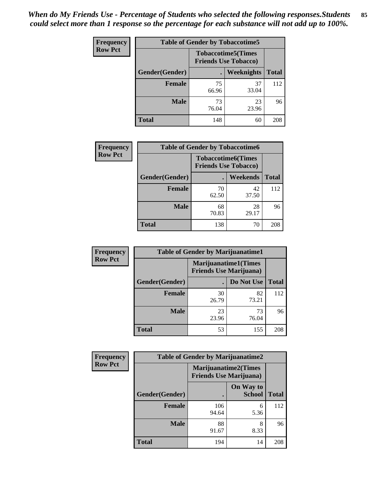| <b>Frequency</b> | <b>Table of Gender by Tobaccotime5</b> |             |                                                           |              |  |
|------------------|----------------------------------------|-------------|-----------------------------------------------------------|--------------|--|
| <b>Row Pct</b>   |                                        |             | <b>Tobaccotime5</b> (Times<br><b>Friends Use Tobacco)</b> |              |  |
|                  | Gender(Gender)                         |             | Weeknights                                                | <b>Total</b> |  |
|                  | <b>Female</b>                          | 75<br>66.96 | 37<br>33.04                                               | 112          |  |
|                  | <b>Male</b>                            | 73<br>76.04 | 23<br>23.96                                               | 96           |  |
|                  | <b>Total</b>                           | 148         | 60                                                        | 208          |  |

| <b>Frequency</b> | <b>Table of Gender by Tobaccotime6</b> |                                                          |             |              |
|------------------|----------------------------------------|----------------------------------------------------------|-------------|--------------|
| <b>Row Pct</b>   |                                        | <b>Tobaccotime6(Times</b><br><b>Friends Use Tobacco)</b> |             |              |
|                  | Gender(Gender)                         |                                                          | Weekends    | <b>Total</b> |
|                  | Female                                 | 70<br>62.50                                              | 42<br>37.50 | 112          |
|                  | <b>Male</b>                            | 68<br>70.83                                              | 28<br>29.17 | 96           |
|                  | <b>Total</b>                           | 138                                                      | 70          | 208          |

| <b>Frequency</b> | <b>Table of Gender by Marijuanatime1</b> |                                                               |             |              |
|------------------|------------------------------------------|---------------------------------------------------------------|-------------|--------------|
| <b>Row Pct</b>   |                                          | <b>Marijuanatime1(Times</b><br><b>Friends Use Marijuana</b> ) |             |              |
|                  | <b>Gender</b> (Gender)                   |                                                               | Do Not Use  | <b>Total</b> |
|                  | Female                                   | 30<br>26.79                                                   | 82<br>73.21 | 112          |
|                  | <b>Male</b>                              | 23<br>23.96                                                   | 73<br>76.04 | 96           |
|                  | <b>Total</b>                             | 53                                                            | 155         | 208          |

| <b>Frequency</b> | <b>Table of Gender by Marijuanatime2</b> |                                                        |                            |              |
|------------------|------------------------------------------|--------------------------------------------------------|----------------------------|--------------|
| <b>Row Pct</b>   |                                          | Marijuanatime2(Times<br><b>Friends Use Marijuana</b> ) |                            |              |
|                  | Gender(Gender)                           |                                                        | On Way to<br><b>School</b> | <b>Total</b> |
|                  | <b>Female</b>                            | 106<br>94.64                                           | 6<br>5.36                  | 112          |
|                  | <b>Male</b>                              | 88<br>91.67                                            | 8<br>8.33                  | 96           |
|                  | <b>Total</b>                             | 194                                                    | 14                         | 208          |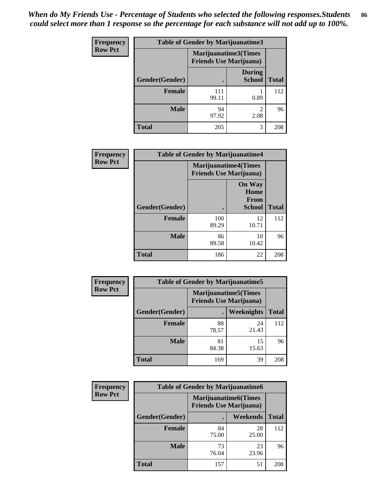| <b>Frequency</b> | <b>Table of Gender by Marijuanatime3</b> |                                                        |                                |              |
|------------------|------------------------------------------|--------------------------------------------------------|--------------------------------|--------------|
| <b>Row Pct</b>   |                                          | Marijuanatime3(Times<br><b>Friends Use Marijuana</b> ) |                                |              |
|                  | Gender(Gender)                           |                                                        | <b>During</b><br><b>School</b> | <b>Total</b> |
|                  | <b>Female</b>                            | 111<br>99.11                                           | 0.89                           | 112          |
|                  | <b>Male</b>                              | 94<br>97.92                                            | $\mathcal{D}$<br>2.08          | 96           |
|                  | <b>Total</b>                             | 205                                                    | 3                              | 208          |

| Frequency      | <b>Table of Gender by Marijuanatime4</b> |                                |                                                       |              |
|----------------|------------------------------------------|--------------------------------|-------------------------------------------------------|--------------|
| <b>Row Pct</b> |                                          | <b>Friends Use Marijuana</b> ) | <b>Marijuanatime4(Times</b>                           |              |
|                | Gender(Gender)                           |                                | <b>On Way</b><br>Home<br><b>From</b><br><b>School</b> | <b>Total</b> |
|                | <b>Female</b>                            | 100<br>89.29                   | 12<br>10.71                                           | 112          |
|                | <b>Male</b>                              | 86<br>89.58                    | 10<br>10.42                                           | 96           |
|                | <b>Total</b>                             | 186                            | 22                                                    | 208          |

| Frequency      | <b>Table of Gender by Marijuanatime5</b> |             |                                                                |              |
|----------------|------------------------------------------|-------------|----------------------------------------------------------------|--------------|
| <b>Row Pct</b> |                                          |             | <b>Marijuanatime5</b> (Times<br><b>Friends Use Marijuana</b> ) |              |
|                | Gender(Gender)                           |             | Weeknights                                                     | <b>Total</b> |
|                | <b>Female</b>                            | 88<br>78.57 | 24<br>21.43                                                    | 112          |
|                | <b>Male</b>                              | 81<br>84.38 | 15<br>15.63                                                    | 96           |
|                | <b>Total</b>                             | 169         | 39                                                             | 208          |

| Frequency      | <b>Table of Gender by Marijuanatime6</b> |                                                        |             |              |  |
|----------------|------------------------------------------|--------------------------------------------------------|-------------|--------------|--|
| <b>Row Pct</b> |                                          | Marijuanatime6(Times<br><b>Friends Use Marijuana</b> ) |             |              |  |
|                | <b>Gender</b> (Gender)                   |                                                        | Weekends    | <b>Total</b> |  |
|                | <b>Female</b>                            | 84<br>75.00                                            | 28<br>25.00 | 112          |  |
|                | <b>Male</b>                              | 73<br>76.04                                            | 23<br>23.96 | 96           |  |
|                | <b>Total</b>                             | 157                                                    | 51          | 208          |  |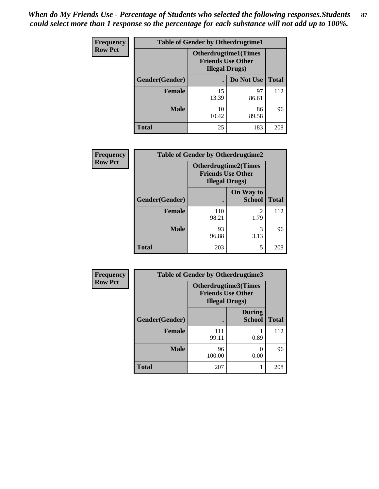*When do My Friends Use - Percentage of Students who selected the following responses.Students could select more than 1 response so the percentage for each substance will not add up to 100%.* **87**

| <b>Frequency</b> |                | <b>Table of Gender by Otherdrugtime1</b>                                           |             |              |
|------------------|----------------|------------------------------------------------------------------------------------|-------------|--------------|
| <b>Row Pct</b>   |                | <b>Otherdrugtime1</b> (Times<br><b>Friends Use Other</b><br><b>Illegal Drugs</b> ) |             |              |
|                  | Gender(Gender) |                                                                                    | Do Not Use  | <b>Total</b> |
|                  | <b>Female</b>  | 15<br>13.39                                                                        | 97<br>86.61 | 112          |
|                  | <b>Male</b>    | 10<br>10.42                                                                        | 86<br>89.58 | 96           |
|                  | <b>Total</b>   | 25                                                                                 | 183         | 208          |

| <b>Frequency</b> | <b>Table of Gender by Otherdrugtime2</b> |                                                                                   |                            |              |  |
|------------------|------------------------------------------|-----------------------------------------------------------------------------------|----------------------------|--------------|--|
| <b>Row Pct</b>   |                                          | <b>Otherdrugtime2(Times</b><br><b>Friends Use Other</b><br><b>Illegal Drugs</b> ) |                            |              |  |
|                  | Gender(Gender)                           |                                                                                   | On Way to<br><b>School</b> | <b>Total</b> |  |
|                  | <b>Female</b>                            | 110<br>98.21                                                                      | $\overline{2}$<br>1.79     | 112          |  |
|                  | <b>Male</b>                              | 93<br>96.88                                                                       | 3<br>3.13                  | 96           |  |
|                  | <b>Total</b>                             | 203                                                                               | 5                          | 208          |  |

| Frequency      | <b>Table of Gender by Otherdrugtime3</b> |                       |                                                  |              |  |
|----------------|------------------------------------------|-----------------------|--------------------------------------------------|--------------|--|
| <b>Row Pct</b> |                                          | <b>Illegal Drugs)</b> | Otherdrugtime3(Times<br><b>Friends Use Other</b> |              |  |
|                | Gender(Gender)                           |                       | <b>During</b><br><b>School</b>                   | <b>Total</b> |  |
|                | <b>Female</b>                            | 111<br>99.11          | 0.89                                             | 112          |  |
|                | <b>Male</b>                              | 96<br>100.00          | 0.00                                             | 96           |  |
|                | <b>Total</b>                             | 207                   |                                                  | 208          |  |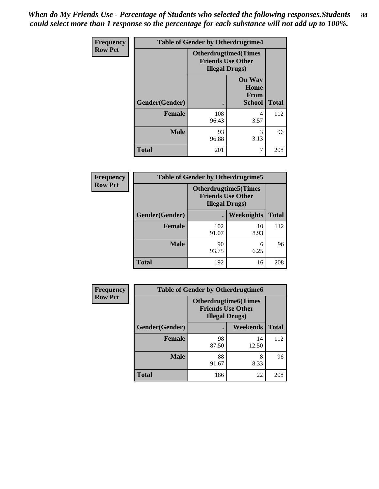| <b>Frequency</b> | <b>Table of Gender by Otherdrugtime4</b> |                                                                                   |                                                       |              |  |
|------------------|------------------------------------------|-----------------------------------------------------------------------------------|-------------------------------------------------------|--------------|--|
| <b>Row Pct</b>   |                                          | <b>Otherdrugtime4(Times</b><br><b>Friends Use Other</b><br><b>Illegal Drugs</b> ) |                                                       |              |  |
|                  | Gender(Gender)                           | ٠                                                                                 | <b>On Way</b><br>Home<br><b>From</b><br><b>School</b> | <b>Total</b> |  |
|                  | Female                                   | 108<br>96.43                                                                      | 4<br>3.57                                             | 112          |  |
|                  | <b>Male</b>                              | 93<br>96.88                                                                       | 3<br>3.13                                             | 96           |  |
|                  | <b>Total</b>                             | 201                                                                               |                                                       | 208          |  |

| <b>Frequency</b> | <b>Table of Gender by Otherdrugtime5</b> |                                                                                   |                   |              |  |
|------------------|------------------------------------------|-----------------------------------------------------------------------------------|-------------------|--------------|--|
| <b>Row Pct</b>   |                                          | <b>Otherdrugtime5(Times</b><br><b>Friends Use Other</b><br><b>Illegal Drugs</b> ) |                   |              |  |
|                  | Gender(Gender)                           |                                                                                   | <b>Weeknights</b> | <b>Total</b> |  |
|                  | Female                                   | 102<br>91.07                                                                      | 10<br>8.93        | 112          |  |
|                  | <b>Male</b>                              | 90<br>93.75                                                                       | 6<br>6.25         | 96           |  |
|                  | <b>Total</b>                             | 192                                                                               | 16                | 208          |  |

| <b>Frequency</b> | <b>Table of Gender by Otherdrugtime6</b> |                                                                                   |             |              |  |
|------------------|------------------------------------------|-----------------------------------------------------------------------------------|-------------|--------------|--|
| <b>Row Pct</b>   |                                          | <b>Otherdrugtime6(Times</b><br><b>Friends Use Other</b><br><b>Illegal Drugs</b> ) |             |              |  |
|                  | Gender(Gender)                           |                                                                                   | Weekends    | <b>Total</b> |  |
|                  | <b>Female</b>                            | 98<br>87.50                                                                       | 14<br>12.50 | 112          |  |
|                  | <b>Male</b>                              | 88<br>91.67                                                                       | 8<br>8.33   | 96           |  |
|                  | <b>Total</b>                             | 186                                                                               | 22          | 208          |  |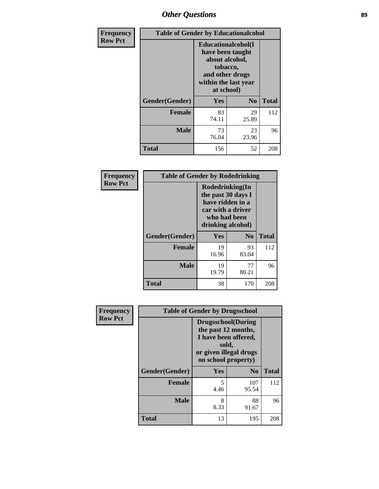# *Other Questions* **89**

| Frequency      |                | <b>Table of Gender by Educationalcohol</b>                                                                                    |                |              |  |
|----------------|----------------|-------------------------------------------------------------------------------------------------------------------------------|----------------|--------------|--|
| <b>Row Pct</b> |                | Educationalcohol(I<br>have been taught<br>about alcohol,<br>tobacco,<br>and other drugs<br>within the last year<br>at school) |                |              |  |
|                | Gender(Gender) | Yes                                                                                                                           | N <sub>0</sub> | <b>Total</b> |  |
|                | Female         | 83<br>74.11                                                                                                                   | 29<br>25.89    | 112          |  |
|                | <b>Male</b>    | 73<br>76.04                                                                                                                   | 23<br>23.96    | 96           |  |
|                | Total          | 156                                                                                                                           | 52             | 208          |  |

| Frequency      | <b>Table of Gender by Rodedrinking</b> |                                                                                                                     |                |              |  |
|----------------|----------------------------------------|---------------------------------------------------------------------------------------------------------------------|----------------|--------------|--|
| <b>Row Pct</b> |                                        | Rodedrinking(In<br>the past 30 days I<br>have ridden in a<br>car with a driver<br>who had been<br>drinking alcohol) |                |              |  |
|                | Gender(Gender)                         | Yes                                                                                                                 | N <sub>0</sub> | <b>Total</b> |  |
|                | <b>Female</b>                          | 19<br>16.96                                                                                                         | 93<br>83.04    | 112          |  |
|                | <b>Male</b>                            | 19<br>19.79                                                                                                         | 77<br>80.21    | 96           |  |
|                | <b>Total</b>                           | 38                                                                                                                  | 170            | 208          |  |

| Frequency      | <b>Table of Gender by Drugsschool</b> |                                                                                                                                     |                |              |  |
|----------------|---------------------------------------|-------------------------------------------------------------------------------------------------------------------------------------|----------------|--------------|--|
| <b>Row Pct</b> |                                       | <b>Drugsschool</b> (During<br>the past 12 months,<br>I have been offered,<br>sold,<br>or given illegal drugs<br>on school property) |                |              |  |
|                | Gender(Gender)                        | Yes                                                                                                                                 | N <sub>0</sub> | <b>Total</b> |  |
|                | <b>Female</b>                         | 5<br>4.46                                                                                                                           | 107<br>95.54   | 112          |  |
|                | <b>Male</b>                           | 8<br>8.33                                                                                                                           | 88<br>91.67    | 96           |  |
|                | <b>Total</b>                          | 13                                                                                                                                  | 195            | 208          |  |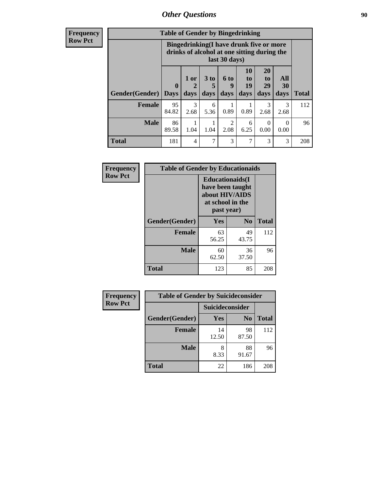## *Other Questions* **90**

**Frequency Row Pct**

| <b>Table of Gender by Bingedrinking</b> |                            |                                                                                                         |                   |                        |                        |                        |                   |              |
|-----------------------------------------|----------------------------|---------------------------------------------------------------------------------------------------------|-------------------|------------------------|------------------------|------------------------|-------------------|--------------|
|                                         |                            | Bingedrinking(I have drunk five or more<br>drinks of alcohol at one sitting during the<br>last 30 days) |                   |                        |                        |                        |                   |              |
| <b>Gender</b> (Gender)                  | $\mathbf 0$<br><b>Days</b> | 1 or<br>days                                                                                            | 3 to<br>5<br>days | 6 to<br>Q<br>days      | 10<br>to<br>19<br>days | 20<br>to<br>29<br>days | All<br>30<br>days | <b>Total</b> |
| <b>Female</b>                           | 95<br>84.82                | 3<br>2.68                                                                                               | 6<br>5.36         | 0.89                   | 0.89                   | 3<br>2.68              | 3<br>2.68         | 112          |
| <b>Male</b>                             | 86<br>89.58                | 1.04                                                                                                    | 1.04              | $\overline{c}$<br>2.08 | 6<br>6.25              | $\Omega$<br>0.00       | 0<br>0.00         | 96           |
| <b>Total</b>                            | 181                        | 4                                                                                                       | 7                 | 3                      | 7                      | 3                      | 3                 | 208          |

| Frequency      | <b>Table of Gender by Educationaids</b> |                                                                                                 |                |              |
|----------------|-----------------------------------------|-------------------------------------------------------------------------------------------------|----------------|--------------|
| <b>Row Pct</b> |                                         | <b>Educationaids</b> (I<br>have been taught<br>about HIV/AIDS<br>at school in the<br>past year) |                |              |
|                | Gender(Gender)                          | Yes                                                                                             | N <sub>0</sub> | <b>Total</b> |
|                | <b>Female</b>                           | 63<br>56.25                                                                                     | 49<br>43.75    | 112          |
|                | <b>Male</b>                             | 60<br>62.50                                                                                     | 36<br>37.50    | 96           |
|                | <b>Total</b>                            | 123                                                                                             | 85             | 208          |

| <b>Frequency</b> | <b>Table of Gender by Suicideconsider</b> |                 |                |              |
|------------------|-------------------------------------------|-----------------|----------------|--------------|
| <b>Row Pct</b>   |                                           | Suicideconsider |                |              |
|                  | Gender(Gender)                            | Yes             | N <sub>0</sub> | <b>Total</b> |
|                  | <b>Female</b>                             | 14<br>12.50     | 98<br>87.50    | 112          |
|                  | <b>Male</b>                               | 8<br>8.33       | 88<br>91.67    | 96           |
|                  | Total                                     | 22              | 186            | 208          |